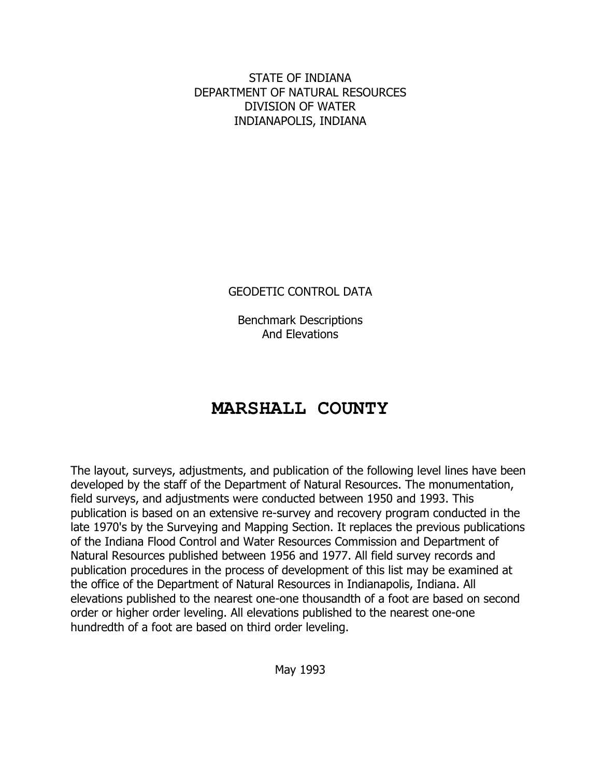STATE OF INDIANA DEPARTMENT OF NATURAL RESOURCES DIVISION OF WATER INDIANAPOLIS, INDIANA

GEODETIC CONTROL DATA

Benchmark Descriptions And Elevations

# **MARSHALL COUNTY**

The layout, surveys, adjustments, and publication of the following level lines have been developed by the staff of the Department of Natural Resources. The monumentation, field surveys, and adjustments were conducted between 1950 and 1993. This publication is based on an extensive re-survey and recovery program conducted in the late 1970's by the Surveying and Mapping Section. It replaces the previous publications of the Indiana Flood Control and Water Resources Commission and Department of Natural Resources published between 1956 and 1977. All field survey records and publication procedures in the process of development of this list may be examined at the office of the Department of Natural Resources in Indianapolis, Indiana. All elevations published to the nearest one-one thousandth of a foot are based on second order or higher order leveling. All elevations published to the nearest one-one hundredth of a foot are based on third order leveling.

May 1993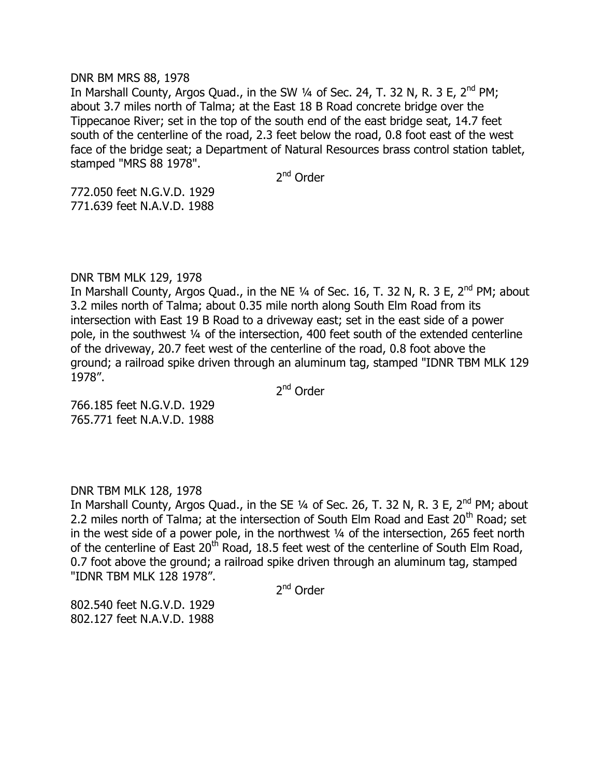#### DNR BM MRS 88, 1978

In Marshall County, Argos Quad., in the SW  $\frac{1}{4}$  of Sec. 24, T. 32 N, R. 3 E, 2<sup>nd</sup> PM; about 3.7 miles north of Talma; at the East 18 B Road concrete bridge over the Tippecanoe River; set in the top of the south end of the east bridge seat, 14.7 feet south of the centerline of the road, 2.3 feet below the road, 0.8 foot east of the west face of the bridge seat; a Department of Natural Resources brass control station tablet, stamped "MRS 88 1978".

2<sup>nd</sup> Order

772.050 feet N.G.V.D. 1929 771.639 feet N.A.V.D. 1988

# DNR TBM MLK 129, 1978

In Marshall County, Argos Quad., in the NE 1/4 of Sec. 16, T. 32 N, R. 3 E, 2<sup>nd</sup> PM; about 3.2 miles north of Talma; about 0.35 mile north along South Elm Road from its intersection with East 19 B Road to a driveway east; set in the east side of a power pole, in the southwest ¼ of the intersection, 400 feet south of the extended centerline of the driveway, 20.7 feet west of the centerline of the road, 0.8 foot above the ground; a railroad spike driven through an aluminum tag, stamped "IDNR TBM MLK 129 1978".

2<sup>nd</sup> Order

766.185 feet N.G.V.D. 1929 765.771 feet N.A.V.D. 1988

DNR TBM MLK 128, 1978

In Marshall County, Argos Quad., in the SE 1/4 of Sec. 26, T. 32 N, R. 3 E, 2<sup>nd</sup> PM; about 2.2 miles north of Talma; at the intersection of South Elm Road and East  $20<sup>th</sup>$  Road; set in the west side of a power pole, in the northwest 1/4 of the intersection, 265 feet north of the centerline of East 20<sup>th</sup> Road, 18.5 feet west of the centerline of South Elm Road, 0.7 foot above the ground; a railroad spike driven through an aluminum tag, stamped "IDNR TBM MLK 128 1978".

2<sup>nd</sup> Order

802.540 feet N.G.V.D. 1929 802.127 feet N.A.V.D. 1988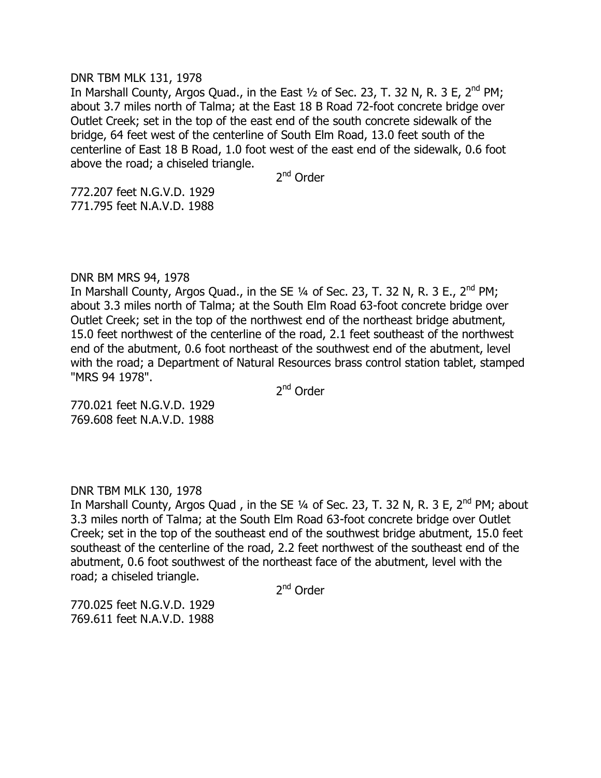## DNR TBM MLK 131, 1978

In Marshall County, Argos Quad., in the East  $\frac{1}{2}$  of Sec. 23, T. 32 N, R. 3 E, 2<sup>nd</sup> PM; about 3.7 miles north of Talma; at the East 18 B Road 72-foot concrete bridge over Outlet Creek; set in the top of the east end of the south concrete sidewalk of the bridge, 64 feet west of the centerline of South Elm Road, 13.0 feet south of the centerline of East 18 B Road, 1.0 foot west of the east end of the sidewalk, 0.6 foot above the road; a chiseled triangle.

2<sup>nd</sup> Order

772.207 feet N.G.V.D. 1929 771.795 feet N.A.V.D. 1988

# DNR BM MRS 94, 1978

In Marshall County, Argos Quad., in the SE  $\frac{1}{4}$  of Sec. 23, T. 32 N, R. 3 E., 2<sup>nd</sup> PM; about 3.3 miles north of Talma; at the South Elm Road 63-foot concrete bridge over Outlet Creek; set in the top of the northwest end of the northeast bridge abutment, 15.0 feet northwest of the centerline of the road, 2.1 feet southeast of the northwest end of the abutment, 0.6 foot northeast of the southwest end of the abutment, level with the road; a Department of Natural Resources brass control station tablet, stamped "MRS 94 1978".

2<sup>nd</sup> Order

770.021 feet N.G.V.D. 1929 769.608 feet N.A.V.D. 1988

DNR TBM MLK 130, 1978

In Marshall County, Argos Quad, in the SE 1/4 of Sec. 23, T. 32 N, R. 3 E, 2<sup>nd</sup> PM; about 3.3 miles north of Talma; at the South Elm Road 63-foot concrete bridge over Outlet Creek; set in the top of the southeast end of the southwest bridge abutment, 15.0 feet southeast of the centerline of the road, 2.2 feet northwest of the southeast end of the abutment, 0.6 foot southwest of the northeast face of the abutment, level with the road; a chiseled triangle.

2<sup>nd</sup> Order

770.025 feet N.G.V.D. 1929 769.611 feet N.A.V.D. 1988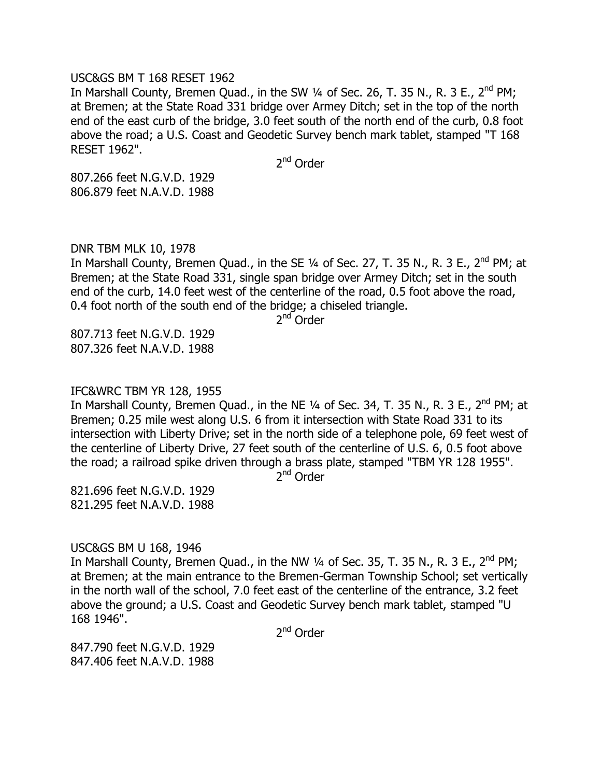#### USC&GS BM T 168 RESET 1962

In Marshall County, Bremen Quad., in the SW 1/4 of Sec. 26, T. 35 N., R. 3 E., 2<sup>nd</sup> PM; at Bremen; at the State Road 331 bridge over Armey Ditch; set in the top of the north end of the east curb of the bridge, 3.0 feet south of the north end of the curb, 0.8 foot above the road; a U.S. Coast and Geodetic Survey bench mark tablet, stamped "T 168 RESET 1962".

2<sup>nd</sup> Order

807.266 feet N.G.V.D. 1929 806.879 feet N.A.V.D. 1988

# DNR TBM MLK 10, 1978

In Marshall County, Bremen Quad., in the SE  $\frac{1}{4}$  of Sec. 27, T. 35 N., R. 3 E., 2<sup>nd</sup> PM; at Bremen; at the State Road 331, single span bridge over Armey Ditch; set in the south end of the curb, 14.0 feet west of the centerline of the road, 0.5 foot above the road, 0.4 foot north of the south end of the bridge; a chiseled triangle.

2<sup>nd</sup> Order

807.713 feet N.G.V.D. 1929 807.326 feet N.A.V.D. 1988

# IFC&WRC TBM YR 128, 1955

In Marshall County, Bremen Quad., in the NE  $\frac{1}{4}$  of Sec. 34, T. 35 N., R. 3 E., 2<sup>nd</sup> PM; at Bremen; 0.25 mile west along U.S. 6 from it intersection with State Road 331 to its intersection with Liberty Drive; set in the north side of a telephone pole, 69 feet west of the centerline of Liberty Drive, 27 feet south of the centerline of U.S. 6, 0.5 foot above the road; a railroad spike driven through a brass plate, stamped "TBM YR 128 1955".

2<sup>nd</sup> Order

821.696 feet N.G.V.D. 1929 821.295 feet N.A.V.D. 1988

# USC&GS BM U 168, 1946

In Marshall County, Bremen Quad., in the NW  $\frac{1}{4}$  of Sec. 35, T. 35 N., R. 3 E.,  $2^{nd}$  PM; at Bremen; at the main entrance to the Bremen-German Township School; set vertically in the north wall of the school, 7.0 feet east of the centerline of the entrance, 3.2 feet above the ground; a U.S. Coast and Geodetic Survey bench mark tablet, stamped "U 168 1946".

2<sup>nd</sup> Order

847.790 feet N.G.V.D. 1929 847.406 feet N.A.V.D. 1988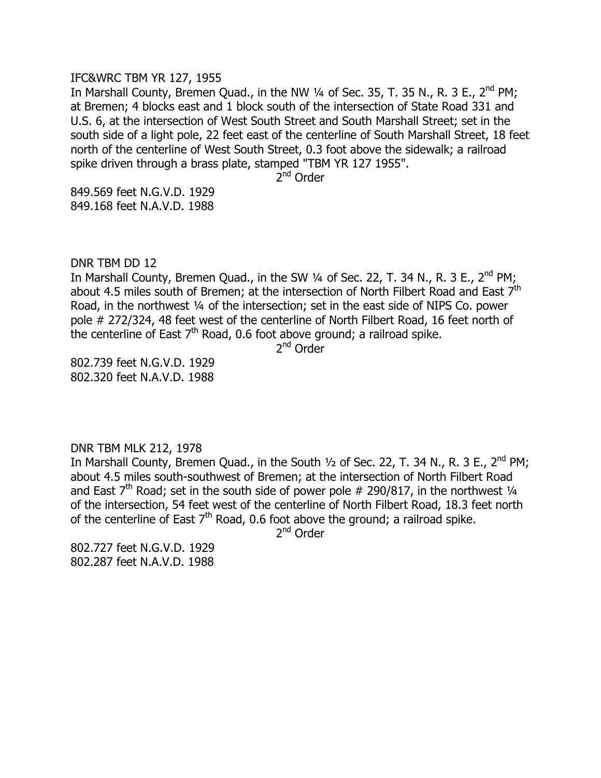#### IFC&WRC TBM YR 127, 1955

In Marshall County, Bremen Quad., in the NW  $\frac{1}{4}$  of Sec. 35, T. 35 N., R. 3 E., 2<sup>nd</sup> PM; at Bremen; 4 blocks east and 1 block south of the intersection of State Road 331 and U.S. 6, at the intersection of West South Street and South Marshall Street; set in the south side of a light pole, 22 feet east of the centerline of South Marshall Street, 18 feet north of the centerline of West South Street, 0.3 foot above the sidewalk; a railroad spike driven through a brass plate, stamped "TBM YR 127 1955".

2<sup>nd</sup> Order

849.569 feet N.G.V.D. 1929 849.168 feet N.A.V.D. 1988

DNR TBM DD 12

In Marshall County, Bremen Quad., in the SW  $\frac{1}{4}$  of Sec. 22, T. 34 N., R. 3 E., 2<sup>nd</sup> PM; about 4.5 miles south of Bremen; at the intersection of North Filbert Road and East 7<sup>th</sup> Road, in the northwest ¼ of the intersection; set in the east side of NIPS Co. power pole # 272/324, 48 feet west of the centerline of North Filbert Road, 16 feet north of the centerline of East 7<sup>th</sup> Road, 0.6 foot above ground; a railroad spike.

2<sup>nd</sup> Order

802.739 feet N.G.V.D. 1929 802.320 feet N.A.V.D. 1988

DNR TBM MLK 212, 1978

In Marshall County, Bremen Quad., in the South  $1/2$  of Sec. 22, T. 34 N., R. 3 E., 2<sup>nd</sup> PM; about 4.5 miles south-southwest of Bremen; at the intersection of North Filbert Road and East  $7<sup>th</sup>$  Road; set in the south side of power pole # 290/817, in the northwest  $\frac{1}{4}$ of the intersection, 54 feet west of the centerline of North Filbert Road, 18.3 feet north of the centerline of East  $7<sup>th</sup>$  Road, 0.6 foot above the ground; a railroad spike.

2<sup>nd</sup> Order

802.727 feet N.G.V.D. 1929 802.287 feet N.A.V.D. 1988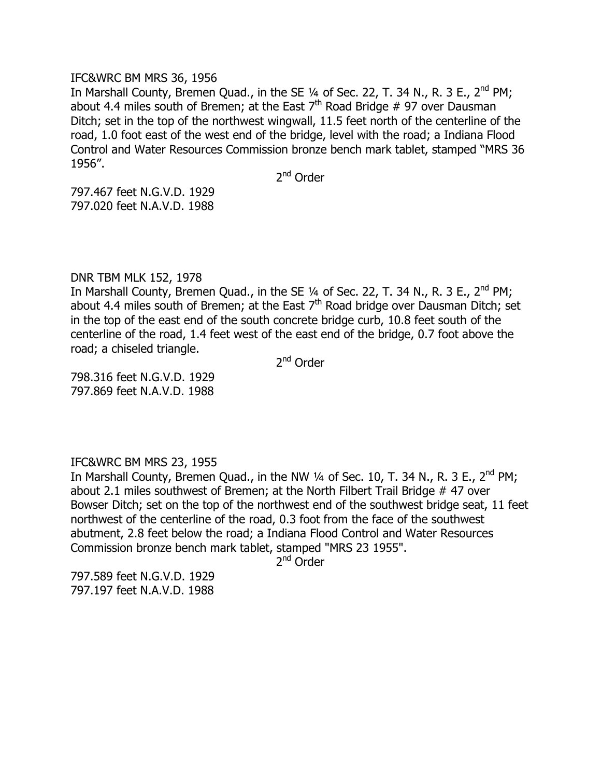#### IFC&WRC BM MRS 36, 1956

In Marshall County, Bremen Quad., in the SE  $1/4$  of Sec. 22, T. 34 N., R. 3 E., 2<sup>nd</sup> PM; about 4.4 miles south of Bremen; at the East  $7<sup>th</sup>$  Road Bridge # 97 over Dausman Ditch; set in the top of the northwest wingwall, 11.5 feet north of the centerline of the road, 1.0 foot east of the west end of the bridge, level with the road; a Indiana Flood Control and Water Resources Commission bronze bench mark tablet, stamped "MRS 36 1956".

2<sup>nd</sup> Order

797.467 feet N.G.V.D. 1929 797.020 feet N.A.V.D. 1988

# DNR TBM MLK 152, 1978

In Marshall County, Bremen Quad., in the SE 1/4 of Sec. 22, T. 34 N., R. 3 E., 2<sup>nd</sup> PM; about 4.4 miles south of Bremen; at the East  $7<sup>th</sup>$  Road bridge over Dausman Ditch; set in the top of the east end of the south concrete bridge curb, 10.8 feet south of the centerline of the road, 1.4 feet west of the east end of the bridge, 0.7 foot above the road; a chiseled triangle.

2<sup>nd</sup> Order

798.316 feet N.G.V.D. 1929 797.869 feet N.A.V.D. 1988

# IFC&WRC BM MRS 23, 1955

In Marshall County, Bremen Quad., in the NW 1/4 of Sec. 10, T. 34 N., R. 3 E., 2<sup>nd</sup> PM; about 2.1 miles southwest of Bremen; at the North Filbert Trail Bridge # 47 over Bowser Ditch; set on the top of the northwest end of the southwest bridge seat, 11 feet northwest of the centerline of the road, 0.3 foot from the face of the southwest abutment, 2.8 feet below the road; a Indiana Flood Control and Water Resources Commission bronze bench mark tablet, stamped "MRS 23 1955".

2<sup>nd</sup> Order

797.589 feet N.G.V.D. 1929 797.197 feet N.A.V.D. 1988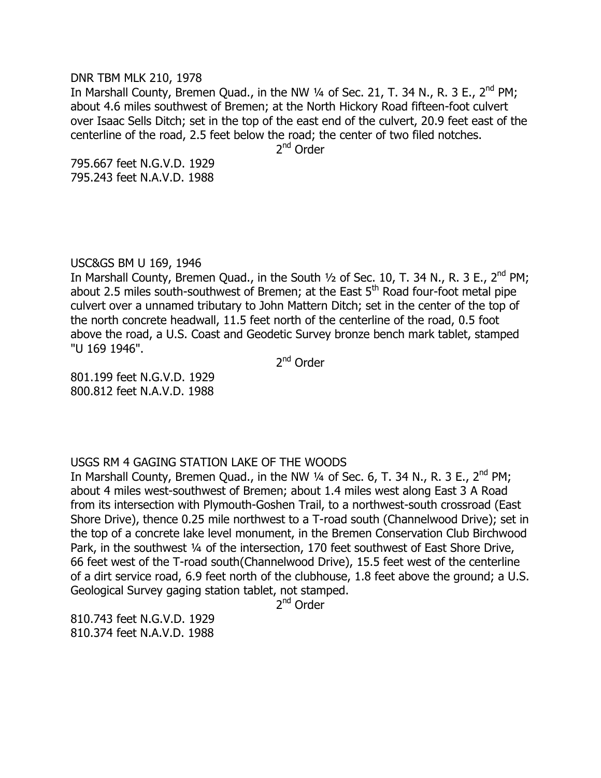DNR TBM MLK 210, 1978

In Marshall County, Bremen Quad., in the NW  $\frac{1}{4}$  of Sec. 21, T. 34 N., R. 3 E., 2<sup>nd</sup> PM; about 4.6 miles southwest of Bremen; at the North Hickory Road fifteen-foot culvert over Isaac Sells Ditch; set in the top of the east end of the culvert, 20.9 feet east of the centerline of the road, 2.5 feet below the road; the center of two filed notches.

2<sup>nd</sup> Order

795.667 feet N.G.V.D. 1929 795.243 feet N.A.V.D. 1988

# USC&GS BM U 169, 1946

In Marshall County, Bremen Quad., in the South  $\frac{1}{2}$  of Sec. 10, T. 34 N., R. 3 E., 2<sup>nd</sup> PM; about 2.5 miles south-southwest of Bremen; at the East  $5<sup>th</sup>$  Road four-foot metal pipe culvert over a unnamed tributary to John Mattern Ditch; set in the center of the top of the north concrete headwall, 11.5 feet north of the centerline of the road, 0.5 foot above the road, a U.S. Coast and Geodetic Survey bronze bench mark tablet, stamped "U 169 1946".

2<sup>nd</sup> Order

801.199 feet N.G.V.D. 1929 800.812 feet N.A.V.D. 1988

# USGS RM 4 GAGING STATION LAKE OF THE WOODS

In Marshall County, Bremen Quad., in the NW  $\frac{1}{4}$  of Sec. 6, T. 34 N., R. 3 E., 2<sup>nd</sup> PM; about 4 miles west-southwest of Bremen; about 1.4 miles west along East 3 A Road from its intersection with Plymouth-Goshen Trail, to a northwest-south crossroad (East Shore Drive), thence 0.25 mile northwest to a T-road south (Channelwood Drive); set in the top of a concrete lake level monument, in the Bremen Conservation Club Birchwood Park, in the southwest 1/4 of the intersection, 170 feet southwest of East Shore Drive, 66 feet west of the T-road south(Channelwood Drive), 15.5 feet west of the centerline of a dirt service road, 6.9 feet north of the clubhouse, 1.8 feet above the ground; a U.S. Geological Survey gaging station tablet, not stamped.

2<sup>nd</sup> Order

810.743 feet N.G.V.D. 1929 810.374 feet N.A.V.D. 1988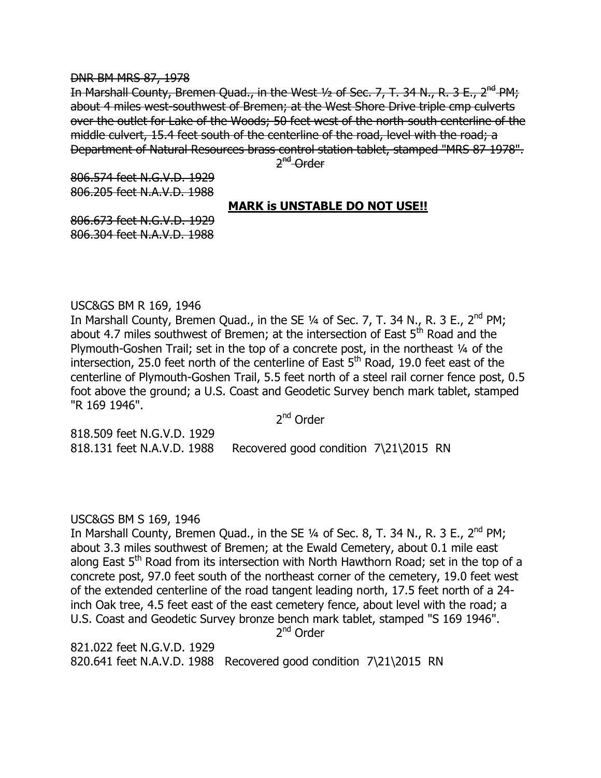#### DNR BM MRS 87, 1978

In Marshall County, Bremen Quad., in the West 1/2 of Sec. 7, T. 34 N., R. 3 E., 2<sup>nd</sup> PM; about 4 miles west-southwest of Bremen; at the West Shore Drive triple cmp culverts over the outlet for Lake of the Woods; 50 feet west of the north-south centerline of the middle culvert, 15.4 feet south of the centerline of the road, level with the road; a Department of Natural Resources brass control station tablet, stamped "MRS 87 1978".

2<sup>nd</sup> Order

806.574 feet N.G.V.D. 1929 806.205 feet N.A.V.D. 1988

# **MARK is UNSTABLE DO NOT USE!!**

806.673 feet N.G.V.D. 1929 806.304 feet N.A.V.D. 1988

# USC&GS BM R 169, 1946

In Marshall County, Bremen Quad., in the SE  $\frac{1}{4}$  of Sec. 7, T. 34 N., R. 3 E., 2<sup>nd</sup> PM; about 4.7 miles southwest of Bremen; at the intersection of East  $5<sup>th</sup>$  Road and the Plymouth-Goshen Trail; set in the top of a concrete post, in the northeast 1/4 of the intersection, 25.0 feet north of the centerline of East  $5<sup>th</sup>$  Road, 19.0 feet east of the centerline of Plymouth-Goshen Trail, 5.5 feet north of a steel rail corner fence post, 0.5 foot above the ground; a U.S. Coast and Geodetic Survey bench mark tablet, stamped "R 169 1946".

2<sup>nd</sup> Order

818.509 feet N.G.V.D. 1929 818.131 feet N.A.V.D. 1988 Recovered good condition 7\21\2015 RN

# USC&GS BM S 169, 1946

In Marshall County, Bremen Quad., in the SE  $\frac{1}{4}$  of Sec. 8, T. 34 N., R. 3 E., 2<sup>nd</sup> PM; about 3.3 miles southwest of Bremen; at the Ewald Cemetery, about 0.1 mile east along East  $5<sup>th</sup>$  Road from its intersection with North Hawthorn Road; set in the top of a concrete post, 97.0 feet south of the northeast corner of the cemetery, 19.0 feet west of the extended centerline of the road tangent leading north, 17.5 feet north of a 24 inch Oak tree, 4.5 feet east of the east cemetery fence, about level with the road; a U.S. Coast and Geodetic Survey bronze bench mark tablet, stamped "S 169 1946".

2<sup>nd</sup> Order

821.022 feet N.G.V.D. 1929 820.641 feet N.A.V.D. 1988 Recovered good condition 7\21\2015 RN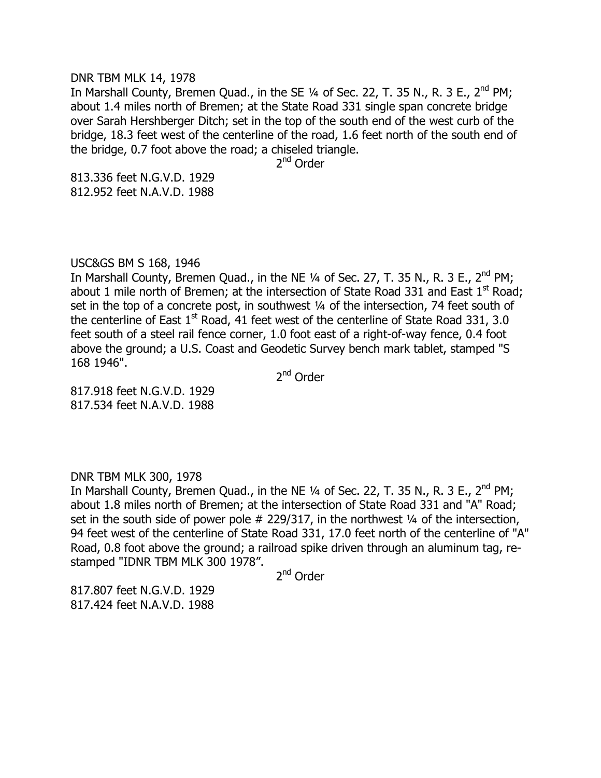#### DNR TBM MLK 14, 1978

In Marshall County, Bremen Quad., in the SE  $\frac{1}{4}$  of Sec. 22, T. 35 N., R. 3 E., 2<sup>nd</sup> PM; about 1.4 miles north of Bremen; at the State Road 331 single span concrete bridge over Sarah Hershberger Ditch; set in the top of the south end of the west curb of the bridge, 18.3 feet west of the centerline of the road, 1.6 feet north of the south end of the bridge, 0.7 foot above the road; a chiseled triangle.

2<sup>nd</sup> Order

813.336 feet N.G.V.D. 1929 812.952 feet N.A.V.D. 1988

# USC&GS BM S 168, 1946

In Marshall County, Bremen Quad., in the NE  $\frac{1}{4}$  of Sec. 27, T. 35 N., R. 3 E., 2<sup>nd</sup> PM; about 1 mile north of Bremen; at the intersection of State Road 331 and East  $1<sup>st</sup>$  Road; set in the top of a concrete post, in southwest 1/4 of the intersection, 74 feet south of the centerline of East  $1<sup>st</sup>$  Road, 41 feet west of the centerline of State Road 331, 3.0 feet south of a steel rail fence corner, 1.0 foot east of a right-of-way fence, 0.4 foot above the ground; a U.S. Coast and Geodetic Survey bench mark tablet, stamped "S 168 1946".

2<sup>nd</sup> Order

817.918 feet N.G.V.D. 1929 817.534 feet N.A.V.D. 1988

# DNR TBM MLK 300, 1978

In Marshall County, Bremen Quad., in the NE  $\frac{1}{4}$  of Sec. 22, T. 35 N., R. 3 E.,  $2^{nd}$  PM; about 1.8 miles north of Bremen; at the intersection of State Road 331 and "A" Road; set in the south side of power pole  $#$  229/317, in the northwest  $\frac{1}{4}$  of the intersection, 94 feet west of the centerline of State Road 331, 17.0 feet north of the centerline of "A" Road, 0.8 foot above the ground; a railroad spike driven through an aluminum tag, restamped "IDNR TBM MLK 300 1978".

2<sup>nd</sup> Order

817.807 feet N.G.V.D. 1929 817.424 feet N.A.V.D. 1988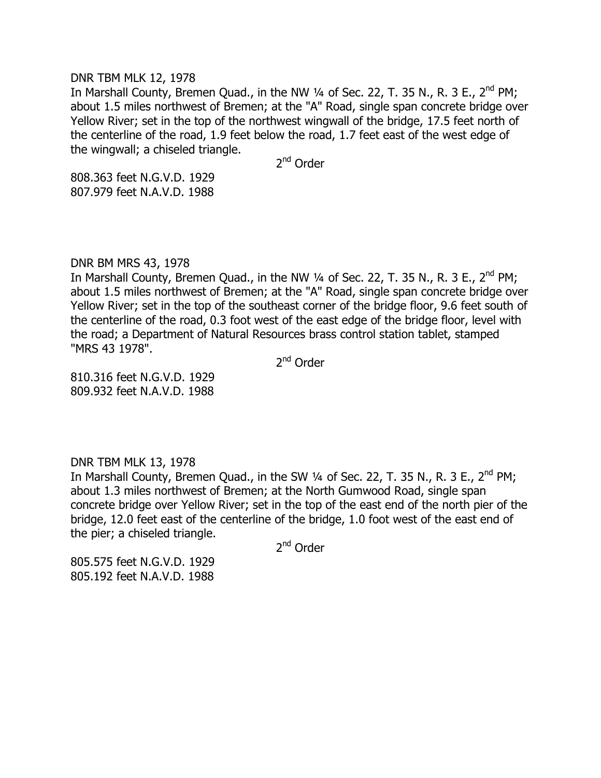#### DNR TBM MLK 12, 1978

In Marshall County, Bremen Quad., in the NW 1/4 of Sec. 22, T. 35 N., R. 3 E., 2<sup>nd</sup> PM; about 1.5 miles northwest of Bremen; at the "A" Road, single span concrete bridge over Yellow River; set in the top of the northwest wingwall of the bridge, 17.5 feet north of the centerline of the road, 1.9 feet below the road, 1.7 feet east of the west edge of the wingwall; a chiseled triangle.

2<sup>nd</sup> Order

808.363 feet N.G.V.D. 1929 807.979 feet N.A.V.D. 1988

# DNR BM MRS 43, 1978

In Marshall County, Bremen Quad., in the NW  $\frac{1}{4}$  of Sec. 22, T. 35 N., R. 3 E., 2<sup>nd</sup> PM; about 1.5 miles northwest of Bremen; at the "A" Road, single span concrete bridge over Yellow River; set in the top of the southeast corner of the bridge floor, 9.6 feet south of the centerline of the road, 0.3 foot west of the east edge of the bridge floor, level with the road; a Department of Natural Resources brass control station tablet, stamped "MRS 43 1978".

2<sup>nd</sup> Order

810.316 feet N.G.V.D. 1929 809.932 feet N.A.V.D. 1988

# DNR TBM MLK 13, 1978

In Marshall County, Bremen Quad., in the SW  $\frac{1}{4}$  of Sec. 22, T. 35 N., R. 3 E., 2<sup>nd</sup> PM; about 1.3 miles northwest of Bremen; at the North Gumwood Road, single span concrete bridge over Yellow River; set in the top of the east end of the north pier of the bridge, 12.0 feet east of the centerline of the bridge, 1.0 foot west of the east end of the pier; a chiseled triangle.

2<sup>nd</sup> Order

805.575 feet N.G.V.D. 1929 805.192 feet N.A.V.D. 1988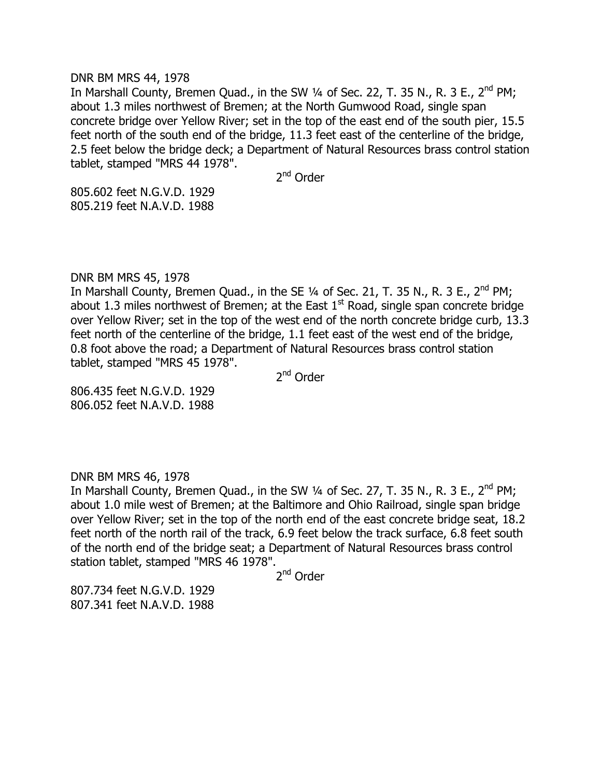#### DNR BM MRS 44, 1978

In Marshall County, Bremen Quad., in the SW  $\frac{1}{4}$  of Sec. 22, T. 35 N., R. 3 E., 2<sup>nd</sup> PM; about 1.3 miles northwest of Bremen; at the North Gumwood Road, single span concrete bridge over Yellow River; set in the top of the east end of the south pier, 15.5 feet north of the south end of the bridge, 11.3 feet east of the centerline of the bridge, 2.5 feet below the bridge deck; a Department of Natural Resources brass control station tablet, stamped "MRS 44 1978".

2<sup>nd</sup> Order

805.602 feet N.G.V.D. 1929 805.219 feet N.A.V.D. 1988

# DNR BM MRS 45, 1978

In Marshall County, Bremen Quad., in the SE 1/4 of Sec. 21, T. 35 N., R. 3 E., 2<sup>nd</sup> PM; about 1.3 miles northwest of Bremen; at the East  $1<sup>st</sup>$  Road, single span concrete bridge over Yellow River; set in the top of the west end of the north concrete bridge curb, 13.3 feet north of the centerline of the bridge, 1.1 feet east of the west end of the bridge, 0.8 foot above the road; a Department of Natural Resources brass control station tablet, stamped "MRS 45 1978".

2<sup>nd</sup> Order

806.435 feet N.G.V.D. 1929 806.052 feet N.A.V.D. 1988

# DNR BM MRS 46, 1978

In Marshall County, Bremen Quad., in the SW  $\frac{1}{4}$  of Sec. 27, T. 35 N., R. 3 E., 2<sup>nd</sup> PM; about 1.0 mile west of Bremen; at the Baltimore and Ohio Railroad, single span bridge over Yellow River; set in the top of the north end of the east concrete bridge seat, 18.2 feet north of the north rail of the track, 6.9 feet below the track surface, 6.8 feet south of the north end of the bridge seat; a Department of Natural Resources brass control station tablet, stamped "MRS 46 1978".

2<sup>nd</sup> Order

807.734 feet N.G.V.D. 1929 807.341 feet N.A.V.D. 1988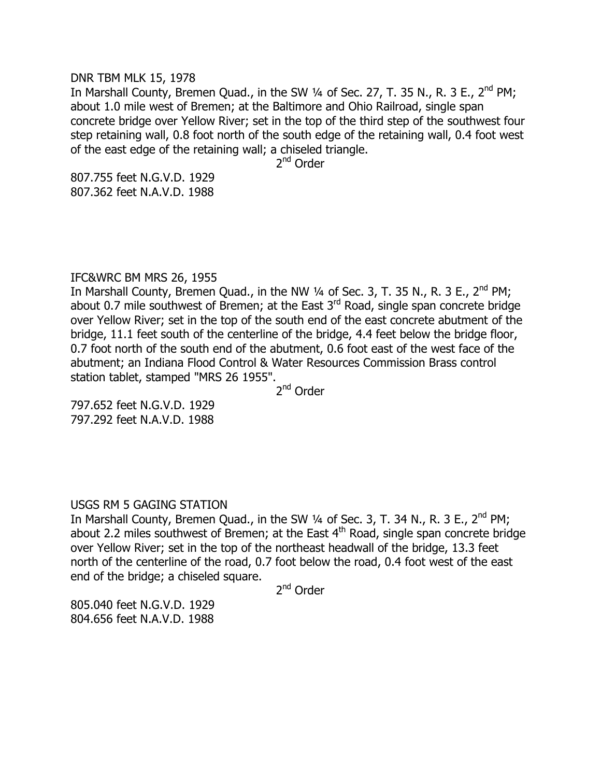#### DNR TBM MLK 15, 1978

In Marshall County, Bremen Quad., in the SW 1/4 of Sec. 27, T. 35 N., R. 3 E., 2<sup>nd</sup> PM; about 1.0 mile west of Bremen; at the Baltimore and Ohio Railroad, single span concrete bridge over Yellow River; set in the top of the third step of the southwest four step retaining wall, 0.8 foot north of the south edge of the retaining wall, 0.4 foot west of the east edge of the retaining wall; a chiseled triangle.

2<sup>nd</sup> Order

807.755 feet N.G.V.D. 1929 807.362 feet N.A.V.D. 1988

# IFC&WRC BM MRS 26, 1955

In Marshall County, Bremen Quad., in the NW  $\frac{1}{4}$  of Sec. 3, T. 35 N., R. 3 E., 2<sup>nd</sup> PM; about 0.7 mile southwest of Bremen; at the East  $3<sup>rd</sup>$  Road, single span concrete bridge over Yellow River; set in the top of the south end of the east concrete abutment of the bridge, 11.1 feet south of the centerline of the bridge, 4.4 feet below the bridge floor, 0.7 foot north of the south end of the abutment, 0.6 foot east of the west face of the abutment; an Indiana Flood Control & Water Resources Commission Brass control station tablet, stamped "MRS 26 1955".

2<sup>nd</sup> Order

797.652 feet N.G.V.D. 1929 797.292 feet N.A.V.D. 1988

# USGS RM 5 GAGING STATION

In Marshall County, Bremen Quad., in the SW  $\frac{1}{4}$  of Sec. 3, T. 34 N., R. 3 E., 2<sup>nd</sup> PM; about 2.2 miles southwest of Bremen; at the East  $4<sup>th</sup>$  Road, single span concrete bridge over Yellow River; set in the top of the northeast headwall of the bridge, 13.3 feet north of the centerline of the road, 0.7 foot below the road, 0.4 foot west of the east end of the bridge; a chiseled square.

2<sup>nd</sup> Order

805.040 feet N.G.V.D. 1929 804.656 feet N.A.V.D. 1988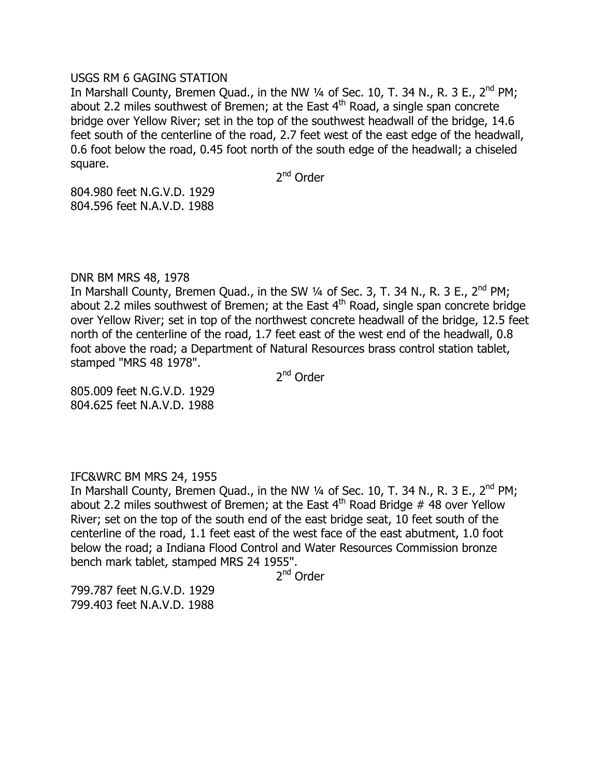# USGS RM 6 GAGING STATION

In Marshall County, Bremen Quad., in the NW  $\frac{1}{4}$  of Sec. 10, T. 34 N., R. 3 E., 2<sup>nd</sup> PM; about 2.2 miles southwest of Bremen; at the East  $4<sup>th</sup>$  Road, a single span concrete bridge over Yellow River; set in the top of the southwest headwall of the bridge, 14.6 feet south of the centerline of the road, 2.7 feet west of the east edge of the headwall, 0.6 foot below the road, 0.45 foot north of the south edge of the headwall; a chiseled square.

2<sup>nd</sup> Order

804.980 feet N.G.V.D. 1929 804.596 feet N.A.V.D. 1988

# DNR BM MRS 48, 1978

In Marshall County, Bremen Quad., in the SW  $\frac{1}{4}$  of Sec. 3, T. 34 N., R. 3 E., 2<sup>nd</sup> PM; about 2.2 miles southwest of Bremen; at the East  $4<sup>th</sup>$  Road, single span concrete bridge over Yellow River; set in top of the northwest concrete headwall of the bridge, 12.5 feet north of the centerline of the road, 1.7 feet east of the west end of the headwall, 0.8 foot above the road; a Department of Natural Resources brass control station tablet, stamped "MRS 48 1978".

2<sup>nd</sup> Order

805.009 feet N.G.V.D. 1929 804.625 feet N.A.V.D. 1988

# IFC&WRC BM MRS 24, 1955

In Marshall County, Bremen Quad., in the NW  $\frac{1}{4}$  of Sec. 10, T. 34 N., R. 3 E., 2<sup>nd</sup> PM; about 2.2 miles southwest of Bremen; at the East  $4<sup>th</sup>$  Road Bridge # 48 over Yellow River; set on the top of the south end of the east bridge seat, 10 feet south of the centerline of the road, 1.1 feet east of the west face of the east abutment, 1.0 foot below the road; a Indiana Flood Control and Water Resources Commission bronze bench mark tablet, stamped MRS 24 1955".

2<sup>nd</sup> Order

799.787 feet N.G.V.D. 1929 799.403 feet N.A.V.D. 1988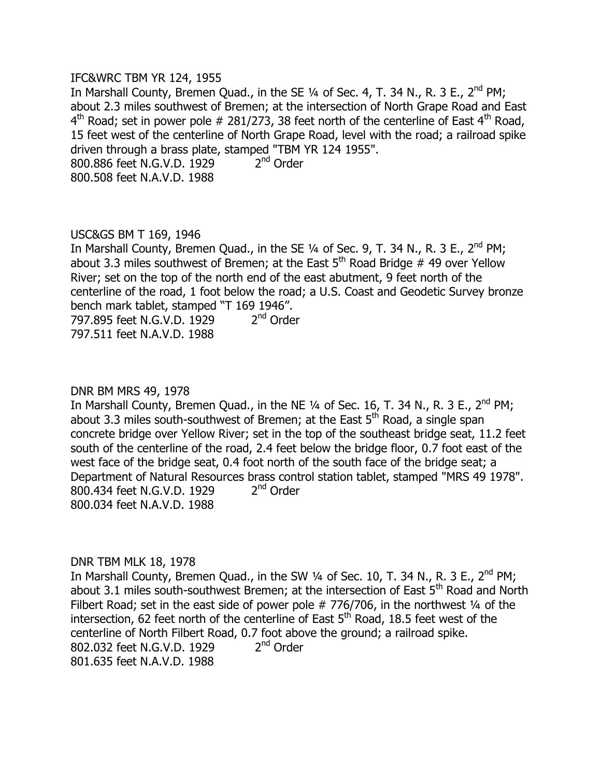## IFC&WRC TBM YR 124, 1955

In Marshall County, Bremen Quad., in the SE  $\frac{1}{4}$  of Sec. 4, T. 34 N., R. 3 E., 2<sup>nd</sup> PM; about 2.3 miles southwest of Bremen; at the intersection of North Grape Road and East  $4^{\text{th}}$  Road; set in power pole # 281/273, 38 feet north of the centerline of East  $4^{\text{th}}$  Road, 15 feet west of the centerline of North Grape Road, level with the road; a railroad spike driven through a brass plate, stamped "TBM YR 124 1955". 800.886 feet N.G.V.D. 1929 2  $2<sup>nd</sup>$  Order 800.508 feet N.A.V.D. 1988

# USC&GS BM T 169, 1946

In Marshall County, Bremen Quad., in the SE  $\frac{1}{4}$  of Sec. 9, T. 34 N., R. 3 E., 2<sup>nd</sup> PM; about 3.3 miles southwest of Bremen; at the East  $5<sup>th</sup>$  Road Bridge # 49 over Yellow River; set on the top of the north end of the east abutment, 9 feet north of the centerline of the road, 1 foot below the road; a U.S. Coast and Geodetic Survey bronze bench mark tablet, stamped "T 169 1946". 797.895 feet N.G.V.D. 1929 2  $2<sup>nd</sup>$  Order 797.511 feet N.A.V.D. 1988

# DNR BM MRS 49, 1978

In Marshall County, Bremen Quad., in the NE  $\frac{1}{4}$  of Sec. 16, T. 34 N., R. 3 E., 2<sup>nd</sup> PM; about 3.3 miles south-southwest of Bremen; at the East  $5<sup>th</sup>$  Road, a single span concrete bridge over Yellow River; set in the top of the southeast bridge seat, 11.2 feet south of the centerline of the road, 2.4 feet below the bridge floor, 0.7 foot east of the west face of the bridge seat, 0.4 foot north of the south face of the bridge seat; a Department of Natural Resources brass control station tablet, stamped "MRS 49 1978". 800.434 feet N.G.V.D. 1929 2  $2<sup>nd</sup>$  Order 800.034 feet N.A.V.D. 1988

# DNR TBM MLK 18, 1978

In Marshall County, Bremen Quad., in the SW  $\frac{1}{4}$  of Sec. 10, T. 34 N., R. 3 E., 2<sup>nd</sup> PM; about 3.1 miles south-southwest Bremen; at the intersection of East  $5<sup>th</sup>$  Road and North Filbert Road; set in the east side of power pole  $# 776/706$ , in the northwest  $\frac{1}{4}$  of the intersection, 62 feet north of the centerline of East  $5<sup>th</sup>$  Road, 18.5 feet west of the centerline of North Filbert Road, 0.7 foot above the ground; a railroad spike. 802.032 feet N.G.V.D. 1929 2  $2<sup>nd</sup>$  Order 801.635 feet N.A.V.D. 1988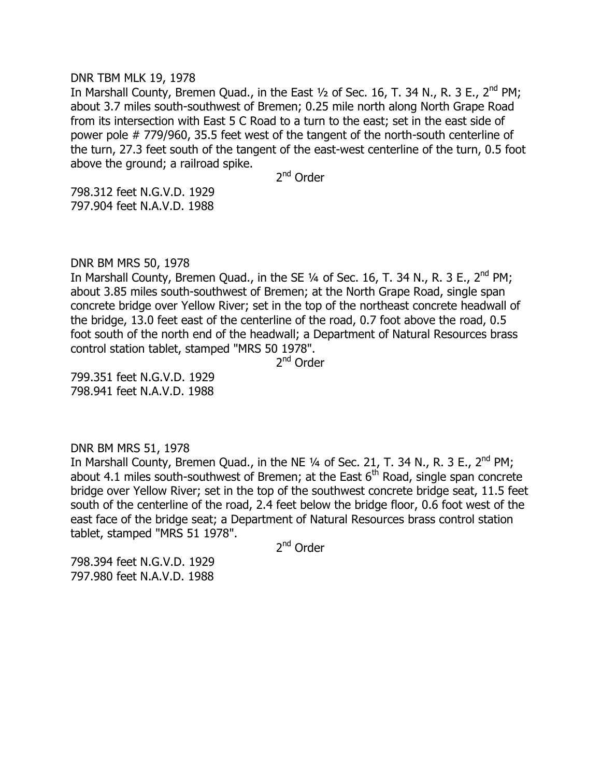#### DNR TBM MLK 19, 1978

In Marshall County, Bremen Quad., in the East  $\frac{1}{2}$  of Sec. 16, T. 34 N., R. 3 E., 2<sup>nd</sup> PM; about 3.7 miles south-southwest of Bremen; 0.25 mile north along North Grape Road from its intersection with East 5 C Road to a turn to the east; set in the east side of power pole # 779/960, 35.5 feet west of the tangent of the north-south centerline of the turn, 27.3 feet south of the tangent of the east-west centerline of the turn, 0.5 foot above the ground; a railroad spike.

2<sup>nd</sup> Order

798.312 feet N.G.V.D. 1929 797.904 feet N.A.V.D. 1988

DNR BM MRS 50, 1978

In Marshall County, Bremen Quad., in the SE  $\frac{1}{4}$  of Sec. 16, T. 34 N., R. 3 E., 2<sup>nd</sup> PM; about 3.85 miles south-southwest of Bremen; at the North Grape Road, single span concrete bridge over Yellow River; set in the top of the northeast concrete headwall of the bridge, 13.0 feet east of the centerline of the road, 0.7 foot above the road, 0.5 foot south of the north end of the headwall; a Department of Natural Resources brass control station tablet, stamped "MRS 50 1978".

2<sup>nd</sup> Order

799.351 feet N.G.V.D. 1929 798.941 feet N.A.V.D. 1988

DNR BM MRS 51, 1978

In Marshall County, Bremen Quad., in the NE  $\frac{1}{4}$  of Sec. 21, T. 34 N., R. 3 E., 2<sup>nd</sup> PM; about 4.1 miles south-southwest of Bremen; at the East  $6<sup>th</sup>$  Road, single span concrete bridge over Yellow River; set in the top of the southwest concrete bridge seat, 11.5 feet south of the centerline of the road, 2.4 feet below the bridge floor, 0.6 foot west of the east face of the bridge seat; a Department of Natural Resources brass control station tablet, stamped "MRS 51 1978".

2<sup>nd</sup> Order

798.394 feet N.G.V.D. 1929 797.980 feet N.A.V.D. 1988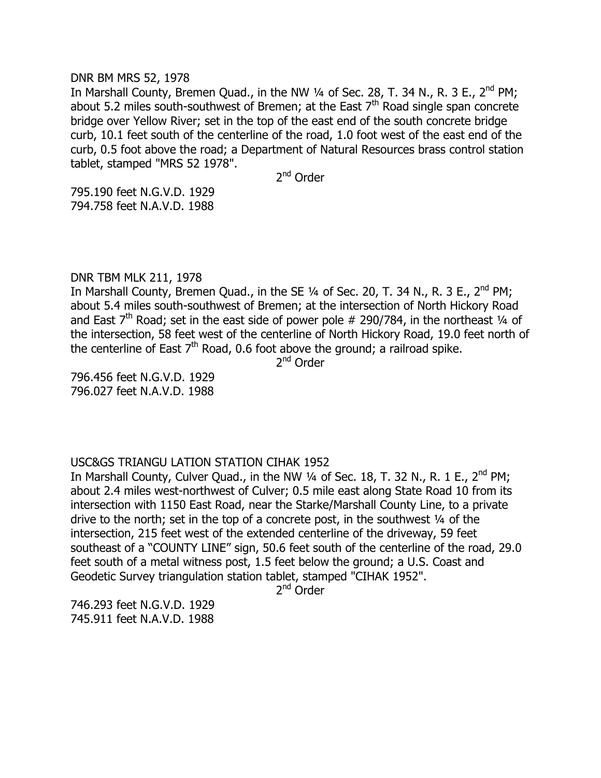#### DNR BM MRS 52, 1978

In Marshall County, Bremen Quad., in the NW  $\frac{1}{4}$  of Sec. 28, T. 34 N., R. 3 E., 2<sup>nd</sup> PM; about 5.2 miles south-southwest of Bremen; at the East  $7<sup>th</sup>$  Road single span concrete bridge over Yellow River; set in the top of the east end of the south concrete bridge curb, 10.1 feet south of the centerline of the road, 1.0 foot west of the east end of the curb, 0.5 foot above the road; a Department of Natural Resources brass control station tablet, stamped "MRS 52 1978".

2<sup>nd</sup> Order

795.190 feet N.G.V.D. 1929 794.758 feet N.A.V.D. 1988

# DNR TBM MLK 211, 1978

In Marshall County, Bremen Quad., in the SE  $1/4$  of Sec. 20, T. 34 N., R. 3 E., 2<sup>nd</sup> PM; about 5.4 miles south-southwest of Bremen; at the intersection of North Hickory Road and East  $7<sup>th</sup>$  Road; set in the east side of power pole # 290/784, in the northeast  $\frac{1}{4}$  of the intersection, 58 feet west of the centerline of North Hickory Road, 19.0 feet north of the centerline of East  $7<sup>th</sup>$  Road, 0.6 foot above the ground; a railroad spike.

2<sup>nd</sup> Order

796.456 feet N.G.V.D. 1929 796.027 feet N.A.V.D. 1988

# USC&GS TRIANGU LATION STATION CIHAK 1952

In Marshall County, Culver Quad., in the NW  $1/4$  of Sec. 18, T. 32 N., R. 1 E., 2<sup>nd</sup> PM; about 2.4 miles west-northwest of Culver; 0.5 mile east along State Road 10 from its intersection with 1150 East Road, near the Starke/Marshall County Line, to a private drive to the north; set in the top of a concrete post, in the southwest ¼ of the intersection, 215 feet west of the extended centerline of the driveway, 59 feet southeast of a "COUNTY LINE" sign, 50.6 feet south of the centerline of the road, 29.0 feet south of a metal witness post, 1.5 feet below the ground; a U.S. Coast and Geodetic Survey triangulation station tablet, stamped "CIHAK 1952".

2<sup>nd</sup> Order

746.293 feet N.G.V.D. 1929 745.911 feet N.A.V.D. 1988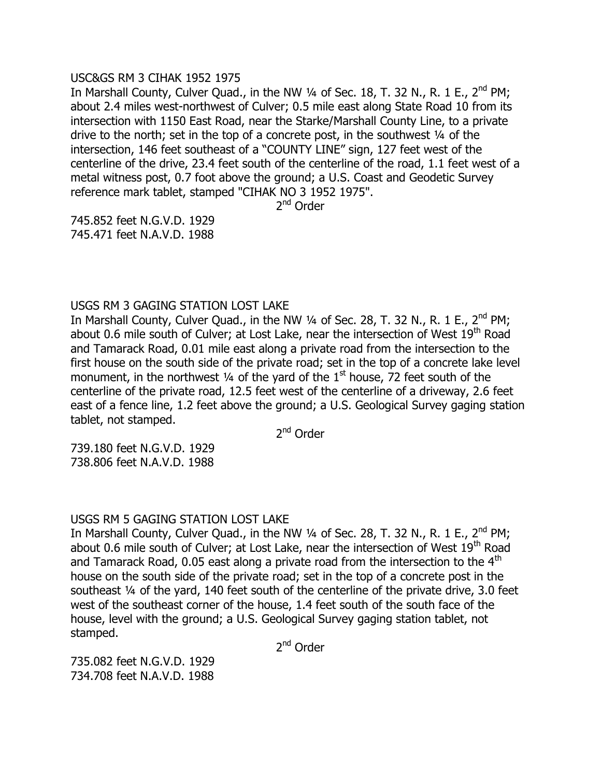# USC&GS RM 3 CIHAK 1952 1975

In Marshall County, Culver Ouad., in the NW  $\frac{1}{4}$  of Sec. 18, T. 32 N., R. 1 E., 2<sup>nd</sup> PM; about 2.4 miles west-northwest of Culver; 0.5 mile east along State Road 10 from its intersection with 1150 East Road, near the Starke/Marshall County Line, to a private drive to the north; set in the top of a concrete post, in the southwest ¼ of the intersection, 146 feet southeast of a "COUNTY LINE" sign, 127 feet west of the centerline of the drive, 23.4 feet south of the centerline of the road, 1.1 feet west of a metal witness post, 0.7 foot above the ground; a U.S. Coast and Geodetic Survey reference mark tablet, stamped "CIHAK NO 3 1952 1975".

2<sup>nd</sup> Order

745.852 feet N.G.V.D. 1929 745.471 feet N.A.V.D. 1988

USGS RM 3 GAGING STATION LOST LAKE

In Marshall County, Culver Quad., in the NW  $\frac{1}{4}$  of Sec. 28, T. 32 N., R. 1 E., 2<sup>nd</sup> PM; about 0.6 mile south of Culver; at Lost Lake, near the intersection of West 19<sup>th</sup> Road and Tamarack Road, 0.01 mile east along a private road from the intersection to the first house on the south side of the private road; set in the top of a concrete lake level monument, in the northwest  $\frac{1}{4}$  of the yard of the 1<sup>st</sup> house, 72 feet south of the centerline of the private road, 12.5 feet west of the centerline of a driveway, 2.6 feet east of a fence line, 1.2 feet above the ground; a U.S. Geological Survey gaging station tablet, not stamped.

2<sup>nd</sup> Order

739.180 feet N.G.V.D. 1929 738.806 feet N.A.V.D. 1988

# USGS RM 5 GAGING STATION LOST LAKE

In Marshall County, Culver Quad., in the NW  $\frac{1}{4}$  of Sec. 28, T. 32 N., R. 1 E., 2<sup>nd</sup> PM; about 0.6 mile south of Culver; at Lost Lake, near the intersection of West 19<sup>th</sup> Road and Tamarack Road, 0.05 east along a private road from the intersection to the  $4<sup>th</sup>$ house on the south side of the private road; set in the top of a concrete post in the southeast ¼ of the yard, 140 feet south of the centerline of the private drive, 3.0 feet west of the southeast corner of the house, 1.4 feet south of the south face of the house, level with the ground; a U.S. Geological Survey gaging station tablet, not stamped.

2<sup>nd</sup> Order

735.082 feet N.G.V.D. 1929 734.708 feet N.A.V.D. 1988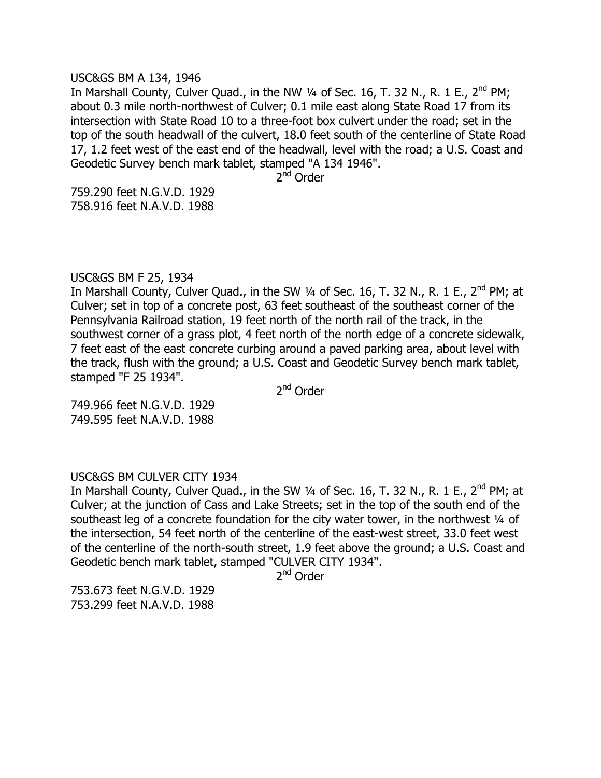#### USC&GS BM A 134, 1946

In Marshall County, Culver Quad., in the NW  $\frac{1}{4}$  of Sec. 16, T. 32 N., R. 1 E., 2<sup>nd</sup> PM; about 0.3 mile north-northwest of Culver; 0.1 mile east along State Road 17 from its intersection with State Road 10 to a three-foot box culvert under the road; set in the top of the south headwall of the culvert, 18.0 feet south of the centerline of State Road 17, 1.2 feet west of the east end of the headwall, level with the road; a U.S. Coast and Geodetic Survey bench mark tablet, stamped "A 134 1946".

2<sup>nd</sup> Order

759.290 feet N.G.V.D. 1929 758.916 feet N.A.V.D. 1988

# USC&GS BM F 25, 1934

In Marshall County, Culver Quad., in the SW  $\frac{1}{4}$  of Sec. 16, T. 32 N., R. 1 E., 2<sup>nd</sup> PM; at Culver; set in top of a concrete post, 63 feet southeast of the southeast corner of the Pennsylvania Railroad station, 19 feet north of the north rail of the track, in the southwest corner of a grass plot, 4 feet north of the north edge of a concrete sidewalk, 7 feet east of the east concrete curbing around a paved parking area, about level with the track, flush with the ground; a U.S. Coast and Geodetic Survey bench mark tablet, stamped "F 25 1934".

2<sup>nd</sup> Order

749.966 feet N.G.V.D. 1929 749.595 feet N.A.V.D. 1988

# USC&GS BM CULVER CITY 1934

In Marshall County, Culver Quad., in the SW  $\frac{1}{4}$  of Sec. 16, T. 32 N., R. 1 E., 2<sup>nd</sup> PM; at Culver; at the junction of Cass and Lake Streets; set in the top of the south end of the southeast leg of a concrete foundation for the city water tower, in the northwest 1/4 of the intersection, 54 feet north of the centerline of the east-west street, 33.0 feet west of the centerline of the north-south street, 1.9 feet above the ground; a U.S. Coast and Geodetic bench mark tablet, stamped "CULVER CITY 1934".

2<sup>nd</sup> Order

753.673 feet N.G.V.D. 1929 753.299 feet N.A.V.D. 1988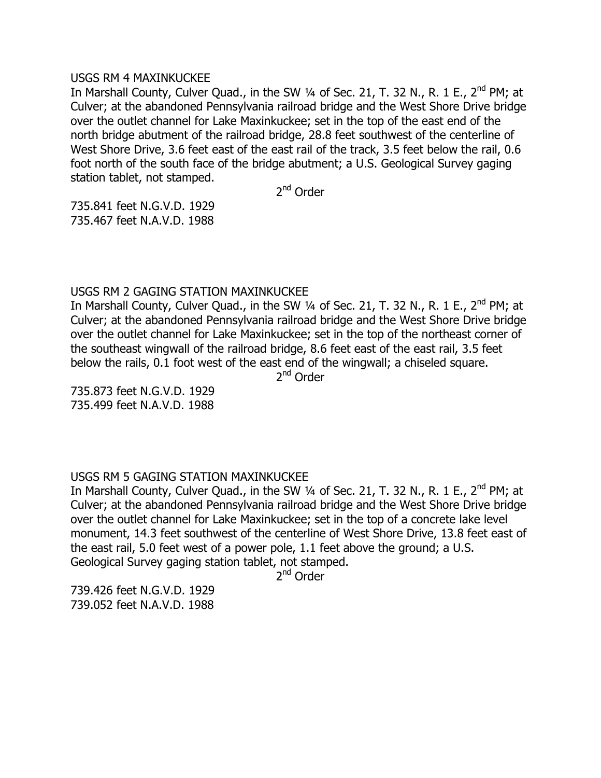# USGS RM 4 MAXINKUCKEE

In Marshall County, Culver Ouad., in the SW  $\frac{1}{4}$  of Sec. 21, T. 32 N., R. 1 E., 2<sup>nd</sup> PM; at Culver; at the abandoned Pennsylvania railroad bridge and the West Shore Drive bridge over the outlet channel for Lake Maxinkuckee; set in the top of the east end of the north bridge abutment of the railroad bridge, 28.8 feet southwest of the centerline of West Shore Drive, 3.6 feet east of the east rail of the track, 3.5 feet below the rail, 0.6 foot north of the south face of the bridge abutment; a U.S. Geological Survey gaging station tablet, not stamped.

2<sup>nd</sup> Order

735.841 feet N.G.V.D. 1929 735.467 feet N.A.V.D. 1988

# USGS RM 2 GAGING STATION MAXINKUCKEE

In Marshall County, Culver Quad., in the SW  $\frac{1}{4}$  of Sec. 21, T. 32 N., R. 1 E., 2<sup>nd</sup> PM; at Culver; at the abandoned Pennsylvania railroad bridge and the West Shore Drive bridge over the outlet channel for Lake Maxinkuckee; set in the top of the northeast corner of the southeast wingwall of the railroad bridge, 8.6 feet east of the east rail, 3.5 feet below the rails, 0.1 foot west of the east end of the wingwall; a chiseled square.

2<sup>nd</sup> Order

735.873 feet N.G.V.D. 1929 735.499 feet N.A.V.D. 1988

# USGS RM 5 GAGING STATION MAXINKUCKEE

In Marshall County, Culver Quad., in the SW  $\frac{1}{4}$  of Sec. 21, T. 32 N., R. 1 E., 2<sup>nd</sup> PM; at Culver; at the abandoned Pennsylvania railroad bridge and the West Shore Drive bridge over the outlet channel for Lake Maxinkuckee; set in the top of a concrete lake level monument, 14.3 feet southwest of the centerline of West Shore Drive, 13.8 feet east of the east rail, 5.0 feet west of a power pole, 1.1 feet above the ground; a U.S. Geological Survey gaging station tablet, not stamped.

2<sup>nd</sup> Order

739.426 feet N.G.V.D. 1929 739.052 feet N.A.V.D. 1988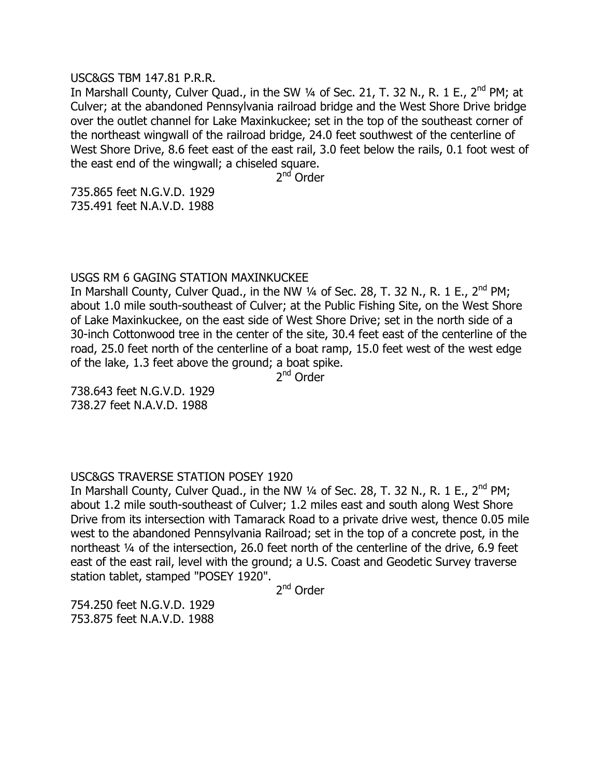# USC&GS TBM 147.81 P.R.R.

In Marshall County, Culver Quad., in the SW  $\frac{1}{4}$  of Sec. 21, T. 32 N., R. 1 E., 2<sup>nd</sup> PM; at Culver; at the abandoned Pennsylvania railroad bridge and the West Shore Drive bridge over the outlet channel for Lake Maxinkuckee; set in the top of the southeast corner of the northeast wingwall of the railroad bridge, 24.0 feet southwest of the centerline of West Shore Drive, 8.6 feet east of the east rail, 3.0 feet below the rails, 0.1 foot west of the east end of the wingwall; a chiseled square.

2<sup>nd</sup> Order

735.865 feet N.G.V.D. 1929 735.491 feet N.A.V.D. 1988

# USGS RM 6 GAGING STATION MAXINKUCKEE

In Marshall County, Culver Quad., in the NW  $\frac{1}{4}$  of Sec. 28, T. 32 N., R. 1 E., 2<sup>nd</sup> PM; about 1.0 mile south-southeast of Culver; at the Public Fishing Site, on the West Shore of Lake Maxinkuckee, on the east side of West Shore Drive; set in the north side of a 30-inch Cottonwood tree in the center of the site, 30.4 feet east of the centerline of the road, 25.0 feet north of the centerline of a boat ramp, 15.0 feet west of the west edge of the lake, 1.3 feet above the ground; a boat spike.

2<sup>nd</sup> Order

738.643 feet N.G.V.D. 1929 738.27 feet N.A.V.D. 1988

# USC&GS TRAVERSE STATION POSEY 1920

In Marshall County, Culver Quad., in the NW 1/4 of Sec. 28, T. 32 N., R. 1 E., 2<sup>nd</sup> PM; about 1.2 mile south-southeast of Culver; 1.2 miles east and south along West Shore Drive from its intersection with Tamarack Road to a private drive west, thence 0.05 mile west to the abandoned Pennsylvania Railroad; set in the top of a concrete post, in the northeast ¼ of the intersection, 26.0 feet north of the centerline of the drive, 6.9 feet east of the east rail, level with the ground; a U.S. Coast and Geodetic Survey traverse station tablet, stamped "POSEY 1920".

2<sup>nd</sup> Order

754.250 feet N.G.V.D. 1929 753.875 feet N.A.V.D. 1988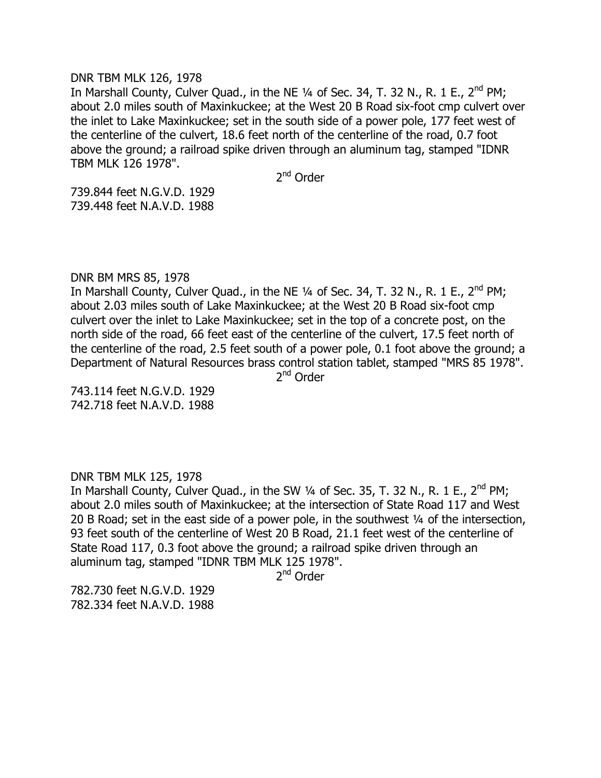#### DNR TBM MLK 126, 1978

In Marshall County, Culver Ouad., in the NE  $\frac{1}{4}$  of Sec. 34, T. 32 N., R. 1 E., 2<sup>nd</sup> PM; about 2.0 miles south of Maxinkuckee; at the West 20 B Road six-foot cmp culvert over the inlet to Lake Maxinkuckee; set in the south side of a power pole, 177 feet west of the centerline of the culvert, 18.6 feet north of the centerline of the road, 0.7 foot above the ground; a railroad spike driven through an aluminum tag, stamped "IDNR TBM MLK 126 1978".

2<sup>nd</sup> Order

739.844 feet N.G.V.D. 1929 739.448 feet N.A.V.D. 1988

# DNR BM MRS 85, 1978

In Marshall County, Culver Quad., in the NE  $\frac{1}{4}$  of Sec. 34, T. 32 N., R. 1 E., 2<sup>nd</sup> PM; about 2.03 miles south of Lake Maxinkuckee; at the West 20 B Road six-foot cmp culvert over the inlet to Lake Maxinkuckee; set in the top of a concrete post, on the north side of the road, 66 feet east of the centerline of the culvert, 17.5 feet north of the centerline of the road, 2.5 feet south of a power pole, 0.1 foot above the ground; a Department of Natural Resources brass control station tablet, stamped "MRS 85 1978".

2<sup>nd</sup> Order

743.114 feet N.G.V.D. 1929 742.718 feet N.A.V.D. 1988

# DNR TBM MLK 125, 1978

In Marshall County, Culver Quad., in the SW  $\frac{1}{4}$  of Sec. 35, T. 32 N., R. 1 E., 2<sup>nd</sup> PM; about 2.0 miles south of Maxinkuckee; at the intersection of State Road 117 and West 20 B Road; set in the east side of a power pole, in the southwest 1/4 of the intersection, 93 feet south of the centerline of West 20 B Road, 21.1 feet west of the centerline of State Road 117, 0.3 foot above the ground; a railroad spike driven through an aluminum tag, stamped "IDNR TBM MLK 125 1978".

2<sup>nd</sup> Order

782.730 feet N.G.V.D. 1929 782.334 feet N.A.V.D. 1988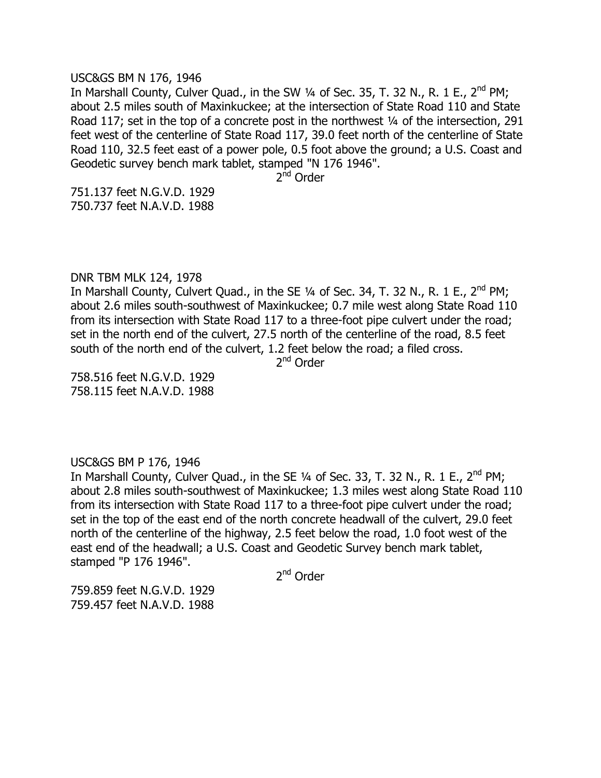#### USC&GS BM N 176, 1946

In Marshall County, Culver Quad., in the SW  $\frac{1}{4}$  of Sec. 35, T. 32 N., R. 1 E., 2<sup>nd</sup> PM; about 2.5 miles south of Maxinkuckee; at the intersection of State Road 110 and State Road 117; set in the top of a concrete post in the northwest  $\frac{1}{4}$  of the intersection, 291 feet west of the centerline of State Road 117, 39.0 feet north of the centerline of State Road 110, 32.5 feet east of a power pole, 0.5 foot above the ground; a U.S. Coast and Geodetic survey bench mark tablet, stamped "N 176 1946".

2<sup>nd</sup> Order

751.137 feet N.G.V.D. 1929 750.737 feet N.A.V.D. 1988

# DNR TBM MLK 124, 1978

In Marshall County, Culvert Quad., in the SE  $\frac{1}{4}$  of Sec. 34, T. 32 N., R. 1 E., 2<sup>nd</sup> PM; about 2.6 miles south-southwest of Maxinkuckee; 0.7 mile west along State Road 110 from its intersection with State Road 117 to a three-foot pipe culvert under the road; set in the north end of the culvert, 27.5 north of the centerline of the road, 8.5 feet south of the north end of the culvert, 1.2 feet below the road; a filed cross.

2<sup>nd</sup> Order

758.516 feet N.G.V.D. 1929 758.115 feet N.A.V.D. 1988

# USC&GS BM P 176, 1946

In Marshall County, Culver Quad., in the SE 1/4 of Sec. 33, T. 32 N., R. 1 E., 2<sup>nd</sup> PM; about 2.8 miles south-southwest of Maxinkuckee; 1.3 miles west along State Road 110 from its intersection with State Road 117 to a three-foot pipe culvert under the road; set in the top of the east end of the north concrete headwall of the culvert, 29.0 feet north of the centerline of the highway, 2.5 feet below the road, 1.0 foot west of the east end of the headwall; a U.S. Coast and Geodetic Survey bench mark tablet, stamped "P 176 1946".

2<sup>nd</sup> Order

759.859 feet N.G.V.D. 1929 759.457 feet N.A.V.D. 1988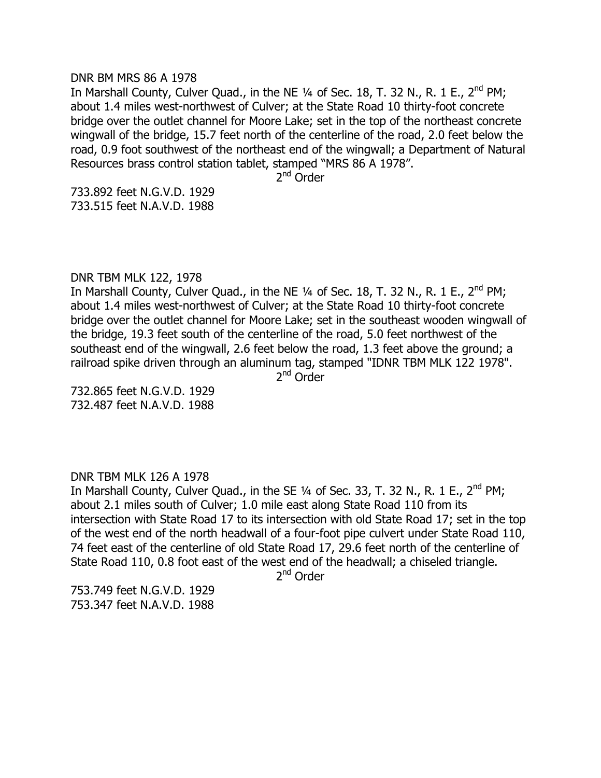#### DNR BM MRS 86 A 1978

In Marshall County, Culver Quad., in the NE  $\frac{1}{4}$  of Sec. 18, T. 32 N., R. 1 E., 2<sup>nd</sup> PM; about 1.4 miles west-northwest of Culver; at the State Road 10 thirty-foot concrete bridge over the outlet channel for Moore Lake; set in the top of the northeast concrete wingwall of the bridge, 15.7 feet north of the centerline of the road, 2.0 feet below the road, 0.9 foot southwest of the northeast end of the wingwall; a Department of Natural Resources brass control station tablet, stamped "MRS 86 A 1978".

2<sup>nd</sup> Order

733.892 feet N.G.V.D. 1929 733.515 feet N.A.V.D. 1988

# DNR TBM MLK 122, 1978

In Marshall County, Culver Quad., in the NE  $\frac{1}{4}$  of Sec. 18, T. 32 N., R. 1 E., 2<sup>nd</sup> PM; about 1.4 miles west-northwest of Culver; at the State Road 10 thirty-foot concrete bridge over the outlet channel for Moore Lake; set in the southeast wooden wingwall of the bridge, 19.3 feet south of the centerline of the road, 5.0 feet northwest of the southeast end of the wingwall, 2.6 feet below the road, 1.3 feet above the ground; a railroad spike driven through an aluminum tag, stamped "IDNR TBM MLK 122 1978".

2<sup>nd</sup> Order

732.865 feet N.G.V.D. 1929 732.487 feet N.A.V.D. 1988

# DNR TBM MLK 126 A 1978

In Marshall County, Culver Quad., in the SE  $\frac{1}{4}$  of Sec. 33, T. 32 N., R. 1 E., 2<sup>nd</sup> PM; about 2.1 miles south of Culver; 1.0 mile east along State Road 110 from its intersection with State Road 17 to its intersection with old State Road 17; set in the top of the west end of the north headwall of a four-foot pipe culvert under State Road 110, 74 feet east of the centerline of old State Road 17, 29.6 feet north of the centerline of State Road 110, 0.8 foot east of the west end of the headwall; a chiseled triangle.

2<sup>nd</sup> Order

753.749 feet N.G.V.D. 1929 753.347 feet N.A.V.D. 1988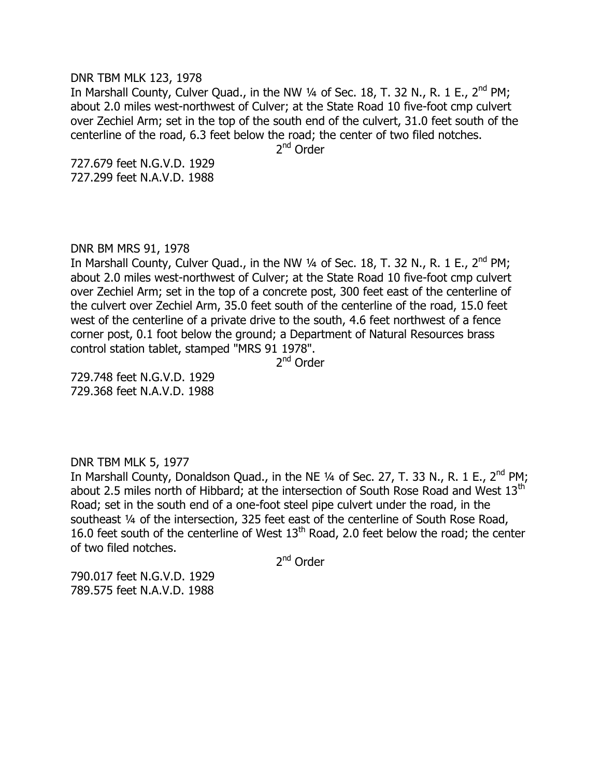DNR TBM MLK 123, 1978

In Marshall County, Culver Quad., in the NW 1/4 of Sec. 18, T. 32 N., R. 1 E., 2<sup>nd</sup> PM; about 2.0 miles west-northwest of Culver; at the State Road 10 five-foot cmp culvert over Zechiel Arm; set in the top of the south end of the culvert, 31.0 feet south of the centerline of the road, 6.3 feet below the road; the center of two filed notches.

2<sup>nd</sup> Order

727.679 feet N.G.V.D. 1929 727.299 feet N.A.V.D. 1988

DNR BM MRS 91, 1978

In Marshall County, Culver Quad., in the NW 1/4 of Sec. 18, T. 32 N., R. 1 E., 2<sup>nd</sup> PM; about 2.0 miles west-northwest of Culver; at the State Road 10 five-foot cmp culvert over Zechiel Arm; set in the top of a concrete post, 300 feet east of the centerline of the culvert over Zechiel Arm, 35.0 feet south of the centerline of the road, 15.0 feet west of the centerline of a private drive to the south, 4.6 feet northwest of a fence corner post, 0.1 foot below the ground; a Department of Natural Resources brass control station tablet, stamped "MRS 91 1978".

2<sup>nd</sup> Order

729.748 feet N.G.V.D. 1929 729.368 feet N.A.V.D. 1988

# DNR TBM MLK 5, 1977

In Marshall County, Donaldson Quad., in the NE  $\frac{1}{4}$  of Sec. 27, T. 33 N., R. 1 E., 2<sup>nd</sup> PM; about 2.5 miles north of Hibbard; at the intersection of South Rose Road and West 13<sup>th</sup> Road; set in the south end of a one-foot steel pipe culvert under the road, in the southeast ¼ of the intersection, 325 feet east of the centerline of South Rose Road, 16.0 feet south of the centerline of West  $13<sup>th</sup>$  Road, 2.0 feet below the road; the center of two filed notches.

2<sup>nd</sup> Order

790.017 feet N.G.V.D. 1929 789.575 feet N.A.V.D. 1988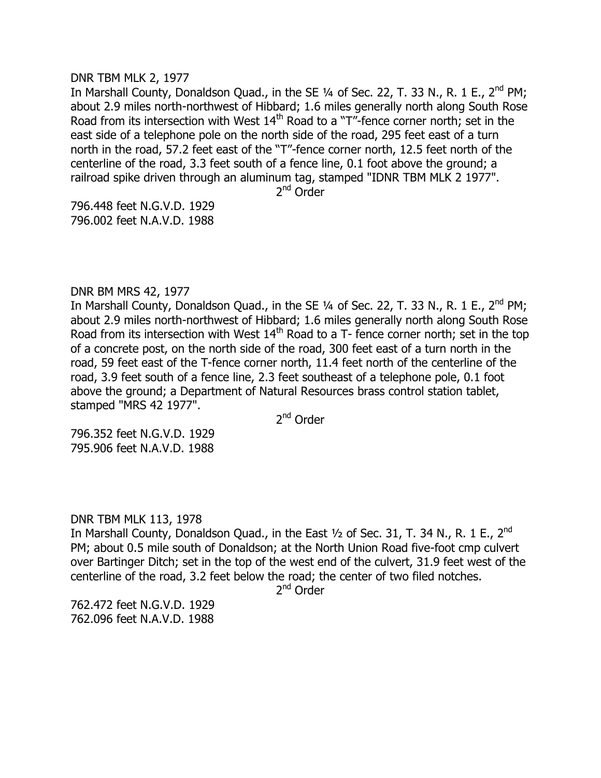#### DNR TBM MLK 2, 1977

In Marshall County, Donaldson Quad., in the SE  $\frac{1}{4}$  of Sec. 22, T. 33 N., R. 1 E., 2<sup>nd</sup> PM; about 2.9 miles north-northwest of Hibbard; 1.6 miles generally north along South Rose Road from its intersection with West  $14<sup>th</sup>$  Road to a "T"-fence corner north; set in the east side of a telephone pole on the north side of the road, 295 feet east of a turn north in the road, 57.2 feet east of the "T"-fence corner north, 12.5 feet north of the centerline of the road, 3.3 feet south of a fence line, 0.1 foot above the ground; a railroad spike driven through an aluminum tag, stamped "IDNR TBM MLK 2 1977".

2<sup>nd</sup> Order

796.448 feet N.G.V.D. 1929 796.002 feet N.A.V.D. 1988

# DNR BM MRS 42, 1977

In Marshall County, Donaldson Quad., in the SE  $\frac{1}{4}$  of Sec. 22, T. 33 N., R. 1 E., 2<sup>nd</sup> PM; about 2.9 miles north-northwest of Hibbard; 1.6 miles generally north along South Rose Road from its intersection with West  $14<sup>th</sup>$  Road to a T- fence corner north; set in the top of a concrete post, on the north side of the road, 300 feet east of a turn north in the road, 59 feet east of the T-fence corner north, 11.4 feet north of the centerline of the road, 3.9 feet south of a fence line, 2.3 feet southeast of a telephone pole, 0.1 foot above the ground; a Department of Natural Resources brass control station tablet, stamped "MRS 42 1977".

2<sup>nd</sup> Order

796.352 feet N.G.V.D. 1929 795.906 feet N.A.V.D. 1988

# DNR TBM MLK 113, 1978

In Marshall County, Donaldson Quad., in the East  $\frac{1}{2}$  of Sec. 31, T. 34 N., R. 1 E., 2<sup>nd</sup> PM; about 0.5 mile south of Donaldson; at the North Union Road five-foot cmp culvert over Bartinger Ditch; set in the top of the west end of the culvert, 31.9 feet west of the centerline of the road, 3.2 feet below the road; the center of two filed notches.

2<sup>nd</sup> Order

762.472 feet N.G.V.D. 1929 762.096 feet N.A.V.D. 1988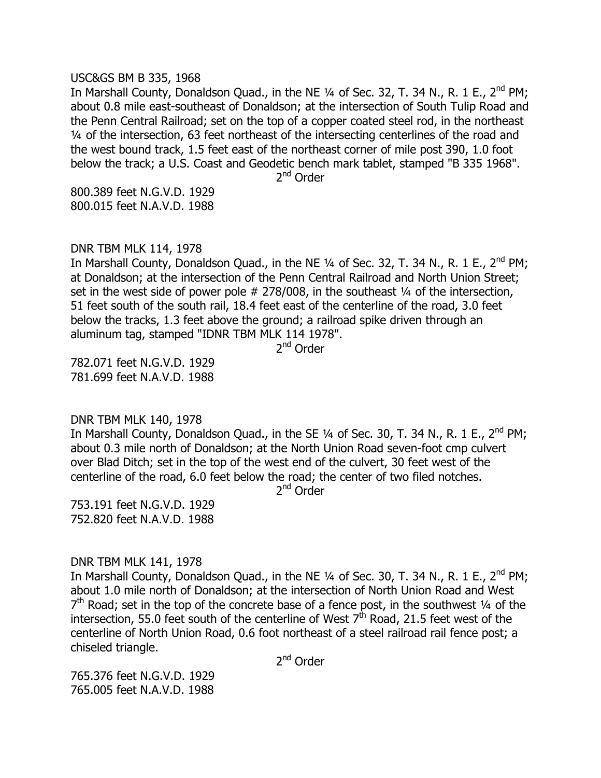#### USC&GS BM B 335, 1968

In Marshall County, Donaldson Quad., in the NE  $\frac{1}{4}$  of Sec. 32, T. 34 N., R. 1 E., 2<sup>nd</sup> PM; about 0.8 mile east-southeast of Donaldson; at the intersection of South Tulip Road and the Penn Central Railroad; set on the top of a copper coated steel rod, in the northeast ¼ of the intersection, 63 feet northeast of the intersecting centerlines of the road and the west bound track, 1.5 feet east of the northeast corner of mile post 390, 1.0 foot below the track; a U.S. Coast and Geodetic bench mark tablet, stamped "B 335 1968".

2<sup>nd</sup> Order

800.389 feet N.G.V.D. 1929 800.015 feet N.A.V.D. 1988

DNR TBM MLK 114, 1978

In Marshall County, Donaldson Quad., in the NE  $\frac{1}{4}$  of Sec. 32, T. 34 N., R. 1 E., 2<sup>nd</sup> PM; at Donaldson; at the intersection of the Penn Central Railroad and North Union Street; set in the west side of power pole  $# 278/008$ , in the southeast  $\frac{1}{4}$  of the intersection, 51 feet south of the south rail, 18.4 feet east of the centerline of the road, 3.0 feet below the tracks, 1.3 feet above the ground; a railroad spike driven through an aluminum tag, stamped "IDNR TBM MLK 114 1978".

2<sup>nd</sup> Order

782.071 feet N.G.V.D. 1929 781.699 feet N.A.V.D. 1988

DNR TBM MLK 140, 1978

In Marshall County, Donaldson Quad., in the SE  $\frac{1}{4}$  of Sec. 30, T. 34 N., R. 1 E., 2<sup>nd</sup> PM; about 0.3 mile north of Donaldson; at the North Union Road seven-foot cmp culvert over Blad Ditch; set in the top of the west end of the culvert, 30 feet west of the centerline of the road, 6.0 feet below the road; the center of two filed notches.

2<sup>nd</sup> Order

753.191 feet N.G.V.D. 1929 752.820 feet N.A.V.D. 1988

# DNR TBM MLK 141, 1978

In Marshall County, Donaldson Quad., in the NE  $\frac{1}{4}$  of Sec. 30, T. 34 N., R. 1 E., 2<sup>nd</sup> PM; about 1.0 mile north of Donaldson; at the intersection of North Union Road and West  $7<sup>th</sup>$  Road; set in the top of the concrete base of a fence post, in the southwest  $\frac{1}{4}$  of the intersection, 55.0 feet south of the centerline of West  $7<sup>th</sup>$  Road, 21.5 feet west of the centerline of North Union Road, 0.6 foot northeast of a steel railroad rail fence post; a chiseled triangle.

2<sup>nd</sup> Order

765.376 feet N.G.V.D. 1929 765.005 feet N.A.V.D. 1988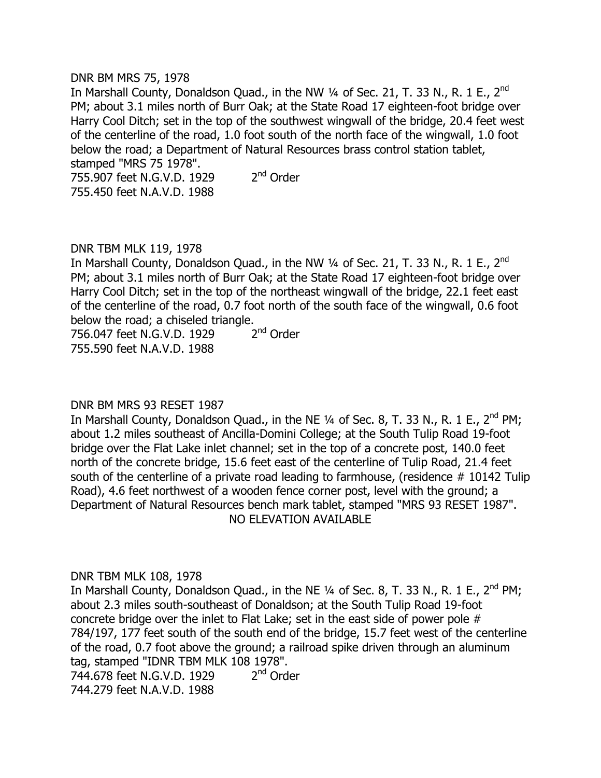# DNR BM MRS 75, 1978

In Marshall County, Donaldson Quad., in the NW  $\frac{1}{4}$  of Sec. 21, T. 33 N., R. 1 E., 2<sup>nd</sup> PM; about 3.1 miles north of Burr Oak; at the State Road 17 eighteen-foot bridge over Harry Cool Ditch; set in the top of the southwest wingwall of the bridge, 20.4 feet west of the centerline of the road, 1.0 foot south of the north face of the wingwall, 1.0 foot below the road; a Department of Natural Resources brass control station tablet, stamped "MRS 75 1978". 755.907 feet N.G.V.D. 1929 2  $2<sup>nd</sup>$  Order

755.450 feet N.A.V.D. 1988

DNR TBM MLK 119, 1978 In Marshall County, Donaldson Quad., in the NW  $\frac{1}{4}$  of Sec. 21, T. 33 N., R. 1 E., 2<sup>nd</sup> PM; about 3.1 miles north of Burr Oak; at the State Road 17 eighteen-foot bridge over Harry Cool Ditch; set in the top of the northeast wingwall of the bridge, 22.1 feet east of the centerline of the road, 0.7 foot north of the south face of the wingwall, 0.6 foot below the road; a chiseled triangle.

756.047 feet N.G.V.D. 1929 2  $2<sup>nd</sup>$  Order 755.590 feet N.A.V.D. 1988

# DNR BM MRS 93 RESET 1987

In Marshall County, Donaldson Quad., in the NE  $\frac{1}{4}$  of Sec. 8, T. 33 N., R. 1 E., 2<sup>nd</sup> PM; about 1.2 miles southeast of Ancilla-Domini College; at the South Tulip Road 19-foot bridge over the Flat Lake inlet channel; set in the top of a concrete post, 140.0 feet north of the concrete bridge, 15.6 feet east of the centerline of Tulip Road, 21.4 feet south of the centerline of a private road leading to farmhouse, (residence # 10142 Tulip Road), 4.6 feet northwest of a wooden fence corner post, level with the ground; a Department of Natural Resources bench mark tablet, stamped "MRS 93 RESET 1987". NO ELEVATION AVAILABLE

# DNR TBM MLK 108, 1978

In Marshall County, Donaldson Quad., in the NE  $\frac{1}{4}$  of Sec. 8, T. 33 N., R. 1 E., 2<sup>nd</sup> PM; about 2.3 miles south-southeast of Donaldson; at the South Tulip Road 19-foot concrete bridge over the inlet to Flat Lake; set in the east side of power pole # 784/197, 177 feet south of the south end of the bridge, 15.7 feet west of the centerline of the road, 0.7 foot above the ground; a railroad spike driven through an aluminum tag, stamped "IDNR TBM MLK 108 1978". 744.678 feet N.G.V.D. 1929 2  $2<sup>nd</sup>$  Order 744.279 feet N.A.V.D. 1988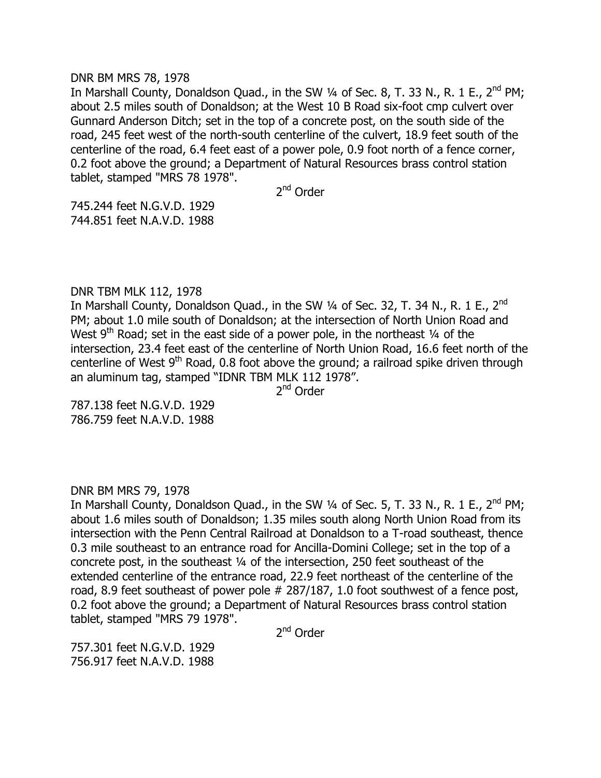#### DNR BM MRS 78, 1978

In Marshall County, Donaldson Quad., in the SW  $\frac{1}{4}$  of Sec. 8, T. 33 N., R. 1 E., 2<sup>nd</sup> PM; about 2.5 miles south of Donaldson; at the West 10 B Road six-foot cmp culvert over Gunnard Anderson Ditch; set in the top of a concrete post, on the south side of the road, 245 feet west of the north-south centerline of the culvert, 18.9 feet south of the centerline of the road, 6.4 feet east of a power pole, 0.9 foot north of a fence corner, 0.2 foot above the ground; a Department of Natural Resources brass control station tablet, stamped "MRS 78 1978".

2<sup>nd</sup> Order

745.244 feet N.G.V.D. 1929 744.851 feet N.A.V.D. 1988

# DNR TBM MLK 112, 1978

In Marshall County, Donaldson Quad., in the SW  $\frac{1}{4}$  of Sec. 32, T. 34 N., R. 1 E., 2<sup>nd</sup> PM; about 1.0 mile south of Donaldson; at the intersection of North Union Road and West  $9<sup>th</sup>$  Road; set in the east side of a power pole, in the northeast  $\frac{1}{4}$  of the intersection, 23.4 feet east of the centerline of North Union Road, 16.6 feet north of the centerline of West  $9<sup>th</sup>$  Road, 0.8 foot above the ground; a railroad spike driven through an aluminum tag, stamped "IDNR TBM MLK 112 1978".

2<sup>nd</sup> Order

787.138 feet N.G.V.D. 1929 786.759 feet N.A.V.D. 1988

# DNR BM MRS 79, 1978

In Marshall County, Donaldson Quad., in the SW  $\frac{1}{4}$  of Sec. 5, T. 33 N., R. 1 E., 2<sup>nd</sup> PM; about 1.6 miles south of Donaldson; 1.35 miles south along North Union Road from its intersection with the Penn Central Railroad at Donaldson to a T-road southeast, thence 0.3 mile southeast to an entrance road for Ancilla-Domini College; set in the top of a concrete post, in the southeast ¼ of the intersection, 250 feet southeast of the extended centerline of the entrance road, 22.9 feet northeast of the centerline of the road, 8.9 feet southeast of power pole # 287/187, 1.0 foot southwest of a fence post, 0.2 foot above the ground; a Department of Natural Resources brass control station tablet, stamped "MRS 79 1978".

2<sup>nd</sup> Order

757.301 feet N.G.V.D. 1929 756.917 feet N.A.V.D. 1988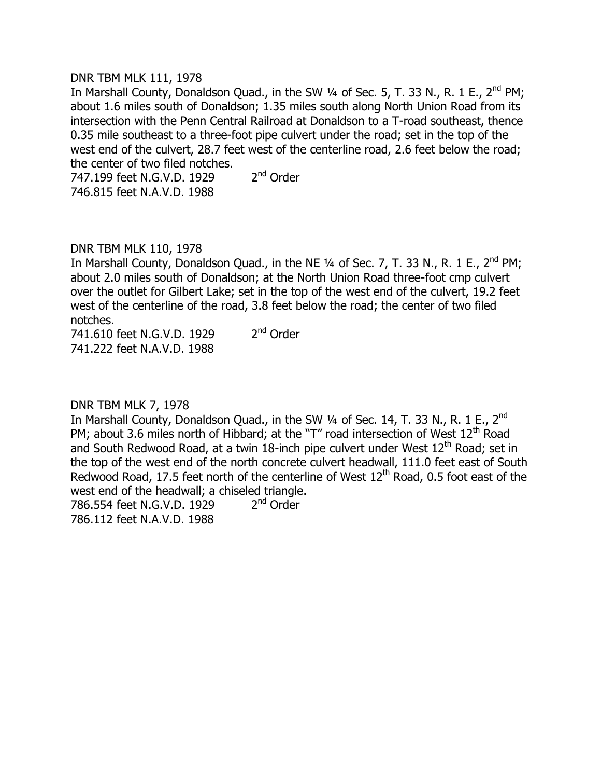# DNR TBM MLK 111, 1978

In Marshall County, Donaldson Quad., in the SW  $\frac{1}{4}$  of Sec. 5, T. 33 N., R. 1 E., 2<sup>nd</sup> PM; about 1.6 miles south of Donaldson; 1.35 miles south along North Union Road from its intersection with the Penn Central Railroad at Donaldson to a T-road southeast, thence 0.35 mile southeast to a three-foot pipe culvert under the road; set in the top of the west end of the culvert, 28.7 feet west of the centerline road, 2.6 feet below the road; the center of two filed notches.

747.199 feet N.G.V.D. 1929 2  $2<sup>nd</sup>$  Order 746.815 feet N.A.V.D. 1988

# DNR TBM MLK 110, 1978

In Marshall County, Donaldson Quad., in the NE  $\frac{1}{4}$  of Sec. 7, T. 33 N., R. 1 E., 2<sup>nd</sup> PM; about 2.0 miles south of Donaldson; at the North Union Road three-foot cmp culvert over the outlet for Gilbert Lake; set in the top of the west end of the culvert, 19.2 feet west of the centerline of the road, 3.8 feet below the road; the center of two filed notches.

741.610 feet N.G.V.D. 1929 2  $2<sup>nd</sup>$  Order 741.222 feet N.A.V.D. 1988

# DNR TBM MLK 7, 1978

In Marshall County, Donaldson Quad., in the SW 1/4 of Sec. 14, T. 33 N., R. 1 E., 2<sup>nd</sup> PM; about 3.6 miles north of Hibbard; at the "T" road intersection of West  $12<sup>th</sup>$  Road and South Redwood Road, at a twin 18-inch pipe culvert under West  $12<sup>th</sup>$  Road; set in the top of the west end of the north concrete culvert headwall, 111.0 feet east of South Redwood Road, 17.5 feet north of the centerline of West  $12<sup>th</sup>$  Road, 0.5 foot east of the west end of the headwall; a chiseled triangle.

786.554 feet N.G.V.D. 1929 2  $2<sup>nd</sup>$  Order 786.112 feet N.A.V.D. 1988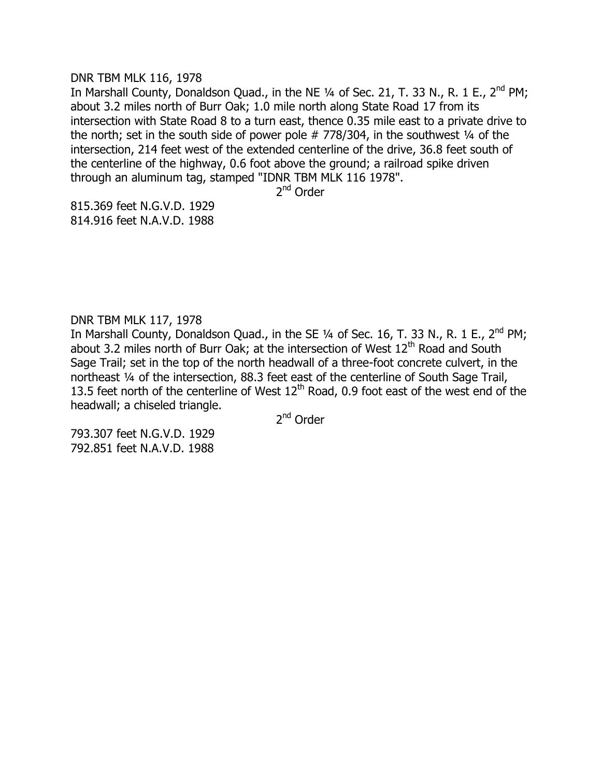#### DNR TBM MLK 116, 1978

In Marshall County, Donaldson Quad., in the NE  $\frac{1}{4}$  of Sec. 21, T. 33 N., R. 1 E., 2<sup>nd</sup> PM; about 3.2 miles north of Burr Oak; 1.0 mile north along State Road 17 from its intersection with State Road 8 to a turn east, thence 0.35 mile east to a private drive to the north; set in the south side of power pole  $# 778/304$ , in the southwest  $\frac{1}{4}$  of the intersection, 214 feet west of the extended centerline of the drive, 36.8 feet south of the centerline of the highway, 0.6 foot above the ground; a railroad spike driven through an aluminum tag, stamped "IDNR TBM MLK 116 1978".

2<sup>nd</sup> Order

815.369 feet N.G.V.D. 1929 814.916 feet N.A.V.D. 1988

DNR TBM MLK 117, 1978

In Marshall County, Donaldson Quad., in the SE 1/4 of Sec. 16, T. 33 N., R. 1 E., 2<sup>nd</sup> PM; about 3.2 miles north of Burr Oak; at the intersection of West  $12<sup>th</sup>$  Road and South Sage Trail; set in the top of the north headwall of a three-foot concrete culvert, in the northeast ¼ of the intersection, 88.3 feet east of the centerline of South Sage Trail, 13.5 feet north of the centerline of West  $12<sup>th</sup>$  Road, 0.9 foot east of the west end of the headwall; a chiseled triangle.

2<sup>nd</sup> Order

793.307 feet N.G.V.D. 1929 792.851 feet N.A.V.D. 1988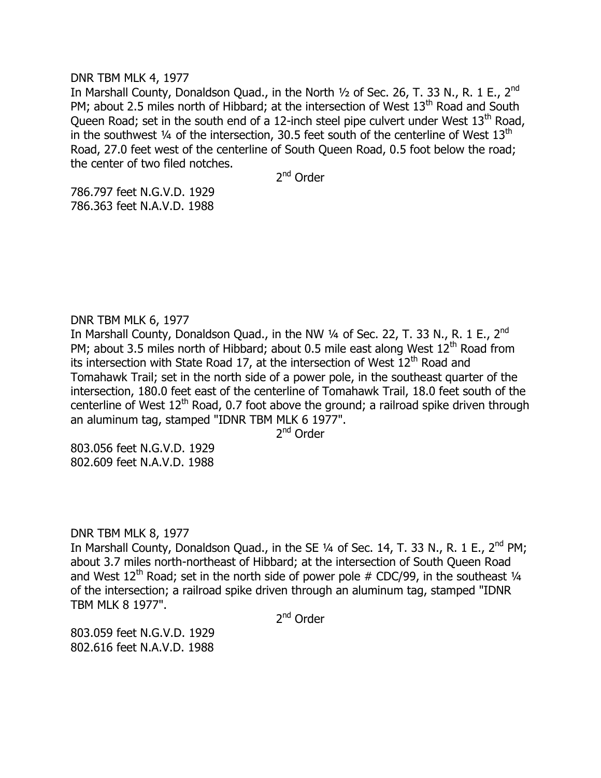#### DNR TBM MLK 4, 1977

In Marshall County, Donaldson Quad., in the North  $1/2$  of Sec. 26, T. 33 N., R. 1 E., 2<sup>nd</sup> PM; about 2.5 miles north of Hibbard; at the intersection of West  $13<sup>th</sup>$  Road and South Queen Road; set in the south end of a 12-inch steel pipe culvert under West  $13<sup>th</sup>$  Road, in the southwest  $\frac{1}{4}$  of the intersection, 30.5 feet south of the centerline of West  $13<sup>th</sup>$ Road, 27.0 feet west of the centerline of South Queen Road, 0.5 foot below the road; the center of two filed notches.

2<sup>nd</sup> Order

786.797 feet N.G.V.D. 1929 786.363 feet N.A.V.D. 1988

# DNR TBM MLK 6, 1977

In Marshall County, Donaldson Quad., in the NW  $\frac{1}{4}$  of Sec. 22, T. 33 N., R. 1 E., 2<sup>nd</sup> PM; about 3.5 miles north of Hibbard; about 0.5 mile east along West  $12<sup>th</sup>$  Road from its intersection with State Road 17, at the intersection of West  $12<sup>th</sup>$  Road and Tomahawk Trail; set in the north side of a power pole, in the southeast quarter of the intersection, 180.0 feet east of the centerline of Tomahawk Trail, 18.0 feet south of the centerline of West  $12<sup>th</sup>$  Road, 0.7 foot above the ground; a railroad spike driven through an aluminum tag, stamped "IDNR TBM MLK 6 1977".

2<sup>nd</sup> Order

803.056 feet N.G.V.D. 1929 802.609 feet N.A.V.D. 1988

# DNR TBM MLK 8, 1977

In Marshall County, Donaldson Quad., in the SE  $\frac{1}{4}$  of Sec. 14, T. 33 N., R. 1 E., 2<sup>nd</sup> PM; about 3.7 miles north-northeast of Hibbard; at the intersection of South Queen Road and West  $12^{th}$  Road; set in the north side of power pole # CDC/99, in the southeast  $\frac{1}{4}$ of the intersection; a railroad spike driven through an aluminum tag, stamped "IDNR TBM MLK 8 1977".

2<sup>nd</sup> Order

803.059 feet N.G.V.D. 1929 802.616 feet N.A.V.D. 1988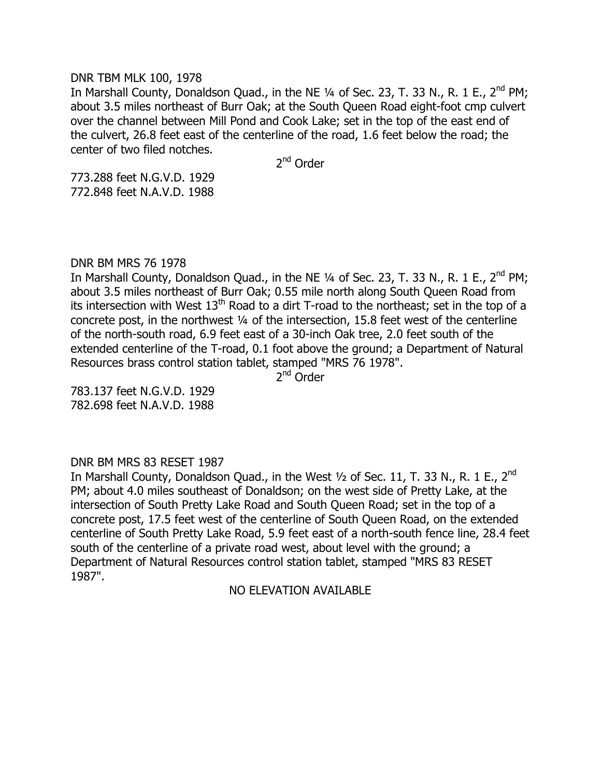# DNR TBM MLK 100, 1978

In Marshall County, Donaldson Quad., in the NE 1/4 of Sec. 23, T. 33 N., R. 1 E., 2<sup>nd</sup> PM; about 3.5 miles northeast of Burr Oak; at the South Queen Road eight-foot cmp culvert over the channel between Mill Pond and Cook Lake; set in the top of the east end of the culvert, 26.8 feet east of the centerline of the road, 1.6 feet below the road; the center of two filed notches.

2<sup>nd</sup> Order

773.288 feet N.G.V.D. 1929 772.848 feet N.A.V.D. 1988

# DNR BM MRS 76 1978

In Marshall County, Donaldson Quad., in the NE 1/4 of Sec. 23, T. 33 N., R. 1 E., 2<sup>nd</sup> PM; about 3.5 miles northeast of Burr Oak; 0.55 mile north along South Queen Road from its intersection with West  $13<sup>th</sup>$  Road to a dirt T-road to the northeast; set in the top of a concrete post, in the northwest ¼ of the intersection, 15.8 feet west of the centerline of the north-south road, 6.9 feet east of a 30-inch Oak tree, 2.0 feet south of the extended centerline of the T-road, 0.1 foot above the ground; a Department of Natural Resources brass control station tablet, stamped "MRS 76 1978".

2<sup>nd</sup> Order

783.137 feet N.G.V.D. 1929 782.698 feet N.A.V.D. 1988

# DNR BM MRS 83 RESET 1987

In Marshall County, Donaldson Quad., in the West  $1/2$  of Sec. 11, T. 33 N., R. 1 E., 2<sup>nd</sup> PM; about 4.0 miles southeast of Donaldson; on the west side of Pretty Lake, at the intersection of South Pretty Lake Road and South Queen Road; set in the top of a concrete post, 17.5 feet west of the centerline of South Queen Road, on the extended centerline of South Pretty Lake Road, 5.9 feet east of a north-south fence line, 28.4 feet south of the centerline of a private road west, about level with the ground; a Department of Natural Resources control station tablet, stamped "MRS 83 RESET 1987".

NO ELEVATION AVAILABLE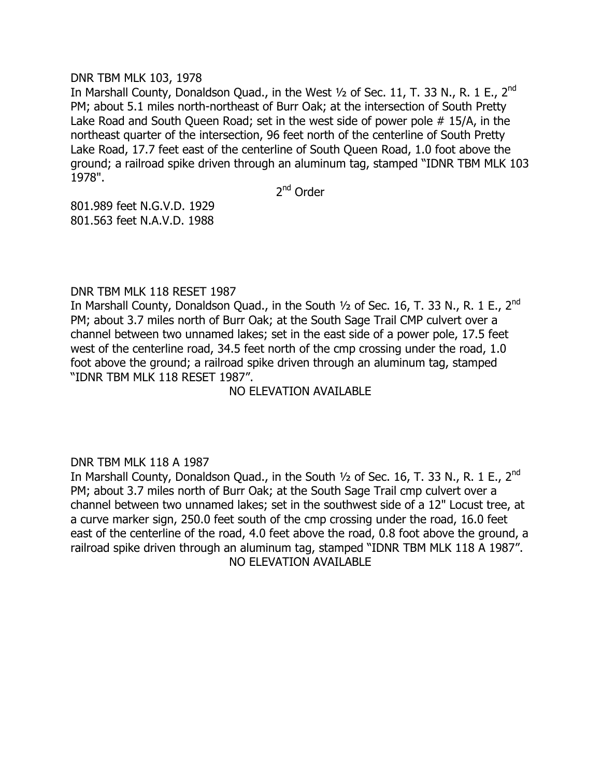# DNR TBM MLK 103, 1978

In Marshall County, Donaldson Quad., in the West  $\frac{1}{2}$  of Sec. 11, T. 33 N., R. 1 E., 2<sup>nd</sup> PM; about 5.1 miles north-northeast of Burr Oak; at the intersection of South Pretty Lake Road and South Queen Road; set in the west side of power pole # 15/A, in the northeast quarter of the intersection, 96 feet north of the centerline of South Pretty Lake Road, 17.7 feet east of the centerline of South Queen Road, 1.0 foot above the ground; a railroad spike driven through an aluminum tag, stamped "IDNR TBM MLK 103 1978".

2<sup>nd</sup> Order

801.989 feet N.G.V.D. 1929 801.563 feet N.A.V.D. 1988

# DNR TBM MLK 118 RESET 1987

In Marshall County, Donaldson Quad., in the South  $1/2$  of Sec. 16, T. 33 N., R. 1 E., 2<sup>nd</sup> PM; about 3.7 miles north of Burr Oak; at the South Sage Trail CMP culvert over a channel between two unnamed lakes; set in the east side of a power pole, 17.5 feet west of the centerline road, 34.5 feet north of the cmp crossing under the road, 1.0 foot above the ground; a railroad spike driven through an aluminum tag, stamped "IDNR TBM MLK 118 RESET 1987".

# NO ELEVATION AVAILABLE

# DNR TBM MLK 118 A 1987

In Marshall County, Donaldson Quad., in the South  $1/2$  of Sec. 16, T. 33 N., R. 1 E., 2<sup>nd</sup> PM; about 3.7 miles north of Burr Oak; at the South Sage Trail cmp culvert over a channel between two unnamed lakes; set in the southwest side of a 12" Locust tree, at a curve marker sign, 250.0 feet south of the cmp crossing under the road, 16.0 feet east of the centerline of the road, 4.0 feet above the road, 0.8 foot above the ground, a railroad spike driven through an aluminum tag, stamped "IDNR TBM MLK 118 A 1987". NO ELEVATION AVAILABLE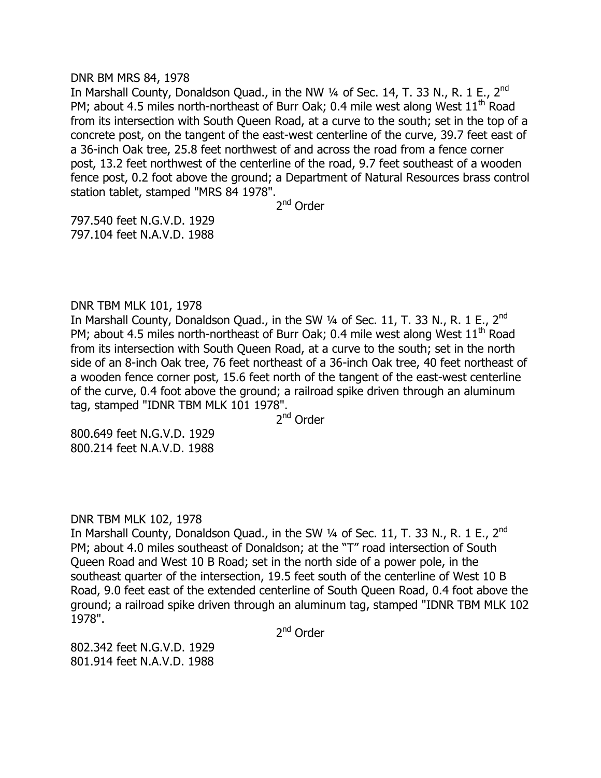#### DNR BM MRS 84, 1978

In Marshall County, Donaldson Ouad., in the NW  $\frac{1}{4}$  of Sec. 14, T. 33 N., R. 1 E., 2<sup>nd</sup> PM; about 4.5 miles north-northeast of Burr Oak; 0.4 mile west along West 11<sup>th</sup> Road from its intersection with South Queen Road, at a curve to the south; set in the top of a concrete post, on the tangent of the east-west centerline of the curve, 39.7 feet east of a 36-inch Oak tree, 25.8 feet northwest of and across the road from a fence corner post, 13.2 feet northwest of the centerline of the road, 9.7 feet southeast of a wooden fence post, 0.2 foot above the ground; a Department of Natural Resources brass control station tablet, stamped "MRS 84 1978".

2<sup>nd</sup> Order

797.540 feet N.G.V.D. 1929 797.104 feet N.A.V.D. 1988

# DNR TBM MLK 101, 1978

In Marshall County, Donaldson Quad., in the SW 1/4 of Sec. 11, T. 33 N., R. 1 E., 2<sup>nd</sup> PM; about 4.5 miles north-northeast of Burr Oak; 0.4 mile west along West  $11<sup>th</sup>$  Road from its intersection with South Queen Road, at a curve to the south; set in the north side of an 8-inch Oak tree, 76 feet northeast of a 36-inch Oak tree, 40 feet northeast of a wooden fence corner post, 15.6 feet north of the tangent of the east-west centerline of the curve, 0.4 foot above the ground; a railroad spike driven through an aluminum tag, stamped "IDNR TBM MLK 101 1978".

2<sup>nd</sup> Order

800.649 feet N.G.V.D. 1929 800.214 feet N.A.V.D. 1988

# DNR TBM MLK 102, 1978

In Marshall County, Donaldson Quad., in the SW  $\frac{1}{4}$  of Sec. 11, T. 33 N., R. 1 E., 2<sup>nd</sup> PM; about 4.0 miles southeast of Donaldson; at the "T" road intersection of South Queen Road and West 10 B Road; set in the north side of a power pole, in the southeast quarter of the intersection, 19.5 feet south of the centerline of West 10 B Road, 9.0 feet east of the extended centerline of South Queen Road, 0.4 foot above the ground; a railroad spike driven through an aluminum tag, stamped "IDNR TBM MLK 102 1978".

2<sup>nd</sup> Order

802.342 feet N.G.V.D. 1929 801.914 feet N.A.V.D. 1988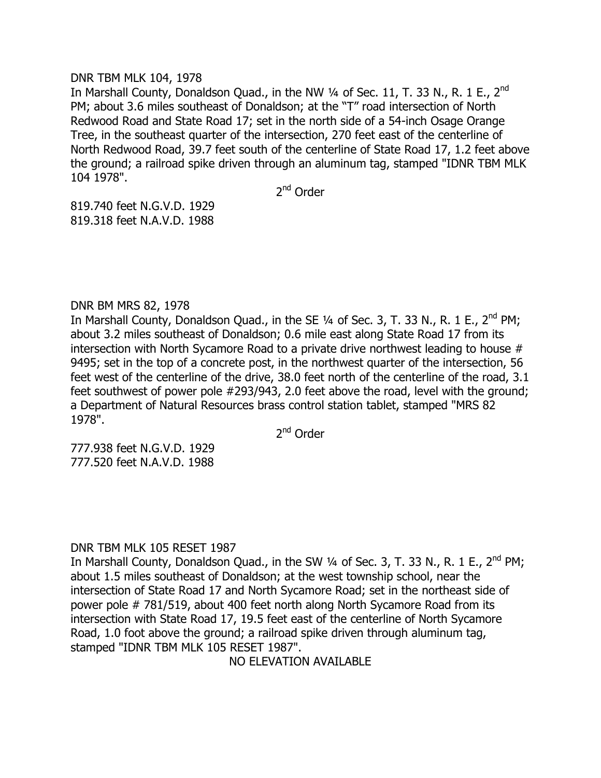# DNR TBM MLK 104, 1978

In Marshall County, Donaldson Quad., in the NW  $\frac{1}{4}$  of Sec. 11, T. 33 N., R. 1 E., 2<sup>nd</sup> PM; about 3.6 miles southeast of Donaldson; at the "T" road intersection of North Redwood Road and State Road 17; set in the north side of a 54-inch Osage Orange Tree, in the southeast quarter of the intersection, 270 feet east of the centerline of North Redwood Road, 39.7 feet south of the centerline of State Road 17, 1.2 feet above the ground; a railroad spike driven through an aluminum tag, stamped "IDNR TBM MLK 104 1978".

2<sup>nd</sup> Order

819.740 feet N.G.V.D. 1929 819.318 feet N.A.V.D. 1988

# DNR BM MRS 82, 1978

In Marshall County, Donaldson Quad., in the SE  $\frac{1}{4}$  of Sec. 3, T. 33 N., R. 1 E., 2<sup>nd</sup> PM; about 3.2 miles southeast of Donaldson; 0.6 mile east along State Road 17 from its intersection with North Sycamore Road to a private drive northwest leading to house # 9495; set in the top of a concrete post, in the northwest quarter of the intersection, 56 feet west of the centerline of the drive, 38.0 feet north of the centerline of the road, 3.1 feet southwest of power pole #293/943, 2.0 feet above the road, level with the ground; a Department of Natural Resources brass control station tablet, stamped "MRS 82 1978".

2<sup>nd</sup> Order

777.938 feet N.G.V.D. 1929 777.520 feet N.A.V.D. 1988

# DNR TBM MLK 105 RESET 1987

In Marshall County, Donaldson Quad., in the SW  $\frac{1}{4}$  of Sec. 3, T. 33 N., R. 1 E., 2<sup>nd</sup> PM; about 1.5 miles southeast of Donaldson; at the west township school, near the intersection of State Road 17 and North Sycamore Road; set in the northeast side of power pole # 781/519, about 400 feet north along North Sycamore Road from its intersection with State Road 17, 19.5 feet east of the centerline of North Sycamore Road, 1.0 foot above the ground; a railroad spike driven through aluminum tag, stamped "IDNR TBM MLK 105 RESET 1987".

NO ELEVATION AVAILABLE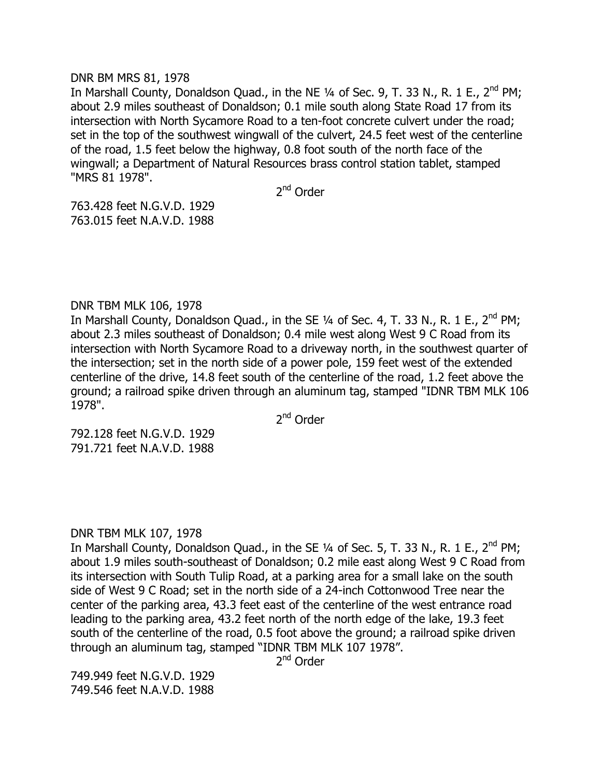## DNR BM MRS 81, 1978

In Marshall County, Donaldson Quad., in the NE  $\frac{1}{4}$  of Sec. 9, T. 33 N., R. 1 E., 2<sup>nd</sup> PM; about 2.9 miles southeast of Donaldson; 0.1 mile south along State Road 17 from its intersection with North Sycamore Road to a ten-foot concrete culvert under the road; set in the top of the southwest wingwall of the culvert, 24.5 feet west of the centerline of the road, 1.5 feet below the highway, 0.8 foot south of the north face of the wingwall; a Department of Natural Resources brass control station tablet, stamped "MRS 81 1978".

2<sup>nd</sup> Order

763.428 feet N.G.V.D. 1929 763.015 feet N.A.V.D. 1988

# DNR TBM MLK 106, 1978

In Marshall County, Donaldson Quad., in the SE  $\frac{1}{4}$  of Sec. 4, T. 33 N., R. 1 E., 2<sup>nd</sup> PM; about 2.3 miles southeast of Donaldson; 0.4 mile west along West 9 C Road from its intersection with North Sycamore Road to a driveway north, in the southwest quarter of the intersection; set in the north side of a power pole, 159 feet west of the extended centerline of the drive, 14.8 feet south of the centerline of the road, 1.2 feet above the ground; a railroad spike driven through an aluminum tag, stamped "IDNR TBM MLK 106 1978".

2<sup>nd</sup> Order

792.128 feet N.G.V.D. 1929 791.721 feet N.A.V.D. 1988

# DNR TBM MLK 107, 1978

In Marshall County, Donaldson Quad., in the SE  $\frac{1}{4}$  of Sec. 5, T. 33 N., R. 1 E., 2<sup>nd</sup> PM; about 1.9 miles south-southeast of Donaldson; 0.2 mile east along West 9 C Road from its intersection with South Tulip Road, at a parking area for a small lake on the south side of West 9 C Road; set in the north side of a 24-inch Cottonwood Tree near the center of the parking area, 43.3 feet east of the centerline of the west entrance road leading to the parking area, 43.2 feet north of the north edge of the lake, 19.3 feet south of the centerline of the road, 0.5 foot above the ground; a railroad spike driven through an aluminum tag, stamped "IDNR TBM MLK 107 1978".

2<sup>nd</sup> Order

749.949 feet N.G.V.D. 1929 749.546 feet N.A.V.D. 1988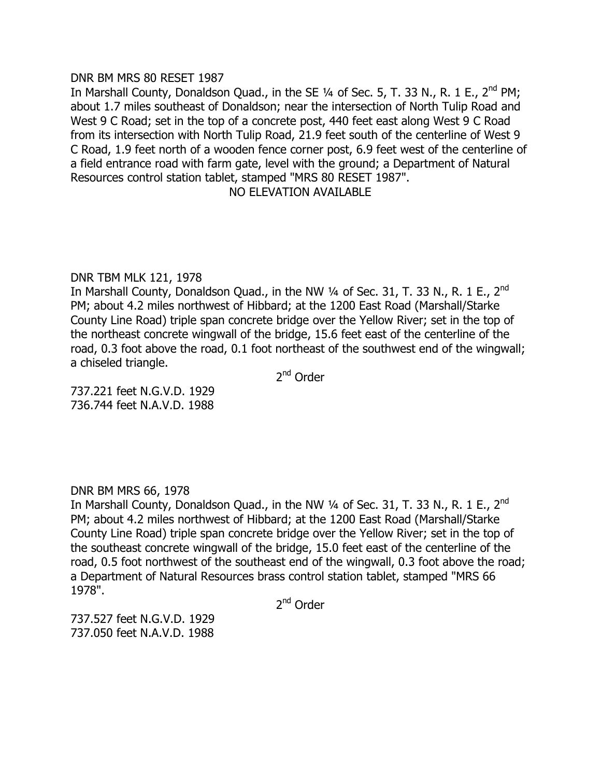# DNR BM MRS 80 RESET 1987

In Marshall County, Donaldson Quad., in the SE  $\frac{1}{4}$  of Sec. 5, T. 33 N., R. 1 E., 2<sup>nd</sup> PM; about 1.7 miles southeast of Donaldson; near the intersection of North Tulip Road and West 9 C Road; set in the top of a concrete post, 440 feet east along West 9 C Road from its intersection with North Tulip Road, 21.9 feet south of the centerline of West 9 C Road, 1.9 feet north of a wooden fence corner post, 6.9 feet west of the centerline of a field entrance road with farm gate, level with the ground; a Department of Natural Resources control station tablet, stamped "MRS 80 RESET 1987".

# NO ELEVATION AVAILABLE

# DNR TBM MLK 121, 1978

In Marshall County, Donaldson Quad., in the NW  $\frac{1}{4}$  of Sec. 31, T. 33 N., R. 1 E., 2<sup>nd</sup> PM; about 4.2 miles northwest of Hibbard; at the 1200 East Road (Marshall/Starke County Line Road) triple span concrete bridge over the Yellow River; set in the top of the northeast concrete wingwall of the bridge, 15.6 feet east of the centerline of the road, 0.3 foot above the road, 0.1 foot northeast of the southwest end of the wingwall; a chiseled triangle.

2<sup>nd</sup> Order

737.221 feet N.G.V.D. 1929 736.744 feet N.A.V.D. 1988

# DNR BM MRS 66, 1978

In Marshall County, Donaldson Quad., in the NW  $\frac{1}{4}$  of Sec. 31, T. 33 N., R. 1 E., 2<sup>nd</sup> PM; about 4.2 miles northwest of Hibbard; at the 1200 East Road (Marshall/Starke County Line Road) triple span concrete bridge over the Yellow River; set in the top of the southeast concrete wingwall of the bridge, 15.0 feet east of the centerline of the road, 0.5 foot northwest of the southeast end of the wingwall, 0.3 foot above the road; a Department of Natural Resources brass control station tablet, stamped "MRS 66 1978".

2<sup>nd</sup> Order

737.527 feet N.G.V.D. 1929 737.050 feet N.A.V.D. 1988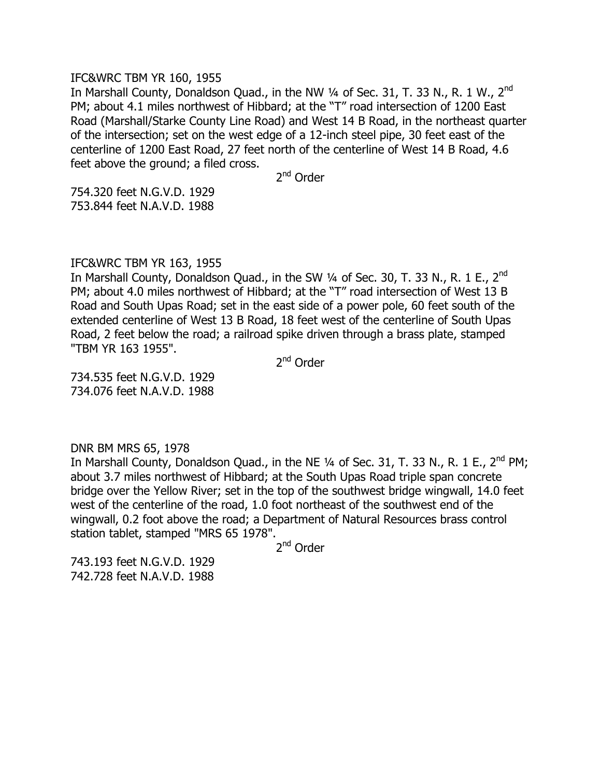#### IFC&WRC TBM YR 160, 1955

In Marshall County, Donaldson Quad., in the NW  $\frac{1}{4}$  of Sec. 31, T. 33 N., R. 1 W., 2<sup>nd</sup> PM; about 4.1 miles northwest of Hibbard; at the "T" road intersection of 1200 East Road (Marshall/Starke County Line Road) and West 14 B Road, in the northeast quarter of the intersection; set on the west edge of a 12-inch steel pipe, 30 feet east of the centerline of 1200 East Road, 27 feet north of the centerline of West 14 B Road, 4.6 feet above the ground; a filed cross.

2<sup>nd</sup> Order

754.320 feet N.G.V.D. 1929 753.844 feet N.A.V.D. 1988

## IFC&WRC TBM YR 163, 1955

In Marshall County, Donaldson Quad., in the SW  $\frac{1}{4}$  of Sec. 30, T. 33 N., R. 1 E., 2<sup>nd</sup> PM; about 4.0 miles northwest of Hibbard; at the "T" road intersection of West 13 B Road and South Upas Road; set in the east side of a power pole, 60 feet south of the extended centerline of West 13 B Road, 18 feet west of the centerline of South Upas Road, 2 feet below the road; a railroad spike driven through a brass plate, stamped "TBM YR 163 1955".

2<sup>nd</sup> Order

734.535 feet N.G.V.D. 1929 734.076 feet N.A.V.D. 1988

DNR BM MRS 65, 1978

In Marshall County, Donaldson Quad., in the NE  $\frac{1}{4}$  of Sec. 31, T. 33 N., R. 1 E., 2<sup>nd</sup> PM; about 3.7 miles northwest of Hibbard; at the South Upas Road triple span concrete bridge over the Yellow River; set in the top of the southwest bridge wingwall, 14.0 feet west of the centerline of the road, 1.0 foot northeast of the southwest end of the wingwall, 0.2 foot above the road; a Department of Natural Resources brass control station tablet, stamped "MRS 65 1978".

2<sup>nd</sup> Order

743.193 feet N.G.V.D. 1929 742.728 feet N.A.V.D. 1988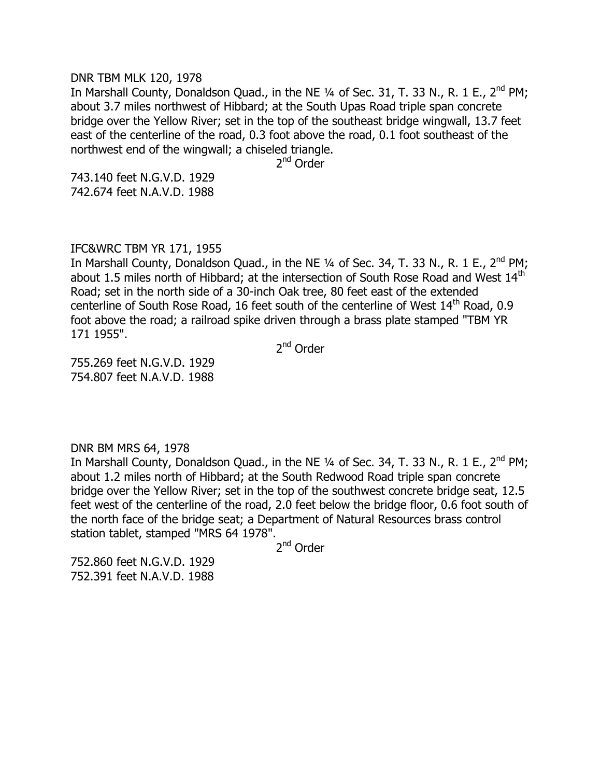#### DNR TBM MLK 120, 1978

In Marshall County, Donaldson Quad., in the NE  $\frac{1}{4}$  of Sec. 31, T. 33 N., R. 1 E., 2<sup>nd</sup> PM; about 3.7 miles northwest of Hibbard; at the South Upas Road triple span concrete bridge over the Yellow River; set in the top of the southeast bridge wingwall, 13.7 feet east of the centerline of the road, 0.3 foot above the road, 0.1 foot southeast of the northwest end of the wingwall; a chiseled triangle.

2<sup>nd</sup> Order

743.140 feet N.G.V.D. 1929 742.674 feet N.A.V.D. 1988

# IFC&WRC TBM YR 171, 1955

In Marshall County, Donaldson Quad., in the NE  $\frac{1}{4}$  of Sec. 34, T. 33 N., R. 1 E., 2<sup>nd</sup> PM; about 1.5 miles north of Hibbard; at the intersection of South Rose Road and West 14<sup>th</sup> Road; set in the north side of a 30-inch Oak tree, 80 feet east of the extended centerline of South Rose Road, 16 feet south of the centerline of West 14<sup>th</sup> Road, 0.9 foot above the road; a railroad spike driven through a brass plate stamped "TBM YR 171 1955".

2<sup>nd</sup> Order

755.269 feet N.G.V.D. 1929 754.807 feet N.A.V.D. 1988

DNR BM MRS 64, 1978

In Marshall County, Donaldson Quad., in the NE  $\frac{1}{4}$  of Sec. 34, T. 33 N., R. 1 E., 2<sup>nd</sup> PM; about 1.2 miles north of Hibbard; at the South Redwood Road triple span concrete bridge over the Yellow River; set in the top of the southwest concrete bridge seat, 12.5 feet west of the centerline of the road, 2.0 feet below the bridge floor, 0.6 foot south of the north face of the bridge seat; a Department of Natural Resources brass control station tablet, stamped "MRS 64 1978".

2<sup>nd</sup> Order

752.860 feet N.G.V.D. 1929 752.391 feet N.A.V.D. 1988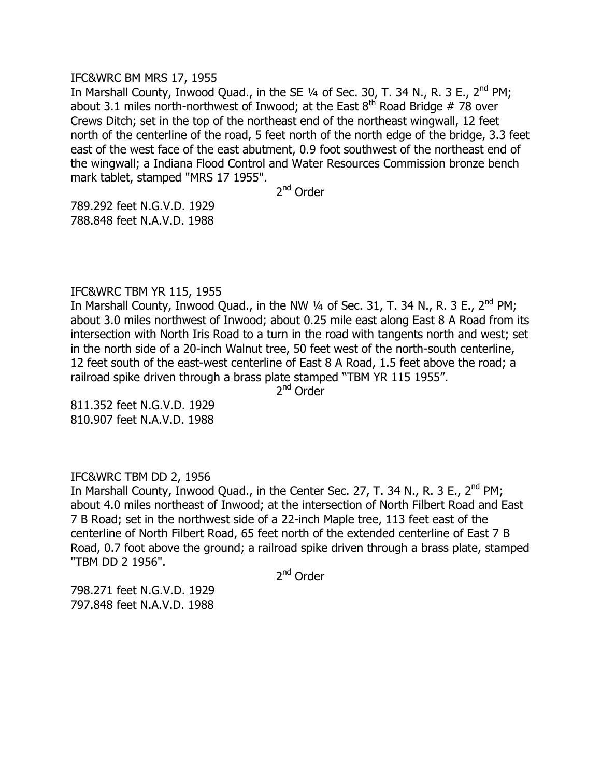## IFC&WRC BM MRS 17, 1955

In Marshall County, Inwood Quad., in the SE  $\frac{1}{4}$  of Sec. 30, T. 34 N., R. 3 E., 2<sup>nd</sup> PM; about 3.1 miles north-northwest of Inwood; at the East  $8<sup>th</sup>$  Road Bridge # 78 over Crews Ditch; set in the top of the northeast end of the northeast wingwall, 12 feet north of the centerline of the road, 5 feet north of the north edge of the bridge, 3.3 feet east of the west face of the east abutment, 0.9 foot southwest of the northeast end of the wingwall; a Indiana Flood Control and Water Resources Commission bronze bench mark tablet, stamped "MRS 17 1955".

2<sup>nd</sup> Order

789.292 feet N.G.V.D. 1929 788.848 feet N.A.V.D. 1988

## IFC&WRC TBM YR 115, 1955

In Marshall County, Inwood Quad., in the NW 1/4 of Sec. 31, T. 34 N., R. 3 E., 2<sup>nd</sup> PM; about 3.0 miles northwest of Inwood; about 0.25 mile east along East 8 A Road from its intersection with North Iris Road to a turn in the road with tangents north and west; set in the north side of a 20-inch Walnut tree, 50 feet west of the north-south centerline, 12 feet south of the east-west centerline of East 8 A Road, 1.5 feet above the road; a railroad spike driven through a brass plate stamped "TBM YR 115 1955".

2<sup>nd</sup> Order

811.352 feet N.G.V.D. 1929 810.907 feet N.A.V.D. 1988

# IFC&WRC TBM DD 2, 1956

In Marshall County, Inwood Quad., in the Center Sec. 27, T. 34 N., R. 3 E., 2<sup>nd</sup> PM; about 4.0 miles northeast of Inwood; at the intersection of North Filbert Road and East 7 B Road; set in the northwest side of a 22-inch Maple tree, 113 feet east of the centerline of North Filbert Road, 65 feet north of the extended centerline of East 7 B Road, 0.7 foot above the ground; a railroad spike driven through a brass plate, stamped "TBM DD 2 1956".

2<sup>nd</sup> Order

798.271 feet N.G.V.D. 1929 797.848 feet N.A.V.D. 1988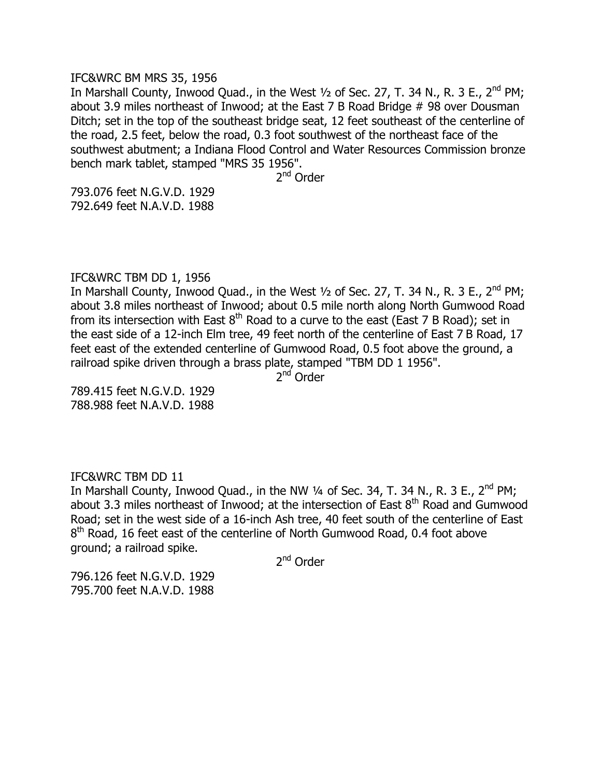#### IFC&WRC BM MRS 35, 1956

In Marshall County, Inwood Quad., in the West  $\frac{1}{2}$  of Sec. 27, T. 34 N., R. 3 E., 2<sup>nd</sup> PM; about 3.9 miles northeast of Inwood; at the East 7 B Road Bridge # 98 over Dousman Ditch; set in the top of the southeast bridge seat, 12 feet southeast of the centerline of the road, 2.5 feet, below the road, 0.3 foot southwest of the northeast face of the southwest abutment; a Indiana Flood Control and Water Resources Commission bronze bench mark tablet, stamped "MRS 35 1956".

2<sup>nd</sup> Order

793.076 feet N.G.V.D. 1929 792.649 feet N.A.V.D. 1988

# IFC&WRC TBM DD 1, 1956

In Marshall County, Inwood Quad., in the West  $\frac{1}{2}$  of Sec. 27, T. 34 N., R. 3 E., 2<sup>nd</sup> PM; about 3.8 miles northeast of Inwood; about 0.5 mile north along North Gumwood Road from its intersection with East  $8<sup>th</sup>$  Road to a curve to the east (East 7 B Road); set in the east side of a 12-inch Elm tree, 49 feet north of the centerline of East 7 B Road, 17 feet east of the extended centerline of Gumwood Road, 0.5 foot above the ground, a railroad spike driven through a brass plate, stamped "TBM DD 1 1956".

2<sup>nd</sup> Order

789.415 feet N.G.V.D. 1929 788.988 feet N.A.V.D. 1988

## IFC&WRC TBM DD 11

In Marshall County, Inwood Quad., in the NW  $\frac{1}{4}$  of Sec. 34, T. 34 N., R. 3 E., 2<sup>nd</sup> PM; about 3.3 miles northeast of Inwood; at the intersection of East  $8<sup>th</sup>$  Road and Gumwood Road; set in the west side of a 16-inch Ash tree, 40 feet south of the centerline of East 8<sup>th</sup> Road, 16 feet east of the centerline of North Gumwood Road, 0.4 foot above ground; a railroad spike.

2<sup>nd</sup> Order

796.126 feet N.G.V.D. 1929 795.700 feet N.A.V.D. 1988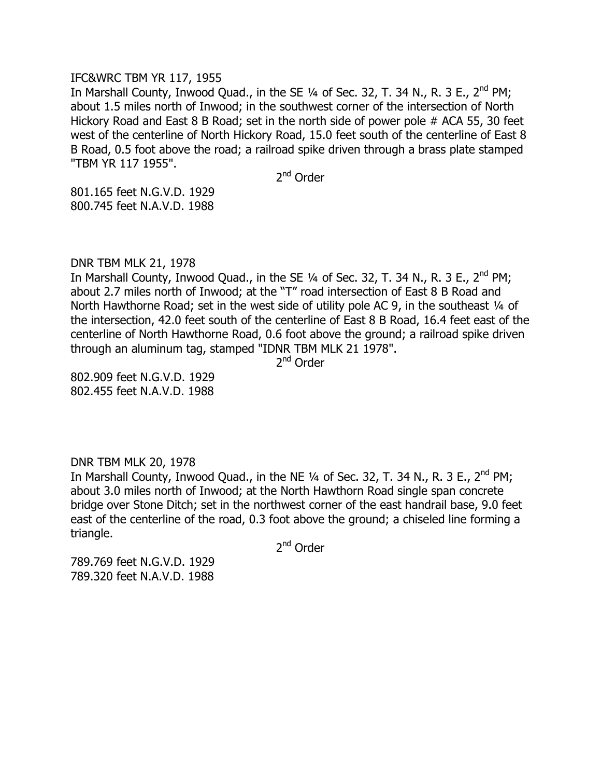## IFC&WRC TBM YR 117, 1955

In Marshall County, Inwood Ouad., in the SE  $\frac{1}{4}$  of Sec. 32, T. 34 N., R. 3 E., 2<sup>nd</sup> PM; about 1.5 miles north of Inwood; in the southwest corner of the intersection of North Hickory Road and East 8 B Road; set in the north side of power pole # ACA 55, 30 feet west of the centerline of North Hickory Road, 15.0 feet south of the centerline of East 8 B Road, 0.5 foot above the road; a railroad spike driven through a brass plate stamped "TBM YR 117 1955".

2<sup>nd</sup> Order

801.165 feet N.G.V.D. 1929 800.745 feet N.A.V.D. 1988

DNR TBM MLK 21, 1978

In Marshall County, Inwood Quad., in the SE  $\frac{1}{4}$  of Sec. 32, T. 34 N., R. 3 E., 2<sup>nd</sup> PM; about 2.7 miles north of Inwood; at the "T" road intersection of East 8 B Road and North Hawthorne Road; set in the west side of utility pole AC 9, in the southeast 1/4 of the intersection, 42.0 feet south of the centerline of East 8 B Road, 16.4 feet east of the centerline of North Hawthorne Road, 0.6 foot above the ground; a railroad spike driven through an aluminum tag, stamped "IDNR TBM MLK 21 1978".

2<sup>nd</sup> Order

802.909 feet N.G.V.D. 1929 802.455 feet N.A.V.D. 1988

# DNR TBM MLK 20, 1978

In Marshall County, Inwood Quad., in the NE  $1/4$  of Sec. 32, T. 34 N., R. 3 E., 2<sup>nd</sup> PM; about 3.0 miles north of Inwood; at the North Hawthorn Road single span concrete bridge over Stone Ditch; set in the northwest corner of the east handrail base, 9.0 feet east of the centerline of the road, 0.3 foot above the ground; a chiseled line forming a triangle.

2<sup>nd</sup> Order

789.769 feet N.G.V.D. 1929 789.320 feet N.A.V.D. 1988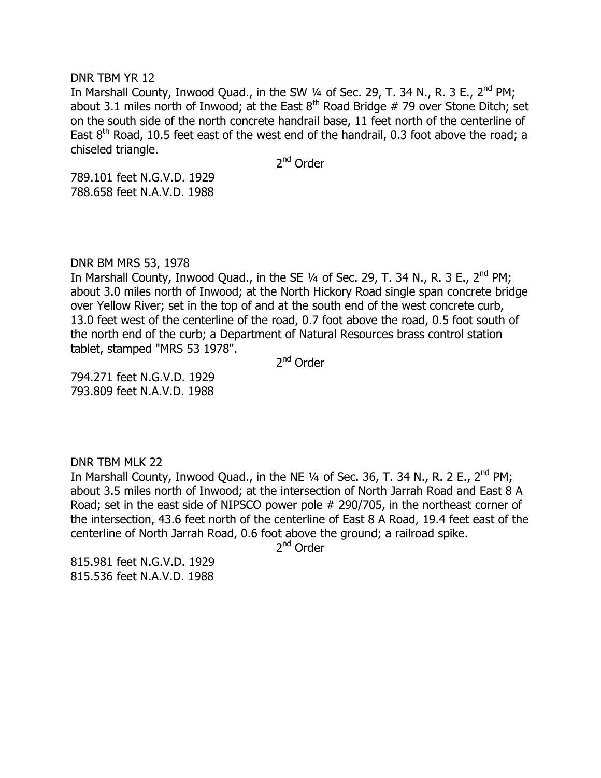#### DNR TBM YR 12

In Marshall County, Inwood Quad., in the SW  $\frac{1}{4}$  of Sec. 29, T. 34 N., R. 3 E., 2<sup>nd</sup> PM; about 3.1 miles north of Inwood; at the East  $8<sup>th</sup>$  Road Bridge # 79 over Stone Ditch; set on the south side of the north concrete handrail base, 11 feet north of the centerline of East  $8<sup>th</sup>$  Road, 10.5 feet east of the west end of the handrail, 0.3 foot above the road; a chiseled triangle.

2<sup>nd</sup> Order

789.101 feet N.G.V.D. 1929 788.658 feet N.A.V.D. 1988

# DNR BM MRS 53, 1978

In Marshall County, Inwood Quad., in the SE  $\frac{1}{4}$  of Sec. 29, T. 34 N., R. 3 E., 2<sup>nd</sup> PM; about 3.0 miles north of Inwood; at the North Hickory Road single span concrete bridge over Yellow River; set in the top of and at the south end of the west concrete curb, 13.0 feet west of the centerline of the road, 0.7 foot above the road, 0.5 foot south of the north end of the curb; a Department of Natural Resources brass control station tablet, stamped "MRS 53 1978".

2<sup>nd</sup> Order

794.271 feet N.G.V.D. 1929 793.809 feet N.A.V.D. 1988

## DNR TBM MLK 22

In Marshall County, Inwood Quad., in the NE  $1/4$  of Sec. 36, T. 34 N., R. 2 E., 2<sup>nd</sup> PM; about 3.5 miles north of Inwood; at the intersection of North Jarrah Road and East 8 A Road; set in the east side of NIPSCO power pole # 290/705, in the northeast corner of the intersection, 43.6 feet north of the centerline of East 8 A Road, 19.4 feet east of the centerline of North Jarrah Road, 0.6 foot above the ground; a railroad spike.

2<sup>nd</sup> Order

815.981 feet N.G.V.D. 1929 815.536 feet N.A.V.D. 1988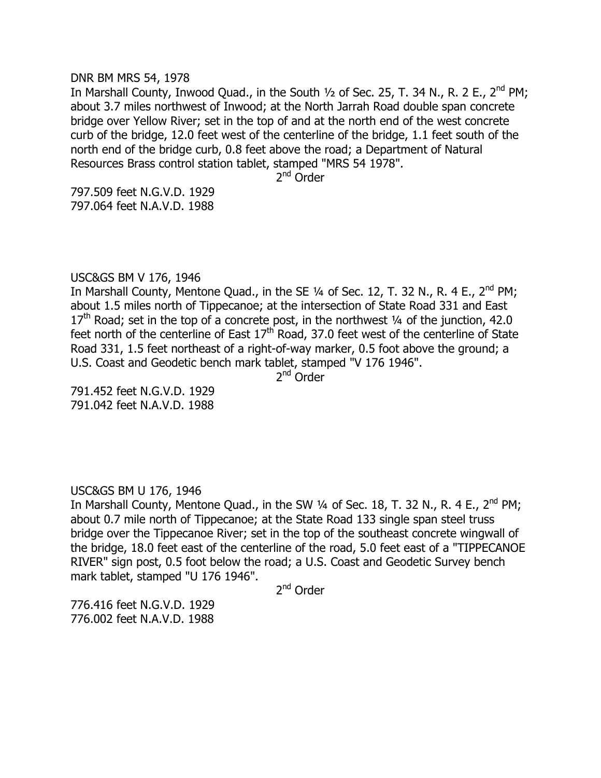#### DNR BM MRS 54, 1978

In Marshall County, Inwood Ouad., in the South  $\frac{1}{2}$  of Sec. 25, T. 34 N., R. 2 E., 2<sup>nd</sup> PM; about 3.7 miles northwest of Inwood; at the North Jarrah Road double span concrete bridge over Yellow River; set in the top of and at the north end of the west concrete curb of the bridge, 12.0 feet west of the centerline of the bridge, 1.1 feet south of the north end of the bridge curb, 0.8 feet above the road; a Department of Natural Resources Brass control station tablet, stamped "MRS 54 1978".

2<sup>nd</sup> Order

797.509 feet N.G.V.D. 1929 797.064 feet N.A.V.D. 1988

# USC&GS BM V 176, 1946

In Marshall County, Mentone Quad., in the SE  $\frac{1}{4}$  of Sec. 12, T. 32 N., R. 4 E., 2<sup>nd</sup> PM; about 1.5 miles north of Tippecanoe; at the intersection of State Road 331 and East  $17<sup>th</sup>$  Road; set in the top of a concrete post, in the northwest  $\frac{1}{4}$  of the junction, 42.0 feet north of the centerline of East  $17<sup>th</sup>$  Road, 37.0 feet west of the centerline of State Road 331, 1.5 feet northeast of a right-of-way marker, 0.5 foot above the ground; a U.S. Coast and Geodetic bench mark tablet, stamped "V 176 1946".

2<sup>nd</sup> Order

791.452 feet N.G.V.D. 1929 791.042 feet N.A.V.D. 1988

# USC&GS BM U 176, 1946

In Marshall County, Mentone Quad., in the SW  $\frac{1}{4}$  of Sec. 18, T. 32 N., R. 4 E., 2<sup>nd</sup> PM; about 0.7 mile north of Tippecanoe; at the State Road 133 single span steel truss bridge over the Tippecanoe River; set in the top of the southeast concrete wingwall of the bridge, 18.0 feet east of the centerline of the road, 5.0 feet east of a "TIPPECANOE RIVER" sign post, 0.5 foot below the road; a U.S. Coast and Geodetic Survey bench mark tablet, stamped "U 176 1946".

2<sup>nd</sup> Order

776.416 feet N.G.V.D. 1929 776.002 feet N.A.V.D. 1988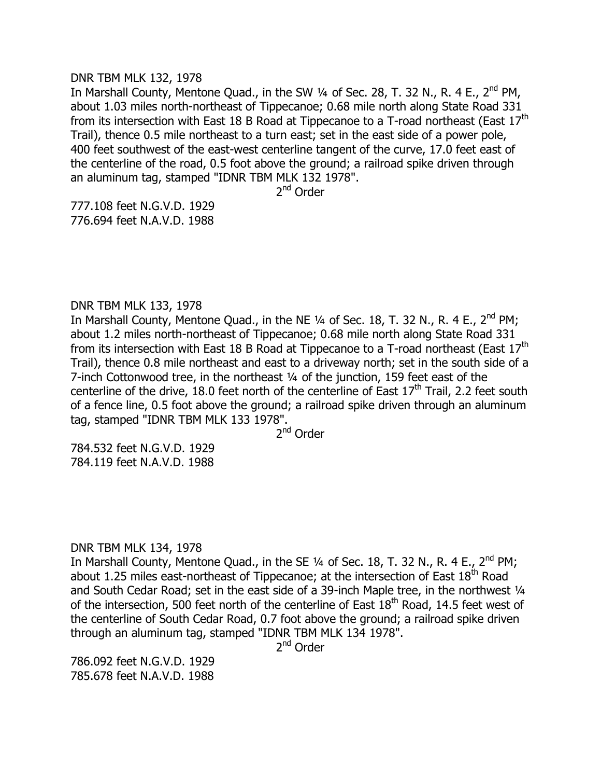#### DNR TBM MLK 132, 1978

In Marshall County, Mentone Quad., in the SW  $\frac{1}{4}$  of Sec. 28, T. 32 N., R. 4 E., 2<sup>nd</sup> PM, about 1.03 miles north-northeast of Tippecanoe; 0.68 mile north along State Road 331 from its intersection with East 18 B Road at Tippecanoe to a T-road northeast (East 17<sup>th</sup> Trail), thence 0.5 mile northeast to a turn east; set in the east side of a power pole, 400 feet southwest of the east-west centerline tangent of the curve, 17.0 feet east of the centerline of the road, 0.5 foot above the ground; a railroad spike driven through an aluminum tag, stamped "IDNR TBM MLK 132 1978".

2<sup>nd</sup> Order

777.108 feet N.G.V.D. 1929 776.694 feet N.A.V.D. 1988

# DNR TBM MLK 133, 1978

In Marshall County, Mentone Quad., in the NE  $\frac{1}{4}$  of Sec. 18, T. 32 N., R. 4 E., 2<sup>nd</sup> PM; about 1.2 miles north-northeast of Tippecanoe; 0.68 mile north along State Road 331 from its intersection with East 18 B Road at Tippecanoe to a T-road northeast (East 17<sup>th</sup> Trail), thence 0.8 mile northeast and east to a driveway north; set in the south side of a 7-inch Cottonwood tree, in the northeast ¼ of the junction, 159 feet east of the centerline of the drive, 18.0 feet north of the centerline of East  $17<sup>th</sup>$  Trail, 2.2 feet south of a fence line, 0.5 foot above the ground; a railroad spike driven through an aluminum tag, stamped "IDNR TBM MLK 133 1978".

2<sup>nd</sup> Order

784.532 feet N.G.V.D. 1929 784.119 feet N.A.V.D. 1988

# DNR TBM MLK 134, 1978

In Marshall County, Mentone Quad., in the SE  $\frac{1}{4}$  of Sec. 18, T. 32 N., R. 4 E., 2<sup>nd</sup> PM; about 1.25 miles east-northeast of Tippecanoe; at the intersection of East  $18^{th}$  Road and South Cedar Road; set in the east side of a 39-inch Maple tree, in the northwest 1/4 of the intersection, 500 feet north of the centerline of East  $18<sup>th</sup>$  Road, 14.5 feet west of the centerline of South Cedar Road, 0.7 foot above the ground; a railroad spike driven through an aluminum tag, stamped "IDNR TBM MLK 134 1978".

2<sup>nd</sup> Order

786.092 feet N.G.V.D. 1929 785.678 feet N.A.V.D. 1988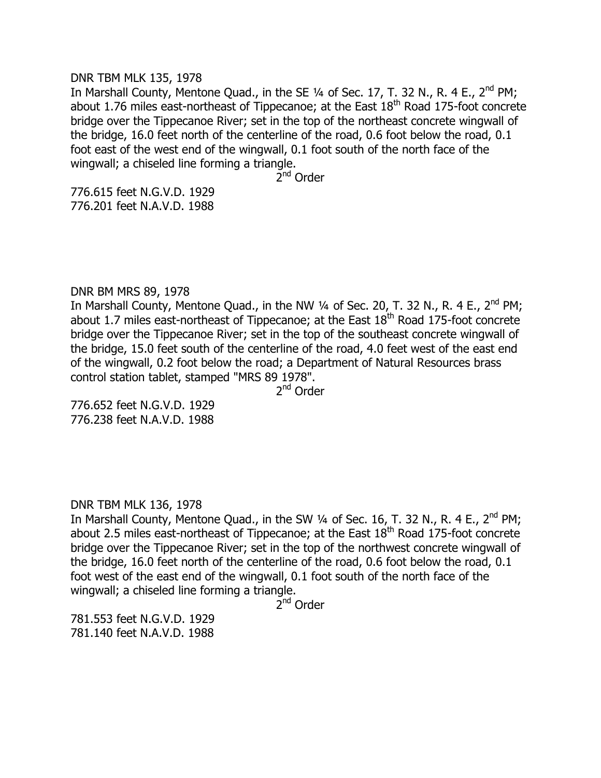#### DNR TBM MLK 135, 1978

In Marshall County, Mentone Quad., in the SE  $\frac{1}{4}$  of Sec. 17, T. 32 N., R. 4 E., 2<sup>nd</sup> PM; about 1.76 miles east-northeast of Tippecanoe; at the East  $18<sup>th</sup>$  Road 175-foot concrete bridge over the Tippecanoe River; set in the top of the northeast concrete wingwall of the bridge, 16.0 feet north of the centerline of the road, 0.6 foot below the road, 0.1 foot east of the west end of the wingwall, 0.1 foot south of the north face of the wingwall; a chiseled line forming a triangle.

2<sup>nd</sup> Order

776.615 feet N.G.V.D. 1929 776.201 feet N.A.V.D. 1988

# DNR BM MRS 89, 1978

In Marshall County, Mentone Quad., in the NW  $\frac{1}{4}$  of Sec. 20, T. 32 N., R. 4 E., 2<sup>nd</sup> PM; about 1.7 miles east-northeast of Tippecanoe; at the East  $18<sup>th</sup>$  Road 175-foot concrete bridge over the Tippecanoe River; set in the top of the southeast concrete wingwall of the bridge, 15.0 feet south of the centerline of the road, 4.0 feet west of the east end of the wingwall, 0.2 foot below the road; a Department of Natural Resources brass control station tablet, stamped "MRS 89 1978".

2<sup>nd</sup> Order

776.652 feet N.G.V.D. 1929 776.238 feet N.A.V.D. 1988

## DNR TBM MLK 136, 1978

In Marshall County, Mentone Quad., in the SW  $\frac{1}{4}$  of Sec. 16, T. 32 N., R. 4 E., 2<sup>nd</sup> PM; about 2.5 miles east-northeast of Tippecanoe; at the East  $18<sup>th</sup>$  Road 175-foot concrete bridge over the Tippecanoe River; set in the top of the northwest concrete wingwall of the bridge, 16.0 feet north of the centerline of the road, 0.6 foot below the road, 0.1 foot west of the east end of the wingwall, 0.1 foot south of the north face of the wingwall; a chiseled line forming a triangle.

2<sup>nd</sup> Order

781.553 feet N.G.V.D. 1929 781.140 feet N.A.V.D. 1988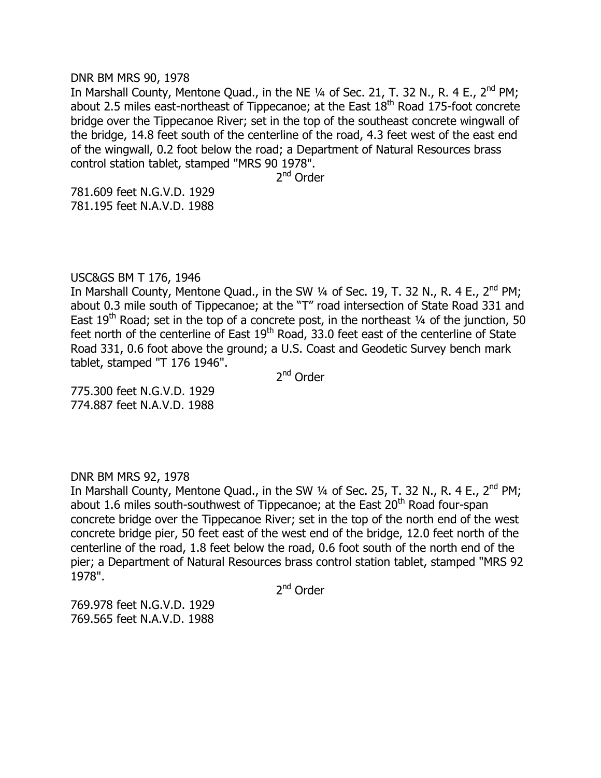#### DNR BM MRS 90, 1978

In Marshall County, Mentone Quad., in the NE  $\frac{1}{4}$  of Sec. 21, T. 32 N., R. 4 E., 2<sup>nd</sup> PM; about 2.5 miles east-northeast of Tippecanoe; at the East  $18<sup>th</sup>$  Road 175-foot concrete bridge over the Tippecanoe River; set in the top of the southeast concrete wingwall of the bridge, 14.8 feet south of the centerline of the road, 4.3 feet west of the east end of the wingwall, 0.2 foot below the road; a Department of Natural Resources brass control station tablet, stamped "MRS 90 1978".

2<sup>nd</sup> Order

781.609 feet N.G.V.D. 1929 781.195 feet N.A.V.D. 1988

# USC&GS BM T 176, 1946

In Marshall County, Mentone Quad., in the SW  $\frac{1}{4}$  of Sec. 19, T. 32 N., R. 4 E., 2<sup>nd</sup> PM; about 0.3 mile south of Tippecanoe; at the "T" road intersection of State Road 331 and East 19<sup>th</sup> Road; set in the top of a concrete post, in the northeast  $\frac{1}{4}$  of the junction, 50 feet north of the centerline of East  $19<sup>th</sup>$  Road, 33.0 feet east of the centerline of State Road 331, 0.6 foot above the ground; a U.S. Coast and Geodetic Survey bench mark tablet, stamped "T 176 1946".

2<sup>nd</sup> Order

775.300 feet N.G.V.D. 1929 774.887 feet N.A.V.D. 1988

## DNR BM MRS 92, 1978

In Marshall County, Mentone Quad., in the SW  $\frac{1}{4}$  of Sec. 25, T. 32 N., R. 4 E., 2<sup>nd</sup> PM; about 1.6 miles south-southwest of Tippecanoe; at the East  $20<sup>th</sup>$  Road four-span concrete bridge over the Tippecanoe River; set in the top of the north end of the west concrete bridge pier, 50 feet east of the west end of the bridge, 12.0 feet north of the centerline of the road, 1.8 feet below the road, 0.6 foot south of the north end of the pier; a Department of Natural Resources brass control station tablet, stamped "MRS 92 1978".

2<sup>nd</sup> Order

769.978 feet N.G.V.D. 1929 769.565 feet N.A.V.D. 1988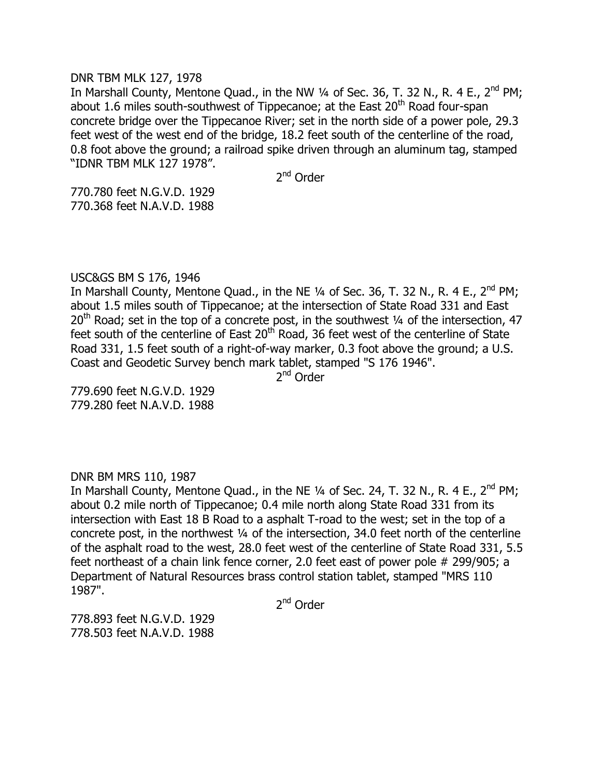## DNR TBM MLK 127, 1978

In Marshall County, Mentone Quad., in the NW  $\frac{1}{4}$  of Sec. 36, T. 32 N., R. 4 E., 2<sup>nd</sup> PM; about 1.6 miles south-southwest of Tippecanoe; at the East  $20<sup>th</sup>$  Road four-span concrete bridge over the Tippecanoe River; set in the north side of a power pole, 29.3 feet west of the west end of the bridge, 18.2 feet south of the centerline of the road, 0.8 foot above the ground; a railroad spike driven through an aluminum tag, stamped "IDNR TBM MLK 127 1978".

2<sup>nd</sup> Order

770.780 feet N.G.V.D. 1929 770.368 feet N.A.V.D. 1988

# USC&GS BM S 176, 1946

In Marshall County, Mentone Quad., in the NE  $\frac{1}{4}$  of Sec. 36, T. 32 N., R. 4 E., 2<sup>nd</sup> PM; about 1.5 miles south of Tippecanoe; at the intersection of State Road 331 and East  $20<sup>th</sup>$  Road; set in the top of a concrete post, in the southwest  $\frac{1}{4}$  of the intersection, 47 feet south of the centerline of East  $20<sup>th</sup>$  Road, 36 feet west of the centerline of State Road 331, 1.5 feet south of a right-of-way marker, 0.3 foot above the ground; a U.S. Coast and Geodetic Survey bench mark tablet, stamped "S 176 1946".

2<sup>nd</sup> Order

779.690 feet N.G.V.D. 1929 779.280 feet N.A.V.D. 1988

## DNR BM MRS 110, 1987

In Marshall County, Mentone Quad., in the NE  $\frac{1}{4}$  of Sec. 24, T. 32 N., R. 4 E., 2<sup>nd</sup> PM; about 0.2 mile north of Tippecanoe; 0.4 mile north along State Road 331 from its intersection with East 18 B Road to a asphalt T-road to the west; set in the top of a concrete post, in the northwest ¼ of the intersection, 34.0 feet north of the centerline of the asphalt road to the west, 28.0 feet west of the centerline of State Road 331, 5.5 feet northeast of a chain link fence corner, 2.0 feet east of power pole # 299/905; a Department of Natural Resources brass control station tablet, stamped "MRS 110 1987".

2<sup>nd</sup> Order

778.893 feet N.G.V.D. 1929 778.503 feet N.A.V.D. 1988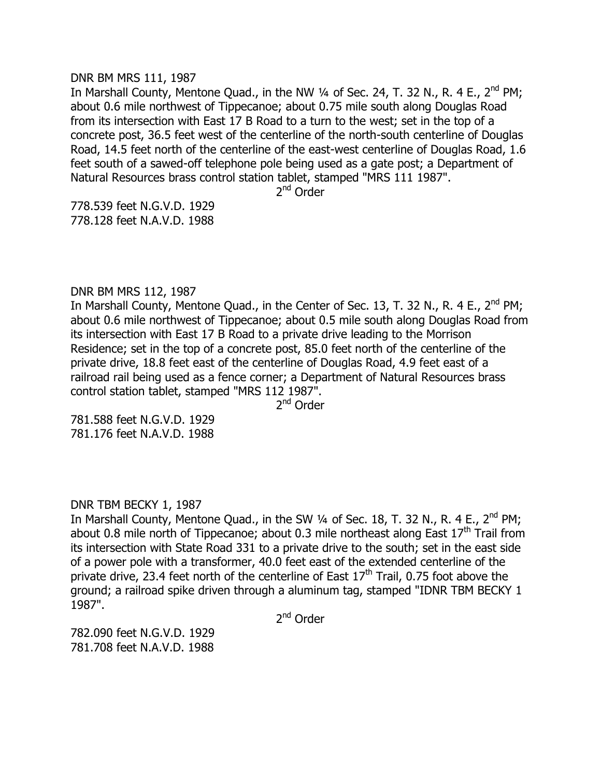#### DNR BM MRS 111, 1987

In Marshall County, Mentone Quad., in the NW  $\frac{1}{4}$  of Sec. 24, T. 32 N., R. 4 E., 2<sup>nd</sup> PM; about 0.6 mile northwest of Tippecanoe; about 0.75 mile south along Douglas Road from its intersection with East 17 B Road to a turn to the west; set in the top of a concrete post, 36.5 feet west of the centerline of the north-south centerline of Douglas Road, 14.5 feet north of the centerline of the east-west centerline of Douglas Road, 1.6 feet south of a sawed-off telephone pole being used as a gate post; a Department of Natural Resources brass control station tablet, stamped "MRS 111 1987".

2<sup>nd</sup> Order

778.539 feet N.G.V.D. 1929 778.128 feet N.A.V.D. 1988

# DNR BM MRS 112, 1987

In Marshall County, Mentone Quad., in the Center of Sec. 13, T. 32 N., R. 4 E., 2<sup>nd</sup> PM; about 0.6 mile northwest of Tippecanoe; about 0.5 mile south along Douglas Road from its intersection with East 17 B Road to a private drive leading to the Morrison Residence; set in the top of a concrete post, 85.0 feet north of the centerline of the private drive, 18.8 feet east of the centerline of Douglas Road, 4.9 feet east of a railroad rail being used as a fence corner; a Department of Natural Resources brass control station tablet, stamped "MRS 112 1987".

2<sup>nd</sup> Order

781.588 feet N.G.V.D. 1929 781.176 feet N.A.V.D. 1988

# DNR TBM BECKY 1, 1987

In Marshall County, Mentone Quad., in the SW 1/4 of Sec. 18, T. 32 N., R. 4 E., 2<sup>nd</sup> PM; about 0.8 mile north of Tippecanoe; about 0.3 mile northeast along East  $17<sup>th</sup>$  Trail from its intersection with State Road 331 to a private drive to the south; set in the east side of a power pole with a transformer, 40.0 feet east of the extended centerline of the private drive, 23.4 feet north of the centerline of East  $17<sup>th</sup>$  Trail, 0.75 foot above the ground; a railroad spike driven through a aluminum tag, stamped "IDNR TBM BECKY 1 1987".

2<sup>nd</sup> Order

782.090 feet N.G.V.D. 1929 781.708 feet N.A.V.D. 1988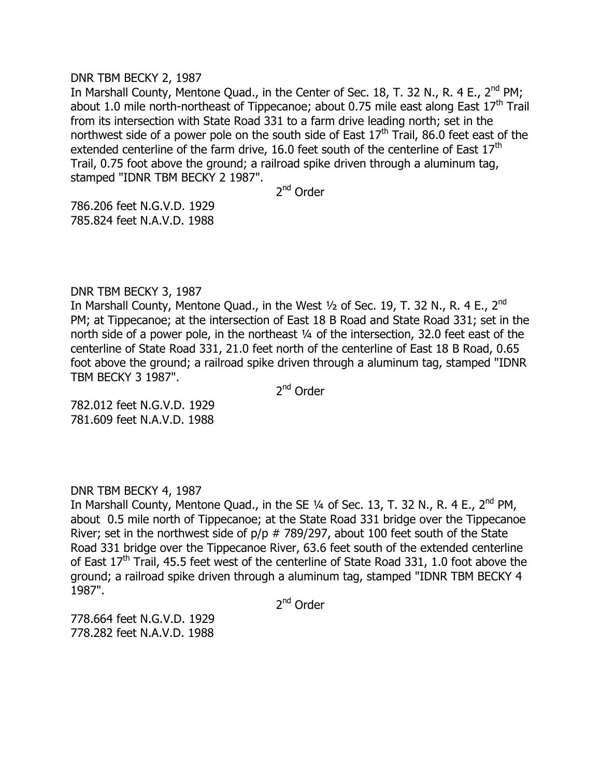## DNR TBM BECKY 2, 1987

In Marshall County, Mentone Ouad., in the Center of Sec. 18, T. 32 N., R. 4 E., 2<sup>nd</sup> PM; about 1.0 mile north-northeast of Tippecanoe; about 0.75 mile east along East  $17<sup>th</sup>$  Trail from its intersection with State Road 331 to a farm drive leading north; set in the northwest side of a power pole on the south side of East  $17<sup>th</sup>$  Trail, 86.0 feet east of the extended centerline of the farm drive, 16.0 feet south of the centerline of East  $17<sup>th</sup>$ Trail, 0.75 foot above the ground; a railroad spike driven through a aluminum tag, stamped "IDNR TBM BECKY 2 1987".

2<sup>nd</sup> Order

786.206 feet N.G.V.D. 1929 785.824 feet N.A.V.D. 1988

# DNR TBM BECKY 3, 1987

In Marshall County, Mentone Quad., in the West  $1/2$  of Sec. 19, T. 32 N., R. 4 E., 2<sup>nd</sup> PM; at Tippecanoe; at the intersection of East 18 B Road and State Road 331; set in the north side of a power pole, in the northeast ¼ of the intersection, 32.0 feet east of the centerline of State Road 331, 21.0 feet north of the centerline of East 18 B Road, 0.65 foot above the ground; a railroad spike driven through a aluminum tag, stamped "IDNR TBM BECKY 3 1987".

2<sup>nd</sup> Order

782.012 feet N.G.V.D. 1929 781.609 feet N.A.V.D. 1988

DNR TBM BECKY 4, 1987

In Marshall County, Mentone Quad., in the SE 1/4 of Sec. 13, T. 32 N., R. 4 E., 2<sup>nd</sup> PM, about 0.5 mile north of Tippecanoe; at the State Road 331 bridge over the Tippecanoe River; set in the northwest side of  $p/p \# 789/297$ , about 100 feet south of the State Road 331 bridge over the Tippecanoe River, 63.6 feet south of the extended centerline of East  $17<sup>th</sup>$  Trail, 45.5 feet west of the centerline of State Road 331, 1.0 foot above the ground; a railroad spike driven through a aluminum tag, stamped "IDNR TBM BECKY 4 1987".

2<sup>nd</sup> Order

778.664 feet N.G.V.D. 1929 778.282 feet N.A.V.D. 1988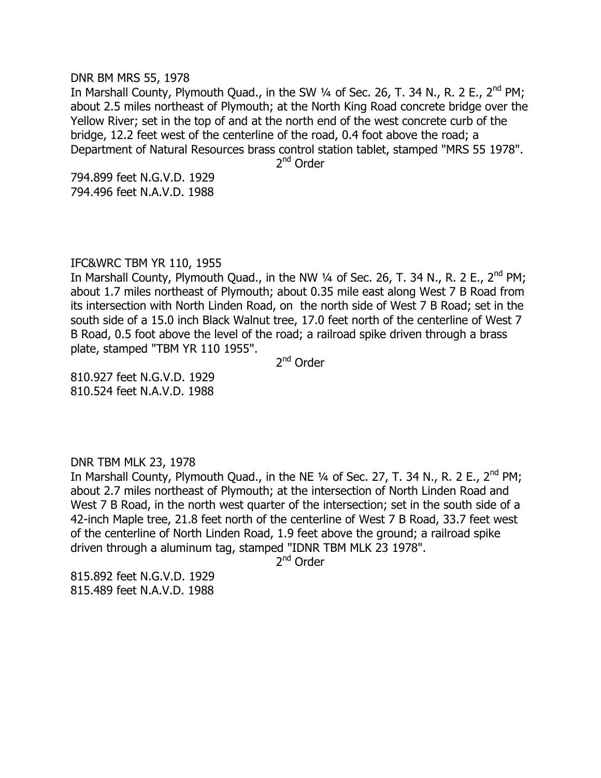#### DNR BM MRS 55, 1978

In Marshall County, Plymouth Quad., in the SW  $\frac{1}{4}$  of Sec. 26, T. 34 N., R. 2 E., 2<sup>nd</sup> PM; about 2.5 miles northeast of Plymouth; at the North King Road concrete bridge over the Yellow River; set in the top of and at the north end of the west concrete curb of the bridge, 12.2 feet west of the centerline of the road, 0.4 foot above the road; a Department of Natural Resources brass control station tablet, stamped "MRS 55 1978".

2<sup>nd</sup> Order

794.899 feet N.G.V.D. 1929 794.496 feet N.A.V.D. 1988

# IFC&WRC TBM YR 110, 1955

In Marshall County, Plymouth Quad., in the NW  $\frac{1}{4}$  of Sec. 26, T. 34 N., R. 2 E., 2<sup>nd</sup> PM; about 1.7 miles northeast of Plymouth; about 0.35 mile east along West 7 B Road from its intersection with North Linden Road, on the north side of West 7 B Road; set in the south side of a 15.0 inch Black Walnut tree, 17.0 feet north of the centerline of West 7 B Road, 0.5 foot above the level of the road; a railroad spike driven through a brass plate, stamped "TBM YR 110 1955".

2<sup>nd</sup> Order

810.927 feet N.G.V.D. 1929 810.524 feet N.A.V.D. 1988

## DNR TBM MLK 23, 1978

In Marshall County, Plymouth Quad., in the NE  $1/4$  of Sec. 27, T. 34 N., R. 2 E., 2<sup>nd</sup> PM; about 2.7 miles northeast of Plymouth; at the intersection of North Linden Road and West 7 B Road, in the north west quarter of the intersection; set in the south side of a 42-inch Maple tree, 21.8 feet north of the centerline of West 7 B Road, 33.7 feet west of the centerline of North Linden Road, 1.9 feet above the ground; a railroad spike driven through a aluminum tag, stamped "IDNR TBM MLK 23 1978".

2<sup>nd</sup> Order

815.892 feet N.G.V.D. 1929 815.489 feet N.A.V.D. 1988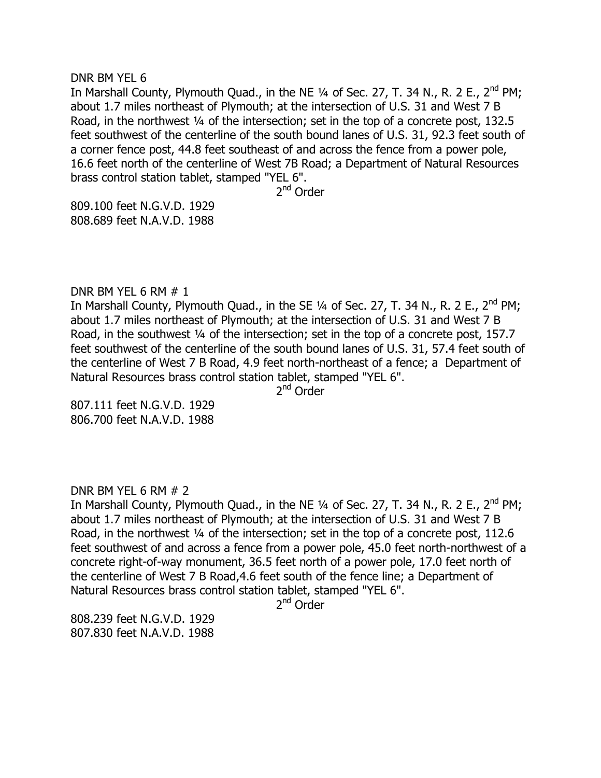DNR BM YEL 6

In Marshall County, Plymouth Quad., in the NE  $\frac{1}{4}$  of Sec. 27, T. 34 N., R. 2 E., 2<sup>nd</sup> PM; about 1.7 miles northeast of Plymouth; at the intersection of U.S. 31 and West 7 B Road, in the northwest 1/4 of the intersection; set in the top of a concrete post, 132.5 feet southwest of the centerline of the south bound lanes of U.S. 31, 92.3 feet south of a corner fence post, 44.8 feet southeast of and across the fence from a power pole, 16.6 feet north of the centerline of West 7B Road; a Department of Natural Resources brass control station tablet, stamped "YEL 6".

2<sup>nd</sup> Order

809.100 feet N.G.V.D. 1929 808.689 feet N.A.V.D. 1988

DNR BM YEL 6 RM # 1

In Marshall County, Plymouth Quad., in the SE 1/4 of Sec. 27, T. 34 N., R. 2 E., 2<sup>nd</sup> PM; about 1.7 miles northeast of Plymouth; at the intersection of U.S. 31 and West 7 B Road, in the southwest 1/4 of the intersection; set in the top of a concrete post, 157.7 feet southwest of the centerline of the south bound lanes of U.S. 31, 57.4 feet south of the centerline of West 7 B Road, 4.9 feet north-northeast of a fence; a Department of Natural Resources brass control station tablet, stamped "YEL 6".

2<sup>nd</sup> Order

807.111 feet N.G.V.D. 1929 806.700 feet N.A.V.D. 1988

DNR BM YEL 6 RM  $# 2$ 

In Marshall County, Plymouth Quad., in the NE  $\frac{1}{4}$  of Sec. 27, T. 34 N., R. 2 E., 2<sup>nd</sup> PM; about 1.7 miles northeast of Plymouth; at the intersection of U.S. 31 and West 7 B Road, in the northwest 1/4 of the intersection; set in the top of a concrete post, 112.6 feet southwest of and across a fence from a power pole, 45.0 feet north-northwest of a concrete right-of-way monument, 36.5 feet north of a power pole, 17.0 feet north of the centerline of West 7 B Road,4.6 feet south of the fence line; a Department of Natural Resources brass control station tablet, stamped "YEL 6".

2<sup>nd</sup> Order

808.239 feet N.G.V.D. 1929 807.830 feet N.A.V.D. 1988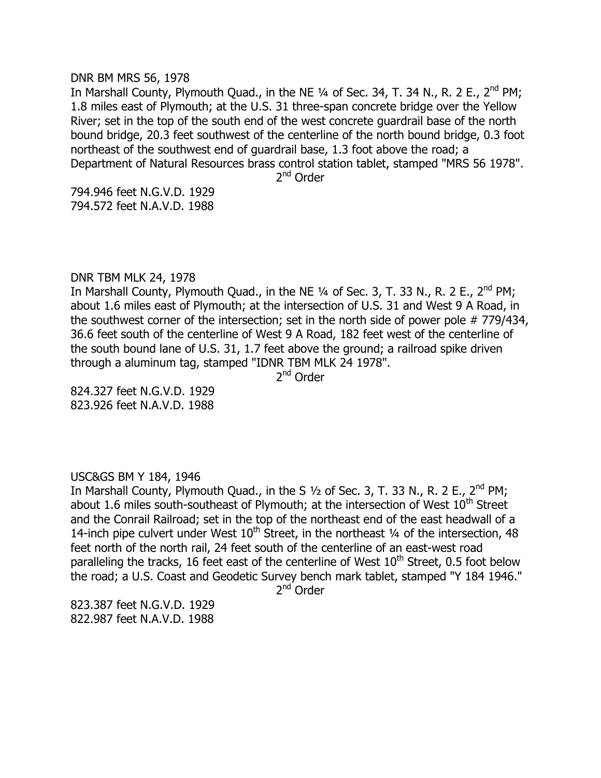#### DNR BM MRS 56, 1978

In Marshall County, Plymouth Quad., in the NE  $\frac{1}{4}$  of Sec. 34, T. 34 N., R. 2 E., 2<sup>nd</sup> PM; 1.8 miles east of Plymouth; at the U.S. 31 three-span concrete bridge over the Yellow River; set in the top of the south end of the west concrete guardrail base of the north bound bridge, 20.3 feet southwest of the centerline of the north bound bridge, 0.3 foot northeast of the southwest end of guardrail base, 1.3 foot above the road; a Department of Natural Resources brass control station tablet, stamped "MRS 56 1978".

2<sup>nd</sup> Order

794.946 feet N.G.V.D. 1929 794.572 feet N.A.V.D. 1988

# DNR TBM MLK 24, 1978

In Marshall County, Plymouth Quad., in the NE  $\frac{1}{4}$  of Sec. 3, T. 33 N., R. 2 E., 2<sup>nd</sup> PM; about 1.6 miles east of Plymouth; at the intersection of U.S. 31 and West 9 A Road, in the southwest corner of the intersection; set in the north side of power pole # 779/434, 36.6 feet south of the centerline of West 9 A Road, 182 feet west of the centerline of the south bound lane of U.S. 31, 1.7 feet above the ground; a railroad spike driven through a aluminum tag, stamped "IDNR TBM MLK 24 1978".

2<sup>nd</sup> Order

824.327 feet N.G.V.D. 1929 823.926 feet N.A.V.D. 1988

## USC&GS BM Y 184, 1946

In Marshall County, Plymouth Quad., in the S  $1/2$  of Sec. 3, T. 33 N., R. 2 E., 2<sup>nd</sup> PM; about 1.6 miles south-southeast of Plymouth; at the intersection of West  $10^{th}$  Street and the Conrail Railroad; set in the top of the northeast end of the east headwall of a 14-inch pipe culvert under West  $10^{th}$  Street, in the northeast  $\frac{1}{4}$  of the intersection, 48 feet north of the north rail, 24 feet south of the centerline of an east-west road paralleling the tracks, 16 feet east of the centerline of West  $10<sup>th</sup>$  Street, 0.5 foot below the road; a U.S. Coast and Geodetic Survey bench mark tablet, stamped "Y 184 1946."

2<sup>nd</sup> Order

823.387 feet N.G.V.D. 1929 822.987 feet N.A.V.D. 1988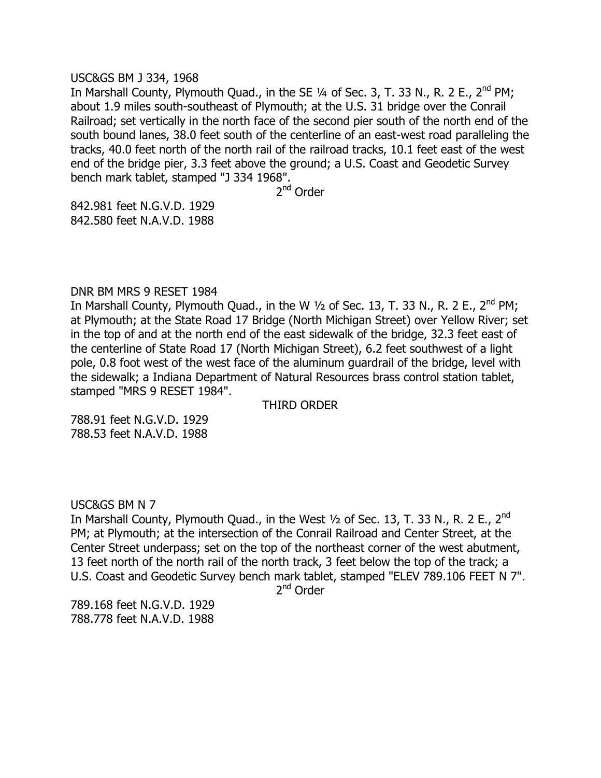## USC&GS BM J 334, 1968

In Marshall County, Plymouth Quad., in the SE  $\frac{1}{4}$  of Sec. 3, T. 33 N., R. 2 E., 2<sup>nd</sup> PM; about 1.9 miles south-southeast of Plymouth; at the U.S. 31 bridge over the Conrail Railroad; set vertically in the north face of the second pier south of the north end of the south bound lanes, 38.0 feet south of the centerline of an east-west road paralleling the tracks, 40.0 feet north of the north rail of the railroad tracks, 10.1 feet east of the west end of the bridge pier, 3.3 feet above the ground; a U.S. Coast and Geodetic Survey bench mark tablet, stamped "J 334 1968".

2<sup>nd</sup> Order

842.981 feet N.G.V.D. 1929 842.580 feet N.A.V.D. 1988

## DNR BM MRS 9 RESET 1984

In Marshall County, Plymouth Quad., in the W  $1/2$  of Sec. 13, T. 33 N., R. 2 E., 2<sup>nd</sup> PM; at Plymouth; at the State Road 17 Bridge (North Michigan Street) over Yellow River; set in the top of and at the north end of the east sidewalk of the bridge, 32.3 feet east of the centerline of State Road 17 (North Michigan Street), 6.2 feet southwest of a light pole, 0.8 foot west of the west face of the aluminum guardrail of the bridge, level with the sidewalk; a Indiana Department of Natural Resources brass control station tablet, stamped "MRS 9 RESET 1984".

THIRD ORDER

788.91 feet N.G.V.D. 1929 788.53 feet N.A.V.D. 1988

## USC&GS BM N 7

In Marshall County, Plymouth Quad., in the West  $\frac{1}{2}$  of Sec. 13, T. 33 N., R. 2 E., 2<sup>nd</sup> PM; at Plymouth; at the intersection of the Conrail Railroad and Center Street, at the Center Street underpass; set on the top of the northeast corner of the west abutment, 13 feet north of the north rail of the north track, 3 feet below the top of the track; a U.S. Coast and Geodetic Survey bench mark tablet, stamped "ELEV 789.106 FEET N 7".

2<sup>nd</sup> Order

789.168 feet N.G.V.D. 1929 788.778 feet N.A.V.D. 1988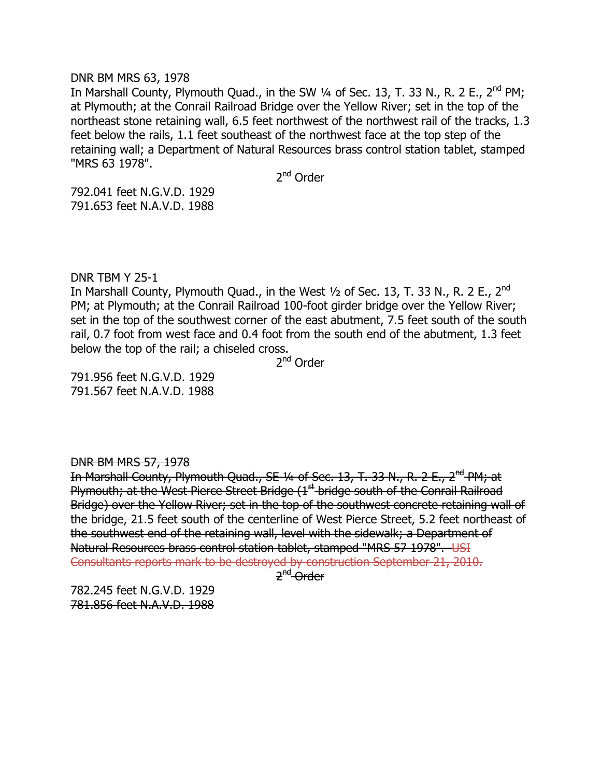#### DNR BM MRS 63, 1978

In Marshall County, Plymouth Quad., in the SW  $\frac{1}{4}$  of Sec. 13, T. 33 N., R. 2 E., 2<sup>nd</sup> PM; at Plymouth; at the Conrail Railroad Bridge over the Yellow River; set in the top of the northeast stone retaining wall, 6.5 feet northwest of the northwest rail of the tracks, 1.3 feet below the rails, 1.1 feet southeast of the northwest face at the top step of the retaining wall; a Department of Natural Resources brass control station tablet, stamped "MRS 63 1978".

2<sup>nd</sup> Order

792.041 feet N.G.V.D. 1929 791.653 feet N.A.V.D. 1988

# DNR TBM Y 25-1

In Marshall County, Plymouth Quad., in the West  $\frac{1}{2}$  of Sec. 13, T. 33 N., R. 2 E., 2<sup>nd</sup> PM; at Plymouth; at the Conrail Railroad 100-foot girder bridge over the Yellow River; set in the top of the southwest corner of the east abutment, 7.5 feet south of the south rail, 0.7 foot from west face and 0.4 foot from the south end of the abutment, 1.3 feet below the top of the rail; a chiseled cross.

2<sup>nd</sup> Order

791.956 feet N.G.V.D. 1929 791.567 feet N.A.V.D. 1988

## DNR BM MRS 57, 1978

In Marshall County, Plymouth Quad., SE 1/4 of Sec. 13, T. 33 N., R. 2 E., 2<sup>nd</sup> PM; at Plymouth; at the West Pierce Street Bridge  $(1<sup>st</sup>$  bridge south of the Conrail Railroad Bridge) over the Yellow River; set in the top of the southwest concrete retaining wall of the bridge, 21.5 feet south of the centerline of West Pierce Street, 5.2 feet northeast of the southwest end of the retaining wall, level with the sidewalk; a Department of Natural Resources brass control station tablet, stamped "MRS 57 1978". USI Consultants reports mark to be destroyed by construction September 21, 2010.

2<sup>nd</sup> Order

782.245 feet N.G.V.D. 1929 781.856 feet N.A.V.D. 1988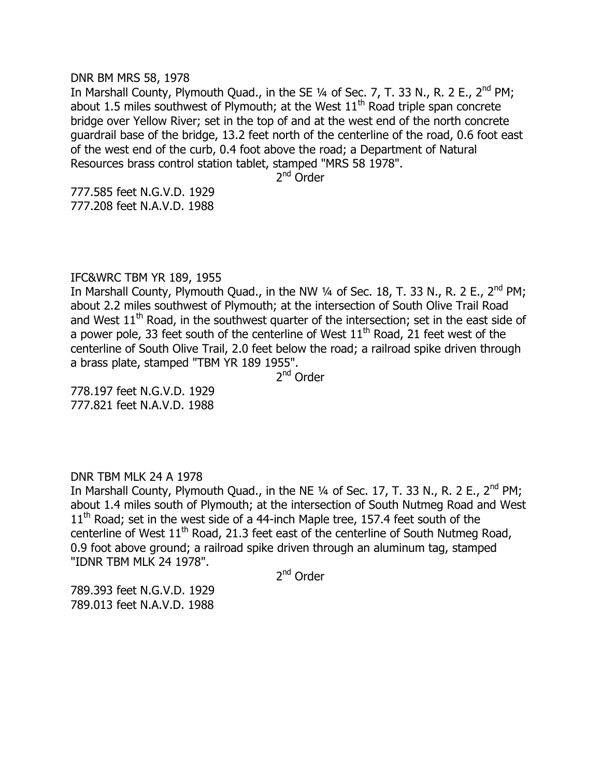#### DNR BM MRS 58, 1978

In Marshall County, Plymouth Quad., in the SE  $\frac{1}{4}$  of Sec. 7, T. 33 N., R. 2 E., 2<sup>nd</sup> PM; about 1.5 miles southwest of Plymouth; at the West  $11<sup>th</sup>$  Road triple span concrete bridge over Yellow River; set in the top of and at the west end of the north concrete guardrail base of the bridge, 13.2 feet north of the centerline of the road, 0.6 foot east of the west end of the curb, 0.4 foot above the road; a Department of Natural Resources brass control station tablet, stamped "MRS 58 1978".

2<sup>nd</sup> Order

777.585 feet N.G.V.D. 1929 777.208 feet N.A.V.D. 1988

# IFC&WRC TBM YR 189, 1955

In Marshall County, Plymouth Quad., in the NW  $\frac{1}{4}$  of Sec. 18, T. 33 N., R. 2 E., 2<sup>nd</sup> PM; about 2.2 miles southwest of Plymouth; at the intersection of South Olive Trail Road and West  $11<sup>th</sup>$  Road, in the southwest quarter of the intersection; set in the east side of a power pole, 33 feet south of the centerline of West  $11<sup>th</sup>$  Road, 21 feet west of the centerline of South Olive Trail, 2.0 feet below the road; a railroad spike driven through a brass plate, stamped "TBM YR 189 1955".

2<sup>nd</sup> Order

778.197 feet N.G.V.D. 1929 777.821 feet N.A.V.D. 1988

## DNR TBM MLK 24 A 1978

In Marshall County, Plymouth Quad., in the NE  $1/4$  of Sec. 17, T. 33 N., R. 2 E., 2<sup>nd</sup> PM; about 1.4 miles south of Plymouth; at the intersection of South Nutmeg Road and West  $11<sup>th</sup>$  Road; set in the west side of a 44-inch Maple tree, 157.4 feet south of the centerline of West  $11<sup>th</sup>$  Road, 21.3 feet east of the centerline of South Nutmeg Road, 0.9 foot above ground; a railroad spike driven through an aluminum tag, stamped "IDNR TBM MLK 24 1978".

2<sup>nd</sup> Order

789.393 feet N.G.V.D. 1929 789.013 feet N.A.V.D. 1988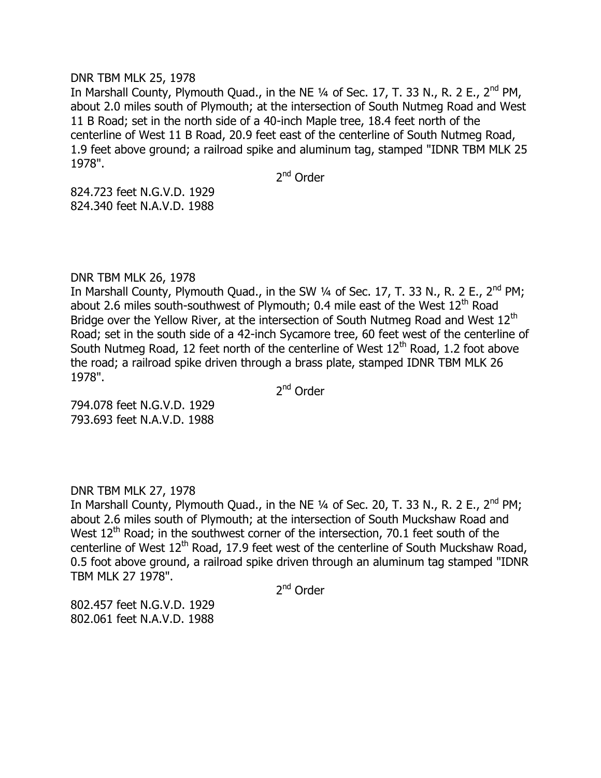#### DNR TBM MLK 25, 1978

In Marshall County, Plymouth Quad., in the NE  $\frac{1}{4}$  of Sec. 17, T. 33 N., R. 2 E., 2<sup>nd</sup> PM, about 2.0 miles south of Plymouth; at the intersection of South Nutmeg Road and West 11 B Road; set in the north side of a 40-inch Maple tree, 18.4 feet north of the centerline of West 11 B Road, 20.9 feet east of the centerline of South Nutmeg Road, 1.9 feet above ground; a railroad spike and aluminum tag, stamped "IDNR TBM MLK 25 1978".

2<sup>nd</sup> Order

824.723 feet N.G.V.D. 1929 824.340 feet N.A.V.D. 1988

# DNR TBM MLK 26, 1978

In Marshall County, Plymouth Quad., in the SW  $\frac{1}{4}$  of Sec. 17, T. 33 N., R. 2 E., 2<sup>nd</sup> PM; about 2.6 miles south-southwest of Plymouth; 0.4 mile east of the West  $12<sup>th</sup>$  Road Bridge over the Yellow River, at the intersection of South Nutmeg Road and West 12<sup>th</sup> Road; set in the south side of a 42-inch Sycamore tree, 60 feet west of the centerline of South Nutmeg Road, 12 feet north of the centerline of West  $12<sup>th</sup>$  Road, 1.2 foot above the road; a railroad spike driven through a brass plate, stamped IDNR TBM MLK 26 1978".

2<sup>nd</sup> Order

794.078 feet N.G.V.D. 1929 793.693 feet N.A.V.D. 1988

DNR TBM MLK 27, 1978

In Marshall County, Plymouth Quad., in the NE  $1/4$  of Sec. 20, T. 33 N., R. 2 E., 2<sup>nd</sup> PM; about 2.6 miles south of Plymouth; at the intersection of South Muckshaw Road and West  $12<sup>th</sup>$  Road; in the southwest corner of the intersection, 70.1 feet south of the centerline of West 12<sup>th</sup> Road, 17.9 feet west of the centerline of South Muckshaw Road, 0.5 foot above ground, a railroad spike driven through an aluminum tag stamped "IDNR TBM MLK 27 1978".

2<sup>nd</sup> Order

802.457 feet N.G.V.D. 1929 802.061 feet N.A.V.D. 1988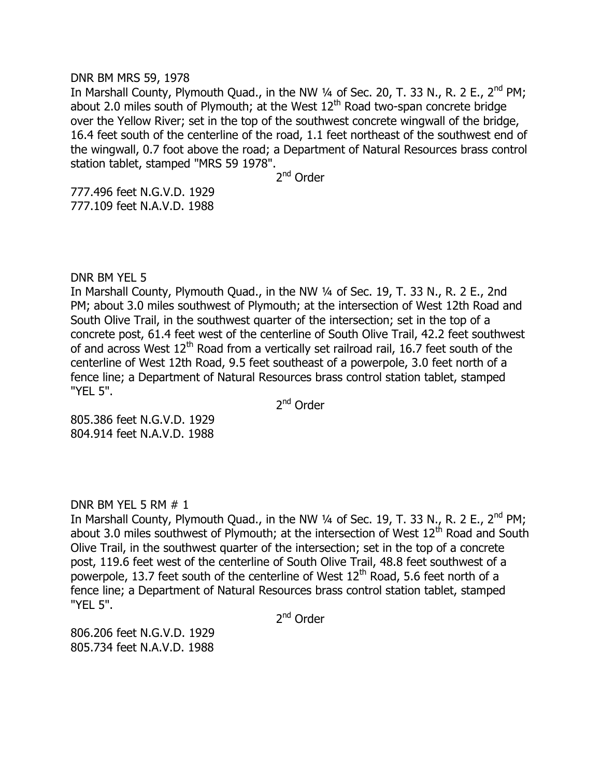#### DNR BM MRS 59, 1978

In Marshall County, Plymouth Quad., in the NW  $\frac{1}{4}$  of Sec. 20, T. 33 N., R. 2 E., 2<sup>nd</sup> PM; about 2.0 miles south of Plymouth; at the West  $12<sup>th</sup>$  Road two-span concrete bridge over the Yellow River; set in the top of the southwest concrete wingwall of the bridge, 16.4 feet south of the centerline of the road, 1.1 feet northeast of the southwest end of the wingwall, 0.7 foot above the road; a Department of Natural Resources brass control station tablet, stamped "MRS 59 1978".

2<sup>nd</sup> Order

777.496 feet N.G.V.D. 1929 777.109 feet N.A.V.D. 1988

## DNR BM YEL 5

In Marshall County, Plymouth Quad., in the NW 1/4 of Sec. 19, T. 33 N., R. 2 E., 2nd PM; about 3.0 miles southwest of Plymouth; at the intersection of West 12th Road and South Olive Trail, in the southwest quarter of the intersection; set in the top of a concrete post, 61.4 feet west of the centerline of South Olive Trail, 42.2 feet southwest of and across West  $12<sup>th</sup>$  Road from a vertically set railroad rail, 16.7 feet south of the centerline of West 12th Road, 9.5 feet southeast of a powerpole, 3.0 feet north of a fence line; a Department of Natural Resources brass control station tablet, stamped "YEL 5".

2<sup>nd</sup> Order

805.386 feet N.G.V.D. 1929 804.914 feet N.A.V.D. 1988

## DNR BM YEL 5 RM # 1

In Marshall County, Plymouth Quad., in the NW  $\frac{1}{4}$  of Sec. 19, T. 33 N., R. 2 E., 2<sup>nd</sup> PM; about 3.0 miles southwest of Plymouth; at the intersection of West  $12<sup>th</sup>$  Road and South Olive Trail, in the southwest quarter of the intersection; set in the top of a concrete post, 119.6 feet west of the centerline of South Olive Trail, 48.8 feet southwest of a powerpole, 13.7 feet south of the centerline of West  $12<sup>th</sup>$  Road, 5.6 feet north of a fence line; a Department of Natural Resources brass control station tablet, stamped "YEL 5".

2<sup>nd</sup> Order

806.206 feet N.G.V.D. 1929 805.734 feet N.A.V.D. 1988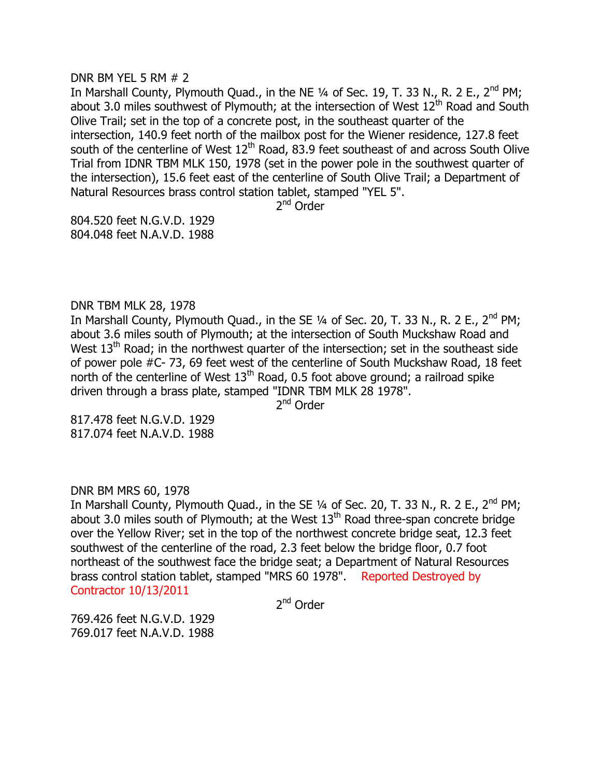#### DNR BM YEL 5 RM # 2

In Marshall County, Plymouth Quad., in the NE  $\frac{1}{4}$  of Sec. 19, T. 33 N., R. 2 E., 2<sup>nd</sup> PM; about 3.0 miles southwest of Plymouth; at the intersection of West  $12<sup>th</sup>$  Road and South Olive Trail; set in the top of a concrete post, in the southeast quarter of the intersection, 140.9 feet north of the mailbox post for the Wiener residence, 127.8 feet south of the centerline of West  $12<sup>th</sup>$  Road, 83.9 feet southeast of and across South Olive Trial from IDNR TBM MLK 150, 1978 (set in the power pole in the southwest quarter of the intersection), 15.6 feet east of the centerline of South Olive Trail; a Department of Natural Resources brass control station tablet, stamped "YEL 5".

2<sup>nd</sup> Order

804.520 feet N.G.V.D. 1929 804.048 feet N.A.V.D. 1988

DNR TBM MLK 28, 1978

In Marshall County, Plymouth Quad., in the SE  $1/4$  of Sec. 20, T. 33 N., R. 2 E., 2<sup>nd</sup> PM; about 3.6 miles south of Plymouth; at the intersection of South Muckshaw Road and West  $13<sup>th</sup>$  Road; in the northwest quarter of the intersection; set in the southeast side of power pole #C- 73, 69 feet west of the centerline of South Muckshaw Road, 18 feet north of the centerline of West  $13<sup>th</sup>$  Road, 0.5 foot above ground; a railroad spike driven through a brass plate, stamped "IDNR TBM MLK 28 1978".

2<sup>nd</sup> Order

817.478 feet N.G.V.D. 1929 817.074 feet N.A.V.D. 1988

DNR BM MRS 60, 1978

In Marshall County, Plymouth Quad., in the SE  $\frac{1}{4}$  of Sec. 20, T. 33 N., R. 2 E., 2<sup>nd</sup> PM; about 3.0 miles south of Plymouth; at the West  $13<sup>th</sup>$  Road three-span concrete bridge over the Yellow River; set in the top of the northwest concrete bridge seat, 12.3 feet southwest of the centerline of the road, 2.3 feet below the bridge floor, 0.7 foot northeast of the southwest face the bridge seat; a Department of Natural Resources brass control station tablet, stamped "MRS 60 1978". Reported Destroyed by Contractor 10/13/2011

2<sup>nd</sup> Order

769.426 feet N.G.V.D. 1929 769.017 feet N.A.V.D. 1988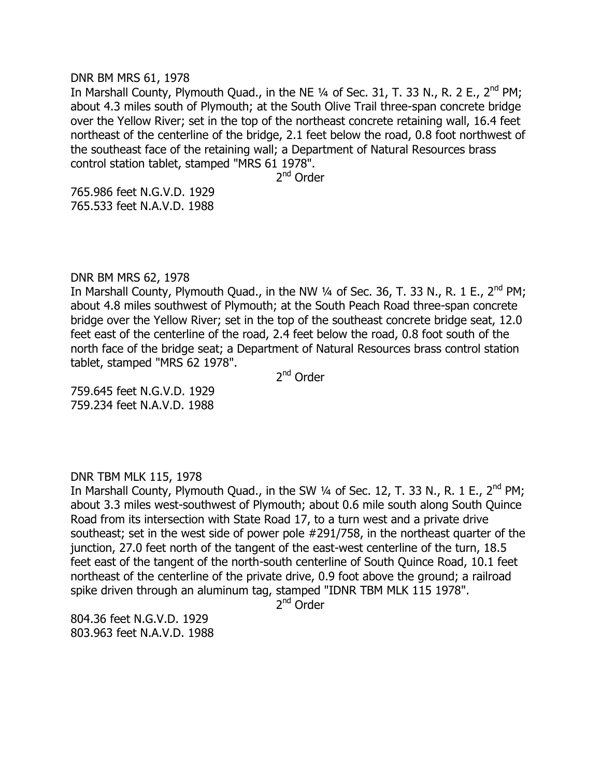#### DNR BM MRS 61, 1978

In Marshall County, Plymouth Quad., in the NE  $\frac{1}{4}$  of Sec. 31, T. 33 N., R. 2 E., 2<sup>nd</sup> PM; about 4.3 miles south of Plymouth; at the South Olive Trail three-span concrete bridge over the Yellow River; set in the top of the northeast concrete retaining wall, 16.4 feet northeast of the centerline of the bridge, 2.1 feet below the road, 0.8 foot northwest of the southeast face of the retaining wall; a Department of Natural Resources brass control station tablet, stamped "MRS 61 1978".

2<sup>nd</sup> Order

765.986 feet N.G.V.D. 1929 765.533 feet N.A.V.D. 1988

## DNR BM MRS 62, 1978

In Marshall County, Plymouth Quad., in the NW  $\frac{1}{4}$  of Sec. 36, T. 33 N., R. 1 E., 2<sup>nd</sup> PM; about 4.8 miles southwest of Plymouth; at the South Peach Road three-span concrete bridge over the Yellow River; set in the top of the southeast concrete bridge seat, 12.0 feet east of the centerline of the road, 2.4 feet below the road, 0.8 foot south of the north face of the bridge seat; a Department of Natural Resources brass control station tablet, stamped "MRS 62 1978".

2<sup>nd</sup> Order

759.645 feet N.G.V.D. 1929 759.234 feet N.A.V.D. 1988

## DNR TBM MLK 115, 1978

In Marshall County, Plymouth Quad., in the SW  $\frac{1}{4}$  of Sec. 12, T. 33 N., R. 1 E., 2<sup>nd</sup> PM; about 3.3 miles west-southwest of Plymouth; about 0.6 mile south along South Quince Road from its intersection with State Road 17, to a turn west and a private drive southeast; set in the west side of power pole #291/758, in the northeast quarter of the junction, 27.0 feet north of the tangent of the east-west centerline of the turn, 18.5 feet east of the tangent of the north-south centerline of South Quince Road, 10.1 feet northeast of the centerline of the private drive, 0.9 foot above the ground; a railroad spike driven through an aluminum tag, stamped "IDNR TBM MLK 115 1978".

2<sup>nd</sup> Order

804.36 feet N.G.V.D. 1929 803.963 feet N.A.V.D. 1988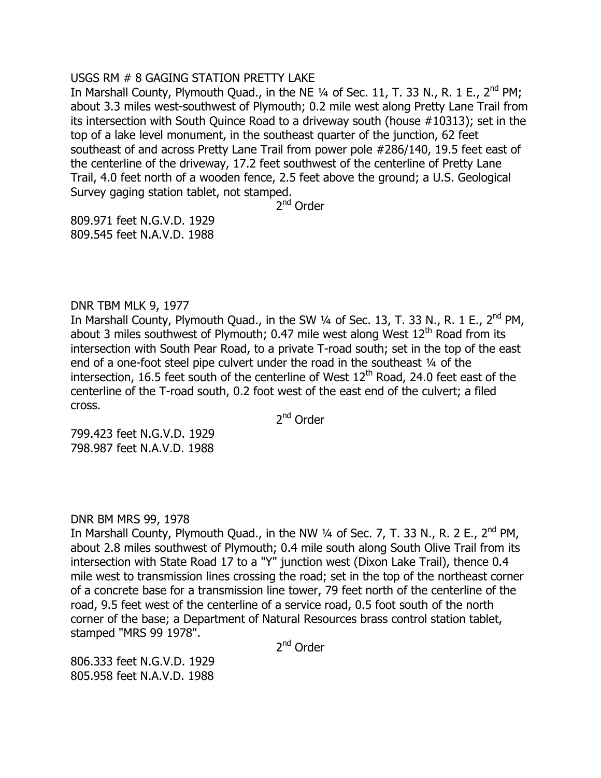# USGS RM # 8 GAGING STATION PRETTY LAKE

In Marshall County, Plymouth Quad., in the NE  $\frac{1}{4}$  of Sec. 11, T. 33 N., R. 1 E., 2<sup>nd</sup> PM; about 3.3 miles west-southwest of Plymouth; 0.2 mile west along Pretty Lane Trail from its intersection with South Quince Road to a driveway south (house #10313); set in the top of a lake level monument, in the southeast quarter of the junction, 62 feet southeast of and across Pretty Lane Trail from power pole #286/140, 19.5 feet east of the centerline of the driveway, 17.2 feet southwest of the centerline of Pretty Lane Trail, 4.0 feet north of a wooden fence, 2.5 feet above the ground; a U.S. Geological Survey gaging station tablet, not stamped.

2<sup>nd</sup> Order

809.971 feet N.G.V.D. 1929 809.545 feet N.A.V.D. 1988

# DNR TBM MLK 9, 1977

In Marshall County, Plymouth Quad., in the SW  $\frac{1}{4}$  of Sec. 13, T. 33 N., R. 1 E., 2<sup>nd</sup> PM, about 3 miles southwest of Plymouth; 0.47 mile west along West  $12<sup>th</sup>$  Road from its intersection with South Pear Road, to a private T-road south; set in the top of the east end of a one-foot steel pipe culvert under the road in the southeast 1/4 of the intersection, 16.5 feet south of the centerline of West  $12<sup>th</sup>$  Road, 24.0 feet east of the centerline of the T-road south, 0.2 foot west of the east end of the culvert; a filed cross.

2<sup>nd</sup> Order

799.423 feet N.G.V.D. 1929 798.987 feet N.A.V.D. 1988

# DNR BM MRS 99, 1978

In Marshall County, Plymouth Quad., in the NW 1/4 of Sec. 7, T. 33 N., R. 2 E., 2<sup>nd</sup> PM, about 2.8 miles southwest of Plymouth; 0.4 mile south along South Olive Trail from its intersection with State Road 17 to a "Y" junction west (Dixon Lake Trail), thence 0.4 mile west to transmission lines crossing the road; set in the top of the northeast corner of a concrete base for a transmission line tower, 79 feet north of the centerline of the road, 9.5 feet west of the centerline of a service road, 0.5 foot south of the north corner of the base; a Department of Natural Resources brass control station tablet, stamped "MRS 99 1978".

2<sup>nd</sup> Order

806.333 feet N.G.V.D. 1929 805.958 feet N.A.V.D. 1988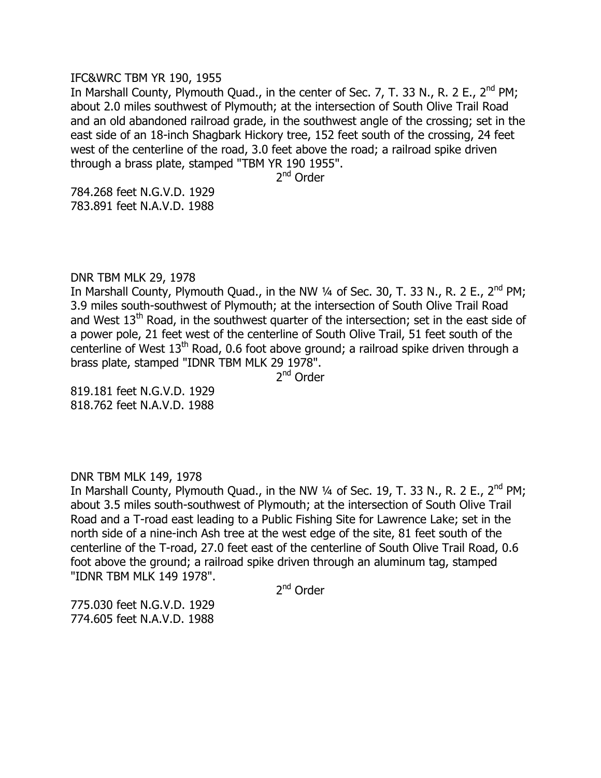### IFC&WRC TBM YR 190, 1955

In Marshall County, Plymouth Quad., in the center of Sec. 7, T. 33 N., R. 2 E.,  $2^{nd}$  PM; about 2.0 miles southwest of Plymouth; at the intersection of South Olive Trail Road and an old abandoned railroad grade, in the southwest angle of the crossing; set in the east side of an 18-inch Shagbark Hickory tree, 152 feet south of the crossing, 24 feet west of the centerline of the road, 3.0 feet above the road; a railroad spike driven through a brass plate, stamped "TBM YR 190 1955".

2<sup>nd</sup> Order

784.268 feet N.G.V.D. 1929 783.891 feet N.A.V.D. 1988

## DNR TBM MLK 29, 1978

In Marshall County, Plymouth Quad., in the NW  $\frac{1}{4}$  of Sec. 30, T. 33 N., R. 2 E., 2<sup>nd</sup> PM; 3.9 miles south-southwest of Plymouth; at the intersection of South Olive Trail Road and West  $13<sup>th</sup>$  Road, in the southwest quarter of the intersection; set in the east side of a power pole, 21 feet west of the centerline of South Olive Trail, 51 feet south of the centerline of West 13<sup>th</sup> Road, 0.6 foot above ground; a railroad spike driven through a brass plate, stamped "IDNR TBM MLK 29 1978".

2<sup>nd</sup> Order

819.181 feet N.G.V.D. 1929 818.762 feet N.A.V.D. 1988

## DNR TBM MLK 149, 1978

In Marshall County, Plymouth Quad., in the NW  $\frac{1}{4}$  of Sec. 19, T. 33 N., R. 2 E., 2<sup>nd</sup> PM; about 3.5 miles south-southwest of Plymouth; at the intersection of South Olive Trail Road and a T-road east leading to a Public Fishing Site for Lawrence Lake; set in the north side of a nine-inch Ash tree at the west edge of the site, 81 feet south of the centerline of the T-road, 27.0 feet east of the centerline of South Olive Trail Road, 0.6 foot above the ground; a railroad spike driven through an aluminum tag, stamped "IDNR TBM MLK 149 1978".

2<sup>nd</sup> Order

775.030 feet N.G.V.D. 1929 774.605 feet N.A.V.D. 1988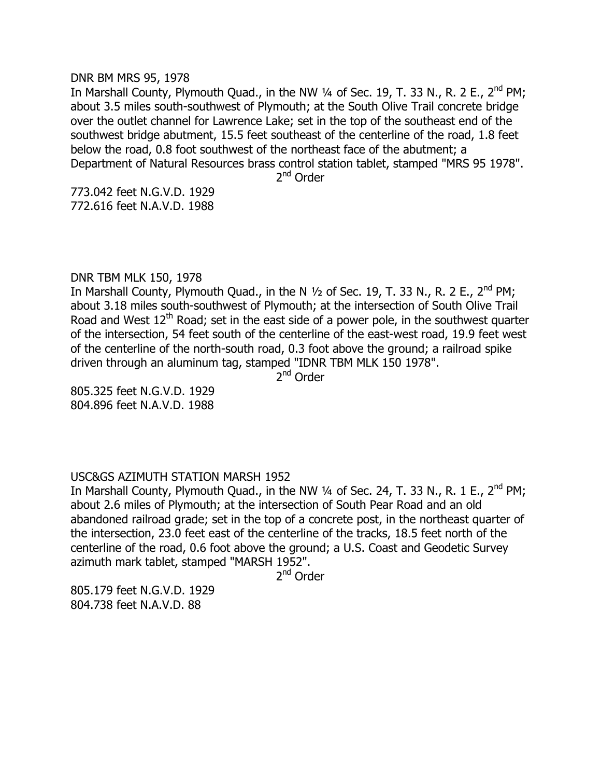#### DNR BM MRS 95, 1978

In Marshall County, Plymouth Quad., in the NW 1/4 of Sec. 19, T. 33 N., R. 2 E., 2<sup>nd</sup> PM; about 3.5 miles south-southwest of Plymouth; at the South Olive Trail concrete bridge over the outlet channel for Lawrence Lake; set in the top of the southeast end of the southwest bridge abutment, 15.5 feet southeast of the centerline of the road, 1.8 feet below the road, 0.8 foot southwest of the northeast face of the abutment; a Department of Natural Resources brass control station tablet, stamped "MRS 95 1978".

2<sup>nd</sup> Order

773.042 feet N.G.V.D. 1929 772.616 feet N.A.V.D. 1988

# DNR TBM MLK 150, 1978

In Marshall County, Plymouth Quad., in the N 1/2 of Sec. 19, T. 33 N., R. 2 E., 2<sup>nd</sup> PM; about 3.18 miles south-southwest of Plymouth; at the intersection of South Olive Trail Road and West  $12<sup>th</sup>$  Road; set in the east side of a power pole, in the southwest quarter of the intersection, 54 feet south of the centerline of the east-west road, 19.9 feet west of the centerline of the north-south road, 0.3 foot above the ground; a railroad spike driven through an aluminum tag, stamped "IDNR TBM MLK 150 1978".

2<sup>nd</sup> Order

805.325 feet N.G.V.D. 1929 804.896 feet N.A.V.D. 1988

## USC&GS AZIMUTH STATION MARSH 1952

In Marshall County, Plymouth Quad., in the NW  $\frac{1}{4}$  of Sec. 24, T. 33 N., R. 1 E., 2<sup>nd</sup> PM; about 2.6 miles of Plymouth; at the intersection of South Pear Road and an old abandoned railroad grade; set in the top of a concrete post, in the northeast quarter of the intersection, 23.0 feet east of the centerline of the tracks, 18.5 feet north of the centerline of the road, 0.6 foot above the ground; a U.S. Coast and Geodetic Survey azimuth mark tablet, stamped "MARSH 1952".

2<sup>nd</sup> Order

805.179 feet N.G.V.D. 1929 804.738 feet N.A.V.D. 88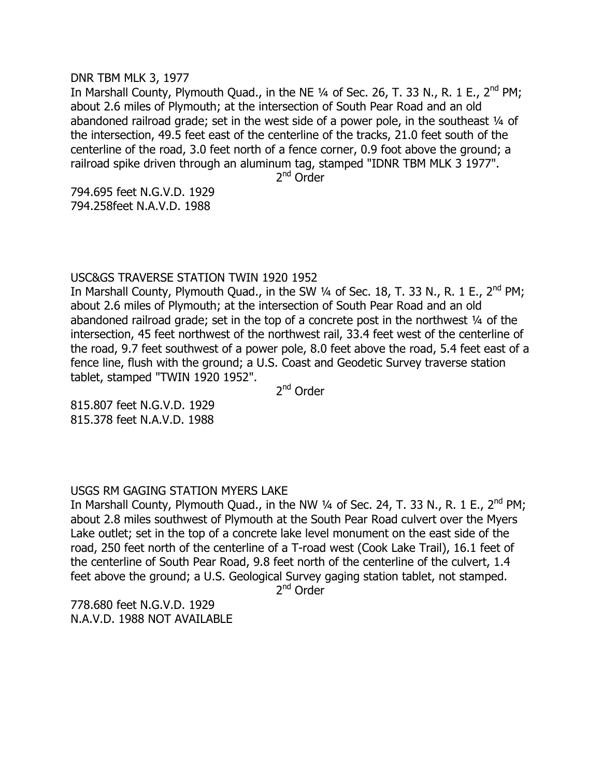#### DNR TBM MLK 3, 1977

In Marshall County, Plymouth Quad., in the NE  $\frac{1}{4}$  of Sec. 26, T. 33 N., R. 1 E., 2<sup>nd</sup> PM; about 2.6 miles of Plymouth; at the intersection of South Pear Road and an old abandoned railroad grade; set in the west side of a power pole, in the southeast  $\frac{1}{4}$  of the intersection, 49.5 feet east of the centerline of the tracks, 21.0 feet south of the centerline of the road, 3.0 feet north of a fence corner, 0.9 foot above the ground; a railroad spike driven through an aluminum tag, stamped "IDNR TBM MLK 3 1977".

2<sup>nd</sup> Order

794.695 feet N.G.V.D. 1929 794.258feet N.A.V.D. 1988

# USC&GS TRAVERSE STATION TWIN 1920 1952

In Marshall County, Plymouth Quad., in the SW  $\frac{1}{4}$  of Sec. 18, T. 33 N., R. 1 E., 2<sup>nd</sup> PM; about 2.6 miles of Plymouth; at the intersection of South Pear Road and an old abandoned railroad grade; set in the top of a concrete post in the northwest ¼ of the intersection, 45 feet northwest of the northwest rail, 33.4 feet west of the centerline of the road, 9.7 feet southwest of a power pole, 8.0 feet above the road, 5.4 feet east of a fence line, flush with the ground; a U.S. Coast and Geodetic Survey traverse station tablet, stamped "TWIN 1920 1952".

2<sup>nd</sup> Order

815.807 feet N.G.V.D. 1929 815.378 feet N.A.V.D. 1988

# USGS RM GAGING STATION MYERS LAKE

In Marshall County, Plymouth Quad., in the NW  $\frac{1}{4}$  of Sec. 24, T. 33 N., R. 1 E., 2<sup>nd</sup> PM; about 2.8 miles southwest of Plymouth at the South Pear Road culvert over the Myers Lake outlet; set in the top of a concrete lake level monument on the east side of the road, 250 feet north of the centerline of a T-road west (Cook Lake Trail), 16.1 feet of the centerline of South Pear Road, 9.8 feet north of the centerline of the culvert, 1.4 feet above the ground; a U.S. Geological Survey gaging station tablet, not stamped.

2<sup>nd</sup> Order

778.680 feet N.G.V.D. 1929 N.A.V.D. 1988 NOT AVAILABLE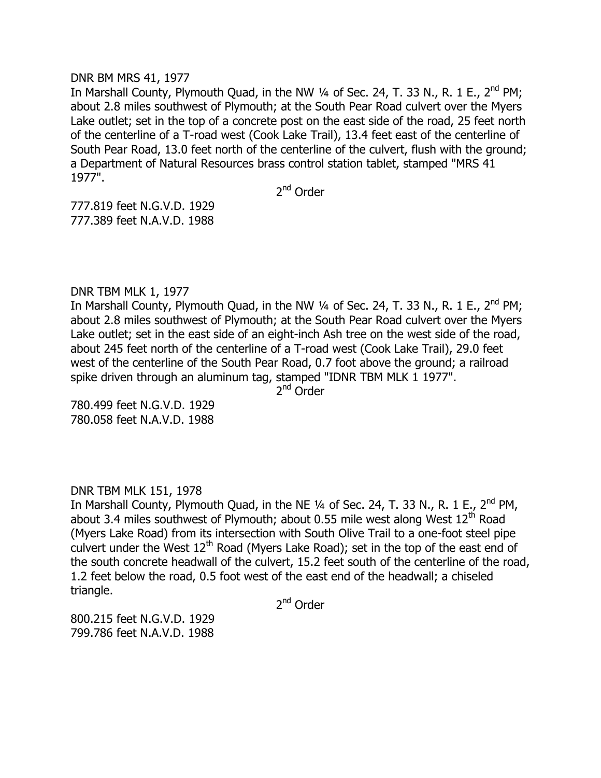## DNR BM MRS 41, 1977

In Marshall County, Plymouth Quad, in the NW 1/4 of Sec. 24, T. 33 N., R. 1 E., 2<sup>nd</sup> PM; about 2.8 miles southwest of Plymouth; at the South Pear Road culvert over the Myers Lake outlet; set in the top of a concrete post on the east side of the road, 25 feet north of the centerline of a T-road west (Cook Lake Trail), 13.4 feet east of the centerline of South Pear Road, 13.0 feet north of the centerline of the culvert, flush with the ground; a Department of Natural Resources brass control station tablet, stamped "MRS 41 1977".

2<sup>nd</sup> Order

777.819 feet N.G.V.D. 1929 777.389 feet N.A.V.D. 1988

# DNR TBM MLK 1, 1977

In Marshall County, Plymouth Quad, in the NW  $\frac{1}{4}$  of Sec. 24, T. 33 N., R. 1 E., 2<sup>nd</sup> PM; about 2.8 miles southwest of Plymouth; at the South Pear Road culvert over the Myers Lake outlet; set in the east side of an eight-inch Ash tree on the west side of the road, about 245 feet north of the centerline of a T-road west (Cook Lake Trail), 29.0 feet west of the centerline of the South Pear Road, 0.7 foot above the ground; a railroad spike driven through an aluminum tag, stamped "IDNR TBM MLK 1 1977".

2<sup>nd</sup> Order

780.499 feet N.G.V.D. 1929 780.058 feet N.A.V.D. 1988

# DNR TBM MLK 151, 1978

In Marshall County, Plymouth Quad, in the NE 1/4 of Sec. 24, T. 33 N., R. 1 E., 2<sup>nd</sup> PM, about 3.4 miles southwest of Plymouth; about 0.55 mile west along West  $12<sup>th</sup>$  Road (Myers Lake Road) from its intersection with South Olive Trail to a one-foot steel pipe culvert under the West  $12<sup>th</sup>$  Road (Myers Lake Road); set in the top of the east end of the south concrete headwall of the culvert, 15.2 feet south of the centerline of the road, 1.2 feet below the road, 0.5 foot west of the east end of the headwall; a chiseled triangle.

2<sup>nd</sup> Order

800.215 feet N.G.V.D. 1929 799.786 feet N.A.V.D. 1988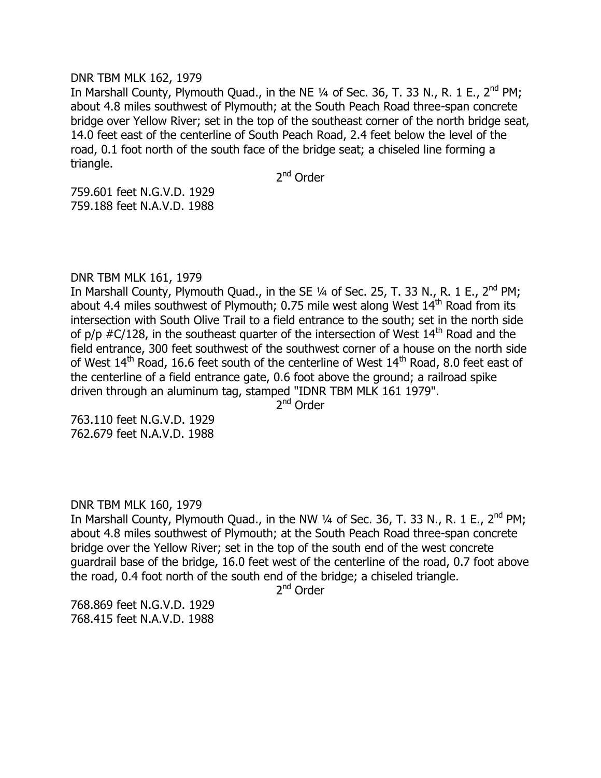#### DNR TBM MLK 162, 1979

In Marshall County, Plymouth Quad., in the NE  $\frac{1}{4}$  of Sec. 36, T. 33 N., R. 1 E., 2<sup>nd</sup> PM; about 4.8 miles southwest of Plymouth; at the South Peach Road three-span concrete bridge over Yellow River; set in the top of the southeast corner of the north bridge seat, 14.0 feet east of the centerline of South Peach Road, 2.4 feet below the level of the road, 0.1 foot north of the south face of the bridge seat; a chiseled line forming a triangle.

2<sup>nd</sup> Order

759.601 feet N.G.V.D. 1929 759.188 feet N.A.V.D. 1988

## DNR TBM MLK 161, 1979

In Marshall County, Plymouth Quad., in the SE  $1/4$  of Sec. 25, T. 33 N., R. 1 E., 2<sup>nd</sup> PM; about 4.4 miles southwest of Plymouth; 0.75 mile west along West  $14<sup>th</sup>$  Road from its intersection with South Olive Trail to a field entrance to the south; set in the north side of  $p/p$  #C/128, in the southeast quarter of the intersection of West  $14<sup>th</sup>$  Road and the field entrance, 300 feet southwest of the southwest corner of a house on the north side of West 14<sup>th</sup> Road, 16.6 feet south of the centerline of West 14<sup>th</sup> Road, 8.0 feet east of the centerline of a field entrance gate, 0.6 foot above the ground; a railroad spike driven through an aluminum tag, stamped "IDNR TBM MLK 161 1979".

2<sup>nd</sup> Order

763.110 feet N.G.V.D. 1929 762.679 feet N.A.V.D. 1988

## DNR TBM MLK 160, 1979

In Marshall County, Plymouth Quad., in the NW  $\frac{1}{4}$  of Sec. 36, T. 33 N., R. 1 E., 2<sup>nd</sup> PM; about 4.8 miles southwest of Plymouth; at the South Peach Road three-span concrete bridge over the Yellow River; set in the top of the south end of the west concrete guardrail base of the bridge, 16.0 feet west of the centerline of the road, 0.7 foot above the road, 0.4 foot north of the south end of the bridge; a chiseled triangle.

2<sup>nd</sup> Order

768.869 feet N.G.V.D. 1929 768.415 feet N.A.V.D. 1988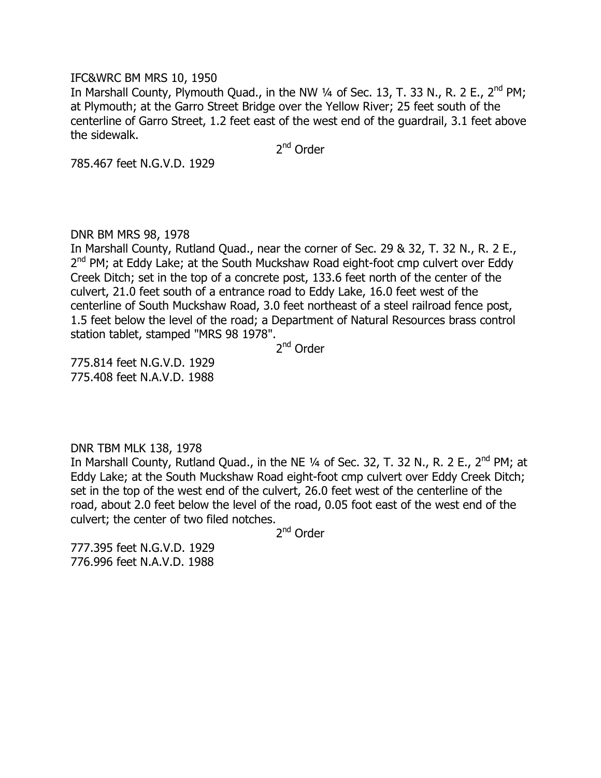## IFC&WRC BM MRS 10, 1950

In Marshall County, Plymouth Quad., in the NW  $\frac{1}{4}$  of Sec. 13, T. 33 N., R. 2 E., 2<sup>nd</sup> PM; at Plymouth; at the Garro Street Bridge over the Yellow River; 25 feet south of the centerline of Garro Street, 1.2 feet east of the west end of the guardrail, 3.1 feet above the sidewalk.

2<sup>nd</sup> Order

785.467 feet N.G.V.D. 1929

# DNR BM MRS 98, 1978

In Marshall County, Rutland Quad., near the corner of Sec. 29 & 32, T. 32 N., R. 2 E., 2<sup>nd</sup> PM; at Eddy Lake; at the South Muckshaw Road eight-foot cmp culvert over Eddy Creek Ditch; set in the top of a concrete post, 133.6 feet north of the center of the culvert, 21.0 feet south of a entrance road to Eddy Lake, 16.0 feet west of the centerline of South Muckshaw Road, 3.0 feet northeast of a steel railroad fence post, 1.5 feet below the level of the road; a Department of Natural Resources brass control station tablet, stamped "MRS 98 1978".

2<sup>nd</sup> Order

775.814 feet N.G.V.D. 1929 775.408 feet N.A.V.D. 1988

DNR TBM MLK 138, 1978

In Marshall County, Rutland Quad., in the NE  $\frac{1}{4}$  of Sec. 32, T. 32 N., R. 2 E., 2<sup>nd</sup> PM; at Eddy Lake; at the South Muckshaw Road eight-foot cmp culvert over Eddy Creek Ditch; set in the top of the west end of the culvert, 26.0 feet west of the centerline of the road, about 2.0 feet below the level of the road, 0.05 foot east of the west end of the culvert; the center of two filed notches.

2<sup>nd</sup> Order

777.395 feet N.G.V.D. 1929 776.996 feet N.A.V.D. 1988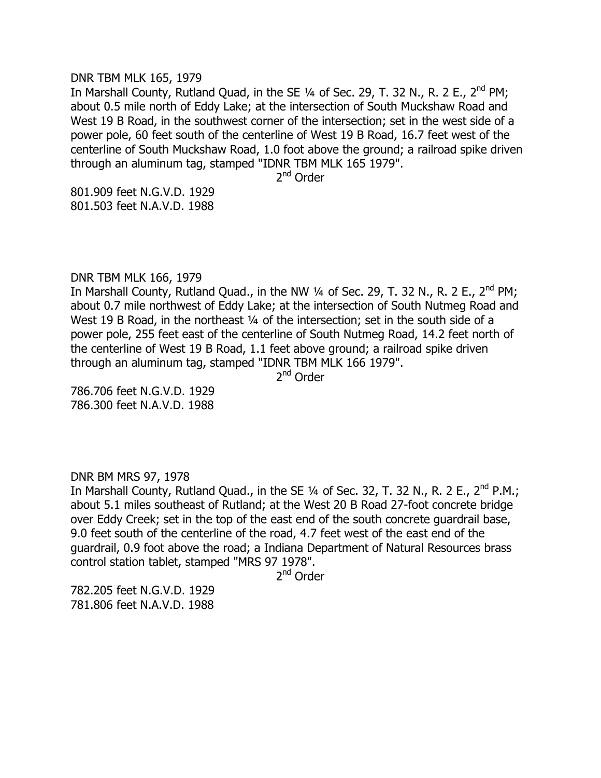#### DNR TBM MLK 165, 1979

In Marshall County, Rutland Quad, in the SE  $\frac{1}{4}$  of Sec. 29, T. 32 N., R. 2 E., 2<sup>nd</sup> PM; about 0.5 mile north of Eddy Lake; at the intersection of South Muckshaw Road and West 19 B Road, in the southwest corner of the intersection; set in the west side of a power pole, 60 feet south of the centerline of West 19 B Road, 16.7 feet west of the centerline of South Muckshaw Road, 1.0 foot above the ground; a railroad spike driven through an aluminum tag, stamped "IDNR TBM MLK 165 1979".

2<sup>nd</sup> Order

801.909 feet N.G.V.D. 1929 801.503 feet N.A.V.D. 1988

# DNR TBM MLK 166, 1979

In Marshall County, Rutland Quad., in the NW  $\frac{1}{4}$  of Sec. 29, T. 32 N., R. 2 E., 2<sup>nd</sup> PM; about 0.7 mile northwest of Eddy Lake; at the intersection of South Nutmeg Road and West 19 B Road, in the northeast 1/4 of the intersection; set in the south side of a power pole, 255 feet east of the centerline of South Nutmeg Road, 14.2 feet north of the centerline of West 19 B Road, 1.1 feet above ground; a railroad spike driven through an aluminum tag, stamped "IDNR TBM MLK 166 1979".

2<sup>nd</sup> Order

786.706 feet N.G.V.D. 1929 786.300 feet N.A.V.D. 1988

## DNR BM MRS 97, 1978

In Marshall County, Rutland Quad., in the SE 1/4 of Sec. 32, T. 32 N., R. 2 E., 2<sup>nd</sup> P.M.; about 5.1 miles southeast of Rutland; at the West 20 B Road 27-foot concrete bridge over Eddy Creek; set in the top of the east end of the south concrete guardrail base, 9.0 feet south of the centerline of the road, 4.7 feet west of the east end of the guardrail, 0.9 foot above the road; a Indiana Department of Natural Resources brass control station tablet, stamped "MRS 97 1978".

2<sup>nd</sup> Order

782.205 feet N.G.V.D. 1929 781.806 feet N.A.V.D. 1988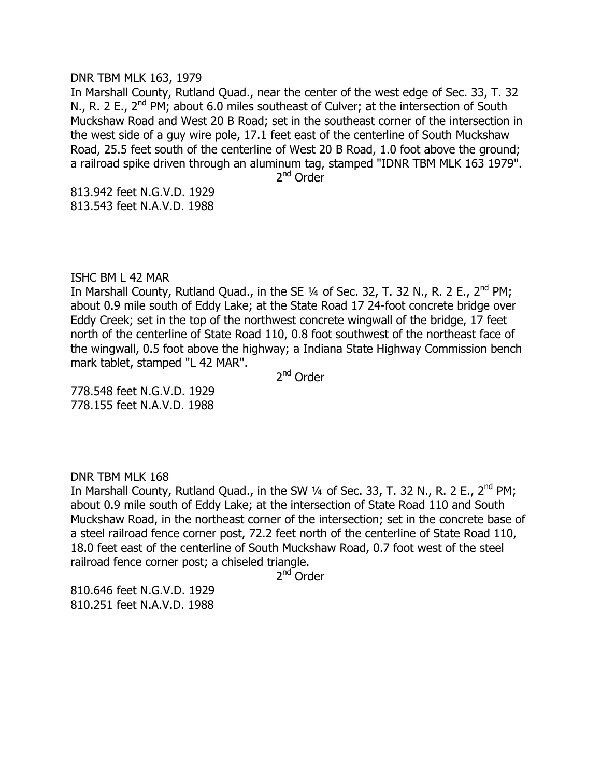#### DNR TBM MLK 163, 1979

In Marshall County, Rutland Quad., near the center of the west edge of Sec. 33, T. 32 N., R. 2 E.,  $2^{nd}$  PM; about 6.0 miles southeast of Culver; at the intersection of South Muckshaw Road and West 20 B Road; set in the southeast corner of the intersection in the west side of a guy wire pole, 17.1 feet east of the centerline of South Muckshaw Road, 25.5 feet south of the centerline of West 20 B Road, 1.0 foot above the ground; a railroad spike driven through an aluminum tag, stamped "IDNR TBM MLK 163 1979".

2<sup>nd</sup> Order

813.942 feet N.G.V.D. 1929 813.543 feet N.A.V.D. 1988

## ISHC BM L 42 MAR

In Marshall County, Rutland Quad., in the SE  $1/4$  of Sec. 32, T. 32 N., R. 2 E., 2<sup>nd</sup> PM; about 0.9 mile south of Eddy Lake; at the State Road 17 24-foot concrete bridge over Eddy Creek; set in the top of the northwest concrete wingwall of the bridge, 17 feet north of the centerline of State Road 110, 0.8 foot southwest of the northeast face of the wingwall, 0.5 foot above the highway; a Indiana State Highway Commission bench mark tablet, stamped "L 42 MAR".

2<sup>nd</sup> Order

778.548 feet N.G.V.D. 1929 778.155 feet N.A.V.D. 1988

## DNR TBM MLK 168

In Marshall County, Rutland Quad., in the SW  $\frac{1}{4}$  of Sec. 33, T. 32 N., R. 2 E., 2<sup>nd</sup> PM; about 0.9 mile south of Eddy Lake; at the intersection of State Road 110 and South Muckshaw Road, in the northeast corner of the intersection; set in the concrete base of a steel railroad fence corner post, 72.2 feet north of the centerline of State Road 110, 18.0 feet east of the centerline of South Muckshaw Road, 0.7 foot west of the steel railroad fence corner post; a chiseled triangle.

2<sup>nd</sup> Order

810.646 feet N.G.V.D. 1929 810.251 feet N.A.V.D. 1988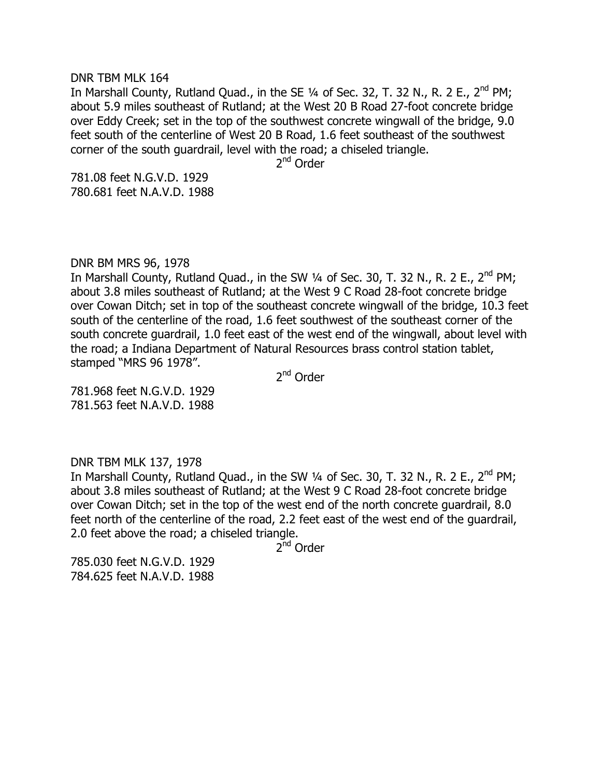#### DNR TBM MLK 164

In Marshall County, Rutland Ouad., in the SE  $\frac{1}{4}$  of Sec. 32, T. 32 N., R. 2 E., 2<sup>nd</sup> PM; about 5.9 miles southeast of Rutland; at the West 20 B Road 27-foot concrete bridge over Eddy Creek; set in the top of the southwest concrete wingwall of the bridge, 9.0 feet south of the centerline of West 20 B Road, 1.6 feet southeast of the southwest corner of the south guardrail, level with the road; a chiseled triangle.

2<sup>nd</sup> Order

781.08 feet N.G.V.D. 1929 780.681 feet N.A.V.D. 1988

# DNR BM MRS 96, 1978

In Marshall County, Rutland Quad., in the SW  $\frac{1}{4}$  of Sec. 30, T. 32 N., R. 2 E., 2<sup>nd</sup> PM; about 3.8 miles southeast of Rutland; at the West 9 C Road 28-foot concrete bridge over Cowan Ditch; set in top of the southeast concrete wingwall of the bridge, 10.3 feet south of the centerline of the road, 1.6 feet southwest of the southeast corner of the south concrete guardrail, 1.0 feet east of the west end of the wingwall, about level with the road; a Indiana Department of Natural Resources brass control station tablet, stamped "MRS 96 1978".

2<sup>nd</sup> Order

781.968 feet N.G.V.D. 1929 781.563 feet N.A.V.D. 1988

## DNR TBM MLK 137, 1978

In Marshall County, Rutland Quad., in the SW  $\frac{1}{4}$  of Sec. 30, T. 32 N., R. 2 E., 2<sup>nd</sup> PM; about 3.8 miles southeast of Rutland; at the West 9 C Road 28-foot concrete bridge over Cowan Ditch; set in the top of the west end of the north concrete guardrail, 8.0 feet north of the centerline of the road, 2.2 feet east of the west end of the guardrail, 2.0 feet above the road; a chiseled triangle.

2<sup>nd</sup> Order

785.030 feet N.G.V.D. 1929 784.625 feet N.A.V.D. 1988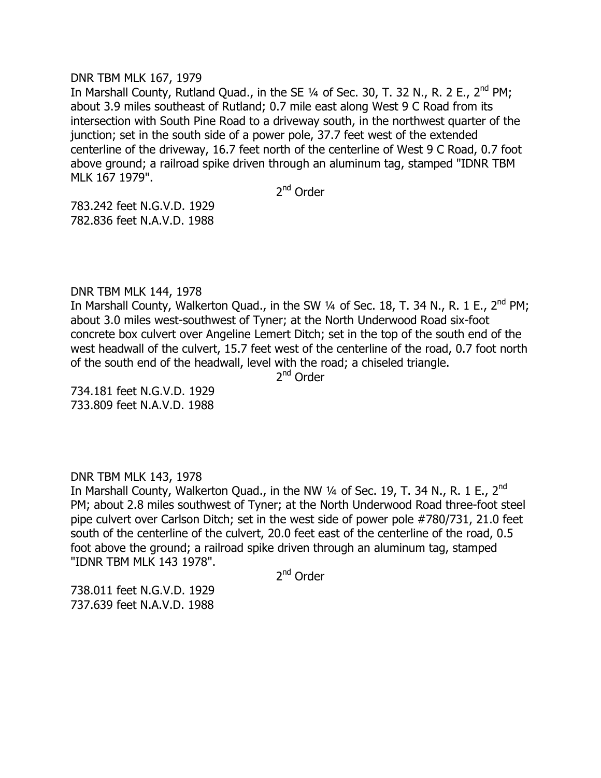## DNR TBM MLK 167, 1979

In Marshall County, Rutland Quad., in the SE  $\frac{1}{4}$  of Sec. 30, T. 32 N., R. 2 E., 2<sup>nd</sup> PM; about 3.9 miles southeast of Rutland; 0.7 mile east along West 9 C Road from its intersection with South Pine Road to a driveway south, in the northwest quarter of the junction; set in the south side of a power pole, 37.7 feet west of the extended centerline of the driveway, 16.7 feet north of the centerline of West 9 C Road, 0.7 foot above ground; a railroad spike driven through an aluminum tag, stamped "IDNR TBM MLK 167 1979".

2<sup>nd</sup> Order

783.242 feet N.G.V.D. 1929 782.836 feet N.A.V.D. 1988

# DNR TBM MLK 144, 1978

In Marshall County, Walkerton Quad., in the SW 1/4 of Sec. 18, T. 34 N., R. 1 E., 2<sup>nd</sup> PM; about 3.0 miles west-southwest of Tyner; at the North Underwood Road six-foot concrete box culvert over Angeline Lemert Ditch; set in the top of the south end of the west headwall of the culvert, 15.7 feet west of the centerline of the road, 0.7 foot north of the south end of the headwall, level with the road; a chiseled triangle.

2<sup>nd</sup> Order

734.181 feet N.G.V.D. 1929 733.809 feet N.A.V.D. 1988

## DNR TBM MLK 143, 1978

In Marshall County, Walkerton Quad., in the NW  $\frac{1}{4}$  of Sec. 19, T. 34 N., R. 1 E., 2<sup>nd</sup> PM; about 2.8 miles southwest of Tyner; at the North Underwood Road three-foot steel pipe culvert over Carlson Ditch; set in the west side of power pole #780/731, 21.0 feet south of the centerline of the culvert, 20.0 feet east of the centerline of the road, 0.5 foot above the ground; a railroad spike driven through an aluminum tag, stamped "IDNR TBM MLK 143 1978".

2<sup>nd</sup> Order

738.011 feet N.G.V.D. 1929 737.639 feet N.A.V.D. 1988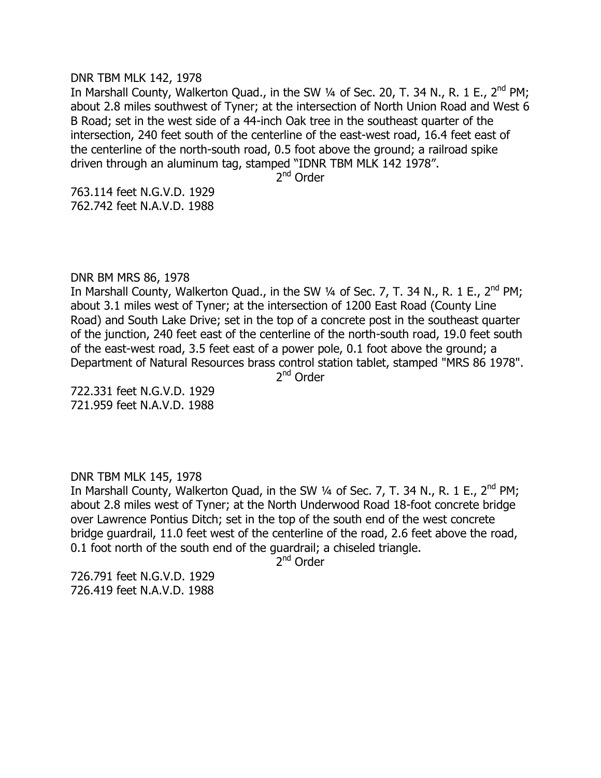#### DNR TBM MLK 142, 1978

In Marshall County, Walkerton Quad., in the SW 1/4 of Sec. 20, T. 34 N., R. 1 E., 2<sup>nd</sup> PM; about 2.8 miles southwest of Tyner; at the intersection of North Union Road and West 6 B Road; set in the west side of a 44-inch Oak tree in the southeast quarter of the intersection, 240 feet south of the centerline of the east-west road, 16.4 feet east of the centerline of the north-south road, 0.5 foot above the ground; a railroad spike driven through an aluminum tag, stamped "IDNR TBM MLK 142 1978".

2<sup>nd</sup> Order

763.114 feet N.G.V.D. 1929 762.742 feet N.A.V.D. 1988

## DNR BM MRS 86, 1978

In Marshall County, Walkerton Quad., in the SW  $\frac{1}{4}$  of Sec. 7, T. 34 N., R. 1 E., 2<sup>nd</sup> PM; about 3.1 miles west of Tyner; at the intersection of 1200 East Road (County Line Road) and South Lake Drive; set in the top of a concrete post in the southeast quarter of the junction, 240 feet east of the centerline of the north-south road, 19.0 feet south of the east-west road, 3.5 feet east of a power pole, 0.1 foot above the ground; a Department of Natural Resources brass control station tablet, stamped "MRS 86 1978".

2<sup>nd</sup> Order

722.331 feet N.G.V.D. 1929 721.959 feet N.A.V.D. 1988

## DNR TBM MLK 145, 1978

In Marshall County, Walkerton Quad, in the SW  $\frac{1}{4}$  of Sec. 7, T. 34 N., R. 1 E., 2<sup>nd</sup> PM; about 2.8 miles west of Tyner; at the North Underwood Road 18-foot concrete bridge over Lawrence Pontius Ditch; set in the top of the south end of the west concrete bridge guardrail, 11.0 feet west of the centerline of the road, 2.6 feet above the road, 0.1 foot north of the south end of the guardrail; a chiseled triangle.

2<sup>nd</sup> Order

726.791 feet N.G.V.D. 1929 726.419 feet N.A.V.D. 1988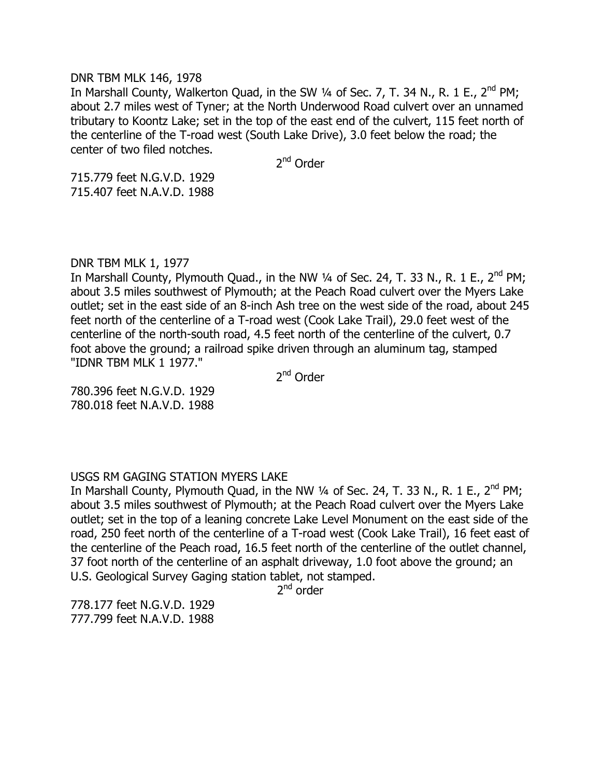## DNR TBM MLK 146, 1978

In Marshall County, Walkerton Quad, in the SW 1/4 of Sec. 7, T. 34 N., R. 1 E., 2<sup>nd</sup> PM; about 2.7 miles west of Tyner; at the North Underwood Road culvert over an unnamed tributary to Koontz Lake; set in the top of the east end of the culvert, 115 feet north of the centerline of the T-road west (South Lake Drive), 3.0 feet below the road; the center of two filed notches.

2<sup>nd</sup> Order

715.779 feet N.G.V.D. 1929 715.407 feet N.A.V.D. 1988

## DNR TBM MLK 1, 1977

In Marshall County, Plymouth Quad., in the NW 1/4 of Sec. 24, T. 33 N., R. 1 E., 2<sup>nd</sup> PM; about 3.5 miles southwest of Plymouth; at the Peach Road culvert over the Myers Lake outlet; set in the east side of an 8-inch Ash tree on the west side of the road, about 245 feet north of the centerline of a T-road west (Cook Lake Trail), 29.0 feet west of the centerline of the north-south road, 4.5 feet north of the centerline of the culvert, 0.7 foot above the ground; a railroad spike driven through an aluminum tag, stamped "IDNR TBM MLK 1 1977."

2<sup>nd</sup> Order

780.396 feet N.G.V.D. 1929 780.018 feet N.A.V.D. 1988

## USGS RM GAGING STATION MYERS LAKE

In Marshall County, Plymouth Quad, in the NW 1/4 of Sec. 24, T. 33 N., R. 1 E., 2<sup>nd</sup> PM; about 3.5 miles southwest of Plymouth; at the Peach Road culvert over the Myers Lake outlet; set in the top of a leaning concrete Lake Level Monument on the east side of the road, 250 feet north of the centerline of a T-road west (Cook Lake Trail), 16 feet east of the centerline of the Peach road, 16.5 feet north of the centerline of the outlet channel, 37 foot north of the centerline of an asphalt driveway, 1.0 foot above the ground; an U.S. Geological Survey Gaging station tablet, not stamped.

2<sup>nd</sup> order

778.177 feet N.G.V.D. 1929 777.799 feet N.A.V.D. 1988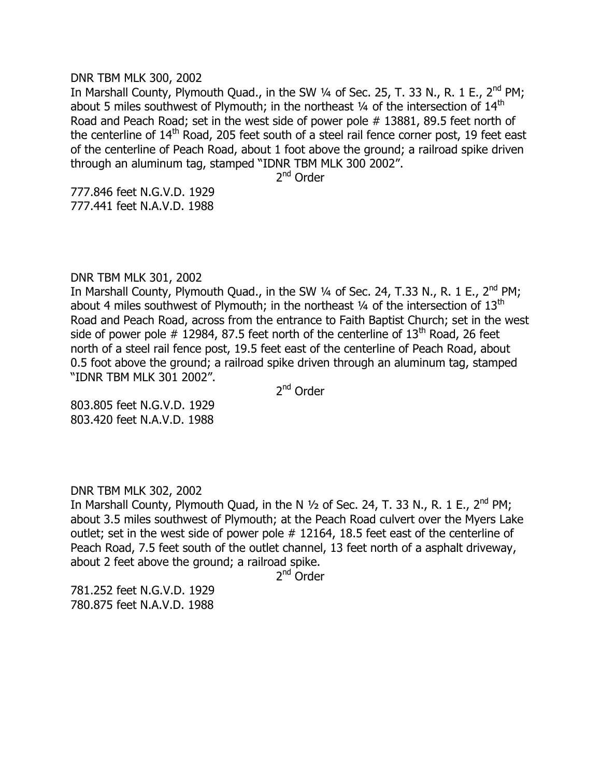#### DNR TBM MLK 300, 2002

In Marshall County, Plymouth Quad., in the SW  $\frac{1}{4}$  of Sec. 25, T. 33 N., R. 1 E., 2<sup>nd</sup> PM; about 5 miles southwest of Plymouth; in the northeast  $\frac{1}{4}$  of the intersection of  $14<sup>th</sup>$ Road and Peach Road; set in the west side of power pole # 13881, 89.5 feet north of the centerline of 14<sup>th</sup> Road, 205 feet south of a steel rail fence corner post, 19 feet east of the centerline of Peach Road, about 1 foot above the ground; a railroad spike driven through an aluminum tag, stamped "IDNR TBM MLK 300 2002".

2<sup>nd</sup> Order

777.846 feet N.G.V.D. 1929 777.441 feet N.A.V.D. 1988

## DNR TBM MLK 301, 2002

In Marshall County, Plymouth Quad., in the SW  $\frac{1}{4}$  of Sec. 24, T.33 N., R. 1 E., 2<sup>nd</sup> PM; about 4 miles southwest of Plymouth; in the northeast  $\frac{1}{4}$  of the intersection of  $13<sup>th</sup>$ Road and Peach Road, across from the entrance to Faith Baptist Church; set in the west side of power pole  $#$  12984, 87.5 feet north of the centerline of 13<sup>th</sup> Road, 26 feet north of a steel rail fence post, 19.5 feet east of the centerline of Peach Road, about 0.5 foot above the ground; a railroad spike driven through an aluminum tag, stamped "IDNR TBM MLK 301 2002".

2<sup>nd</sup> Order

803.805 feet N.G.V.D. 1929 803.420 feet N.A.V.D. 1988

DNR TBM MLK 302, 2002

In Marshall County, Plymouth Quad, in the N  $\frac{1}{2}$  of Sec. 24, T. 33 N., R. 1 E., 2<sup>nd</sup> PM; about 3.5 miles southwest of Plymouth; at the Peach Road culvert over the Myers Lake outlet; set in the west side of power pole # 12164, 18.5 feet east of the centerline of Peach Road, 7.5 feet south of the outlet channel, 13 feet north of a asphalt driveway, about 2 feet above the ground; a railroad spike.

2<sup>nd</sup> Order

781.252 feet N.G.V.D. 1929 780.875 feet N.A.V.D. 1988